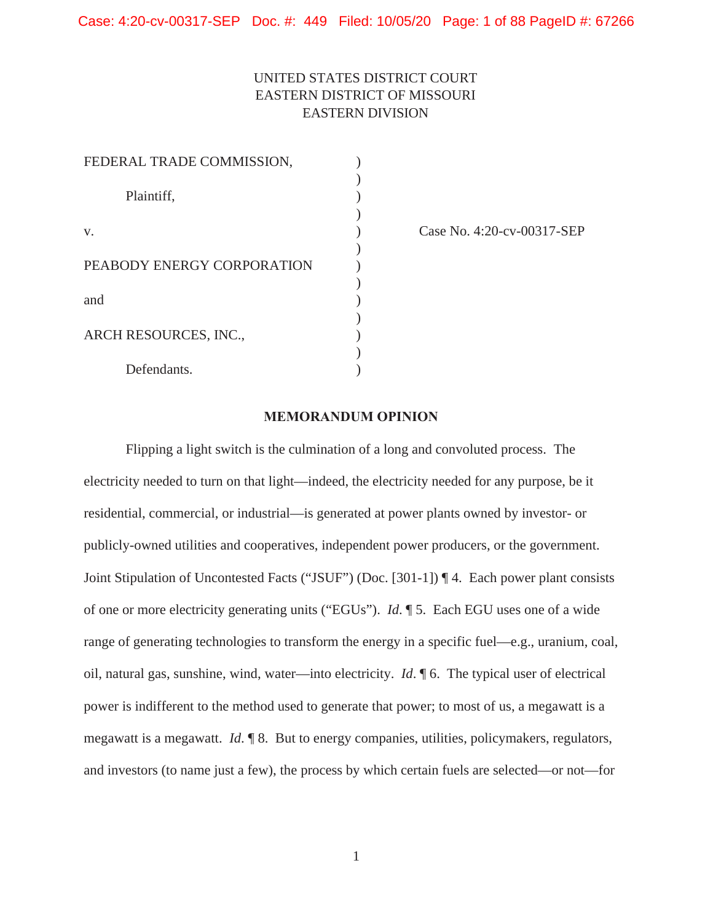# UNITED STATES DISTRICT COURT EASTERN DISTRICT OF MISSOURI EASTERN DIVISION

| FEDERAL TRADE COMMISSION,  |  |
|----------------------------|--|
|                            |  |
| Plaintiff,                 |  |
|                            |  |
| V.                         |  |
|                            |  |
| PEABODY ENERGY CORPORATION |  |
|                            |  |
| and                        |  |
|                            |  |
| ARCH RESOURCES, INC.,      |  |
|                            |  |
| Defendants.                |  |

(ase No. 4:20-cv-00317-SEP)

# **MEMORANDUM OPINION**

Flipping a light switch is the culmination of a long and convoluted process. The electricity needed to turn on that light—indeed, the electricity needed for any purpose, be it residential, commercial, or industrial—is generated at power plants owned by investor- or publicly-owned utilities and cooperatives, independent power producers, or the government. Joint Stipulation of Uncontested Facts ("JSUF") (Doc. [301-1]) ¶ 4. Each power plant consists of one or more electricity generating units ("EGUs"). *Id*. ¶ 5. Each EGU uses one of a wide range of generating technologies to transform the energy in a specific fuel—e.g., uranium, coal, oil, natural gas, sunshine, wind, water—into electricity. *Id*. ¶ 6. The typical user of electrical power is indifferent to the method used to generate that power; to most of us, a megawatt is a megawatt is a megawatt. *Id*. ¶ 8. But to energy companies, utilities, policymakers, regulators, and investors (to name just a few), the process by which certain fuels are selected—or not—for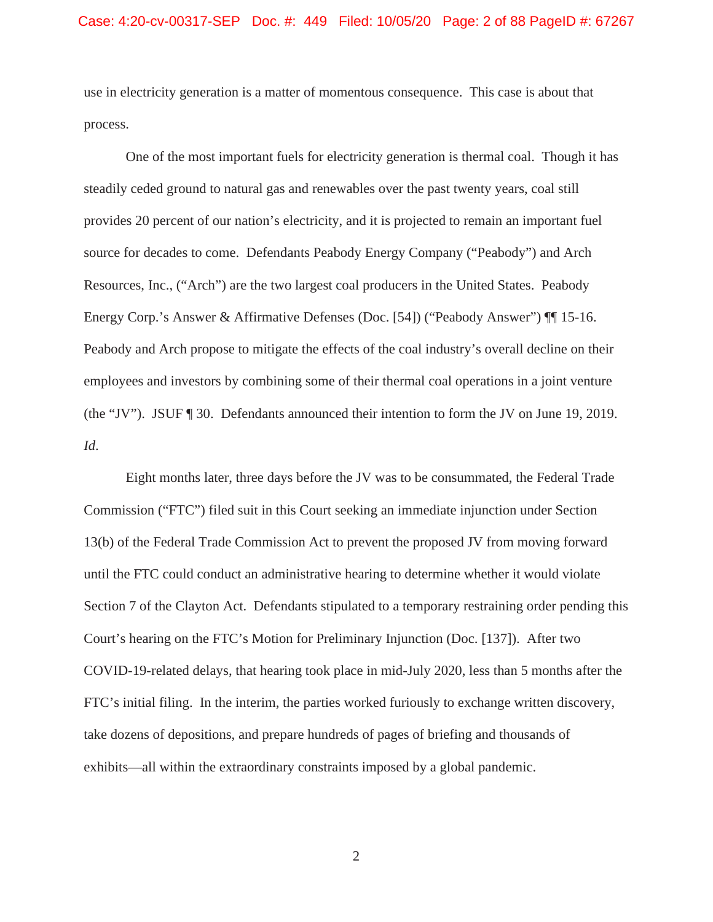use in electricity generation is a matter of momentous consequence. This case is about that process.

One of the most important fuels for electricity generation is thermal coal. Though it has steadily ceded ground to natural gas and renewables over the past twenty years, coal still provides 20 percent of our nation's electricity, and it is projected to remain an important fuel source for decades to come. Defendants Peabody Energy Company ("Peabody") and Arch Resources, Inc., ("Arch") are the two largest coal producers in the United States. Peabody Energy Corp.'s Answer & Affirmative Defenses (Doc. [54]) ("Peabody Answer") ¶¶ 15-16. Peabody and Arch propose to mitigate the effects of the coal industry's overall decline on their employees and investors by combining some of their thermal coal operations in a joint venture (the "JV"). JSUF ¶ 30. Defendants announced their intention to form the JV on June 19, 2019. *Id*.

Eight months later, three days before the JV was to be consummated, the Federal Trade Commission ("FTC") filed suit in this Court seeking an immediate injunction under Section 13(b) of the Federal Trade Commission Act to prevent the proposed JV from moving forward until the FTC could conduct an administrative hearing to determine whether it would violate Section 7 of the Clayton Act. Defendants stipulated to a temporary restraining order pending this Court's hearing on the FTC's Motion for Preliminary Injunction (Doc. [137]). After two COVID-19-related delays, that hearing took place in mid-July 2020, less than 5 months after the FTC's initial filing. In the interim, the parties worked furiously to exchange written discovery, take dozens of depositions, and prepare hundreds of pages of briefing and thousands of exhibits—all within the extraordinary constraints imposed by a global pandemic.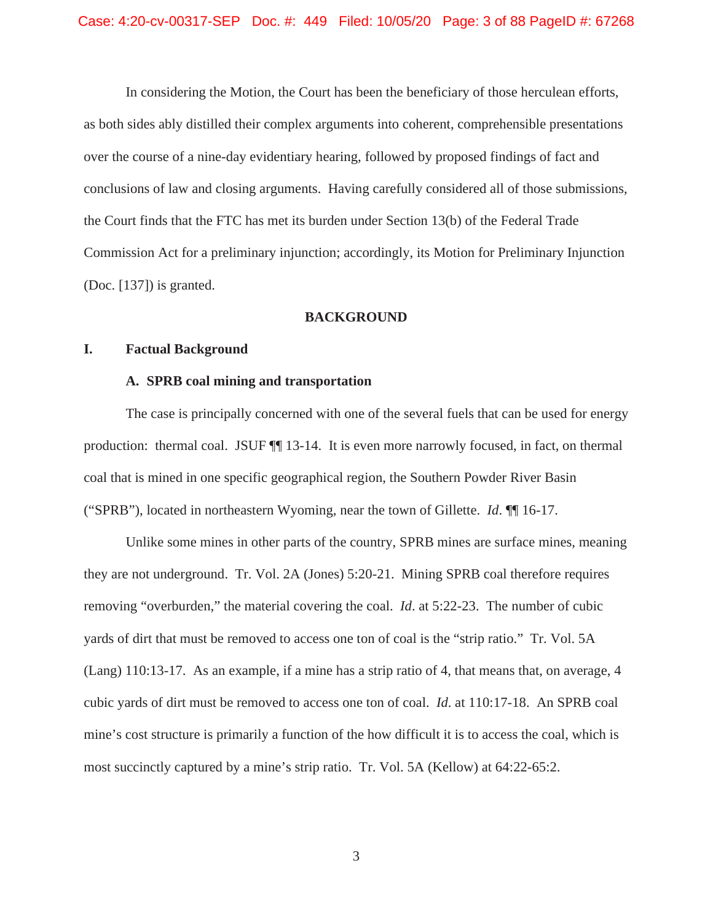In considering the Motion, the Court has been the beneficiary of those herculean efforts, as both sides ably distilled their complex arguments into coherent, comprehensible presentations over the course of a nine-day evidentiary hearing, followed by proposed findings of fact and conclusions of law and closing arguments. Having carefully considered all of those submissions, the Court finds that the FTC has met its burden under Section 13(b) of the Federal Trade Commission Act for a preliminary injunction; accordingly, its Motion for Preliminary Injunction (Doc. [137]) is granted.

#### **BACKGROUND**

#### **I. Factual Background**

# **A. SPRB coal mining and transportation**

The case is principally concerned with one of the several fuels that can be used for energy production: thermal coal. JSUF ¶¶ 13-14. It is even more narrowly focused, in fact, on thermal coal that is mined in one specific geographical region, the Southern Powder River Basin ("SPRB"), located in northeastern Wyoming, near the town of Gillette. *Id*. ¶¶ 16-17.

Unlike some mines in other parts of the country, SPRB mines are surface mines, meaning they are not underground. Tr. Vol. 2A (Jones) 5:20-21. Mining SPRB coal therefore requires removing "overburden," the material covering the coal. *Id*. at 5:22-23. The number of cubic yards of dirt that must be removed to access one ton of coal is the "strip ratio." Tr. Vol. 5A (Lang) 110:13-17. As an example, if a mine has a strip ratio of 4, that means that, on average, 4 cubic yards of dirt must be removed to access one ton of coal. *Id*. at 110:17-18. An SPRB coal mine's cost structure is primarily a function of the how difficult it is to access the coal, which is most succinctly captured by a mine's strip ratio. Tr. Vol. 5A (Kellow) at 64:22-65:2.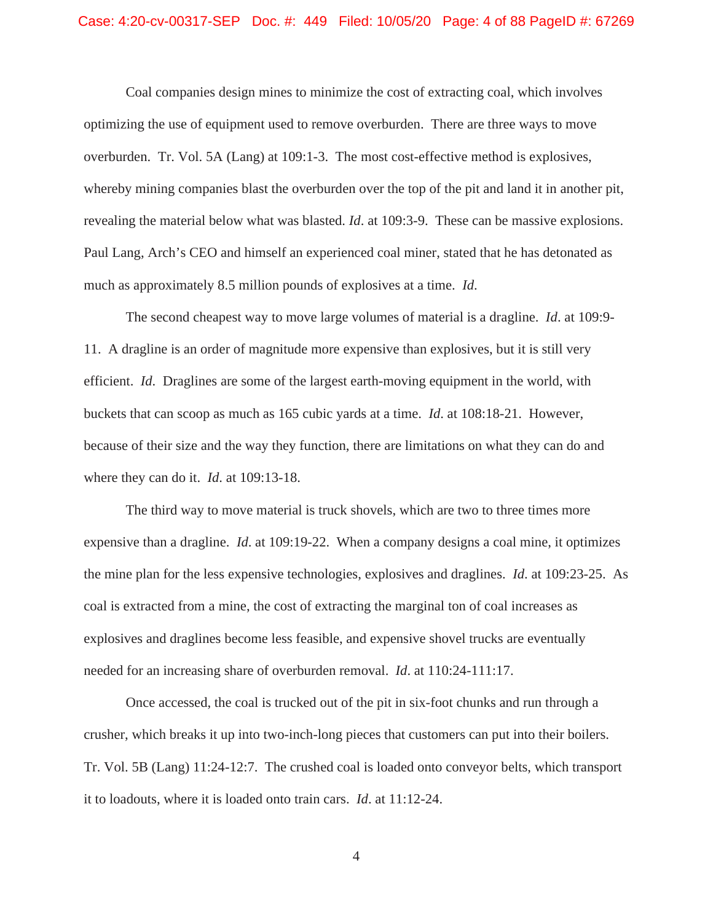#### Case: 4:20-cv-00317-SEP Doc. #: 449 Filed: 10/05/20 Page: 4 of 88 PageID #: 67269

Coal companies design mines to minimize the cost of extracting coal, which involves optimizing the use of equipment used to remove overburden. There are three ways to move overburden. Tr. Vol. 5A (Lang) at 109:1-3. The most cost-effective method is explosives, whereby mining companies blast the overburden over the top of the pit and land it in another pit, revealing the material below what was blasted. *Id*. at 109:3-9. These can be massive explosions. Paul Lang, Arch's CEO and himself an experienced coal miner, stated that he has detonated as much as approximately 8.5 million pounds of explosives at a time. *Id*.

The second cheapest way to move large volumes of material is a dragline. *Id*. at 109:9- 11. A dragline is an order of magnitude more expensive than explosives, but it is still very efficient. *Id*. Draglines are some of the largest earth-moving equipment in the world, with buckets that can scoop as much as 165 cubic yards at a time. *Id*. at 108:18-21. However, because of their size and the way they function, there are limitations on what they can do and where they can do it. *Id*. at 109:13-18.

The third way to move material is truck shovels, which are two to three times more expensive than a dragline. *Id*. at 109:19-22. When a company designs a coal mine, it optimizes the mine plan for the less expensive technologies, explosives and draglines. *Id*. at 109:23-25. As coal is extracted from a mine, the cost of extracting the marginal ton of coal increases as explosives and draglines become less feasible, and expensive shovel trucks are eventually needed for an increasing share of overburden removal. *Id*. at 110:24-111:17.

Once accessed, the coal is trucked out of the pit in six-foot chunks and run through a crusher, which breaks it up into two-inch-long pieces that customers can put into their boilers. Tr. Vol. 5B (Lang) 11:24-12:7. The crushed coal is loaded onto conveyor belts, which transport it to loadouts, where it is loaded onto train cars. *Id*. at 11:12-24.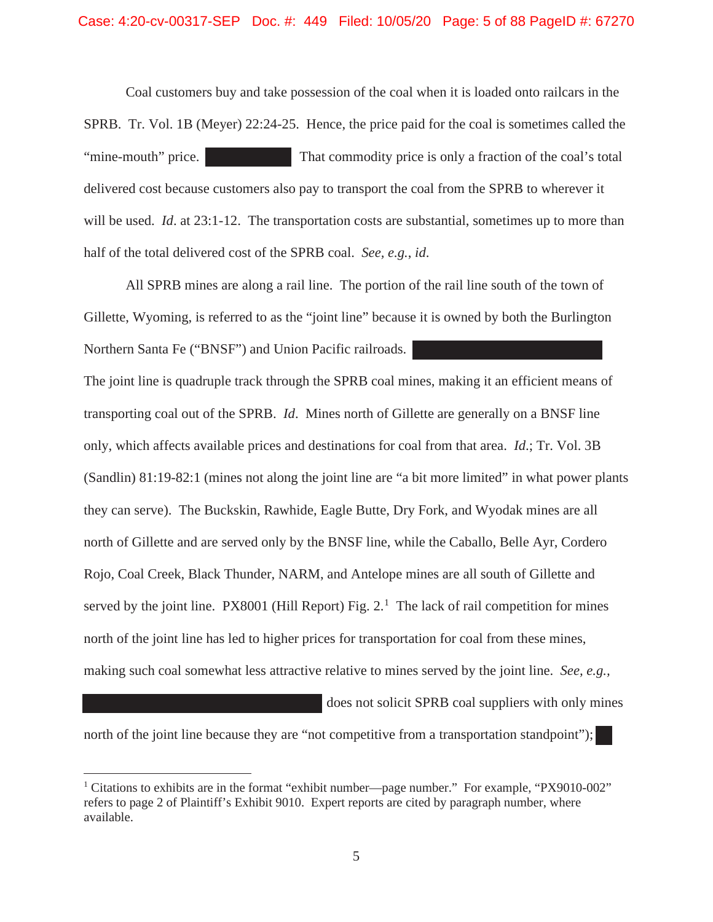Coal customers buy and take possession of the coal when it is loaded onto railcars in the SPRB. Tr. Vol. 1B (Meyer) 22:24-25. Hence, the price paid for the coal is sometimes called the "mine-mouth" price. That commodity price is only a fraction of the coal's total delivered cost because customers also pay to transport the coal from the SPRB to wherever it will be used. *Id*. at 23:1-12. The transportation costs are substantial, sometimes up to more than half of the total delivered cost of the SPRB coal. *See, e.g.*, *id*.

All SPRB mines are along a rail line. The portion of the rail line south of the town of Gillette, Wyoming, is referred to as the "joint line" because it is owned by both the Burlington Northern Santa Fe ("BNSF") and Union Pacific railroads.

The joint line is quadruple track through the SPRB coal mines, making it an efficient means of transporting coal out of the SPRB. *Id*. Mines north of Gillette are generally on a BNSF line only, which affects available prices and destinations for coal from that area. *Id*.; Tr. Vol. 3B (Sandlin) 81:19-82:1 (mines not along the joint line are "a bit more limited" in what power plants they can serve). The Buckskin, Rawhide, Eagle Butte, Dry Fork, and Wyodak mines are all north of Gillette and are served only by the BNSF line, while the Caballo, Belle Ayr, Cordero Rojo, Coal Creek, Black Thunder, NARM, and Antelope mines are all south of Gillette and served by the joint line. PX8001 (Hill Report) Fig.  $2<sup>1</sup>$ . The lack of rail competition for mines north of the joint line has led to higher prices for transportation for coal from these mines, making such coal somewhat less attractive relative to mines served by the joint line. *See, e.g.,* 

does not solicit SPRB coal suppliers with only mines

north of the joint line because they are "not competitive from a transportation standpoint");

<sup>&</sup>lt;sup>1</sup> Citations to exhibits are in the format "exhibit number—page number." For example, "PX9010-002" refers to page 2 of Plaintiff's Exhibit 9010. Expert reports are cited by paragraph number, where available.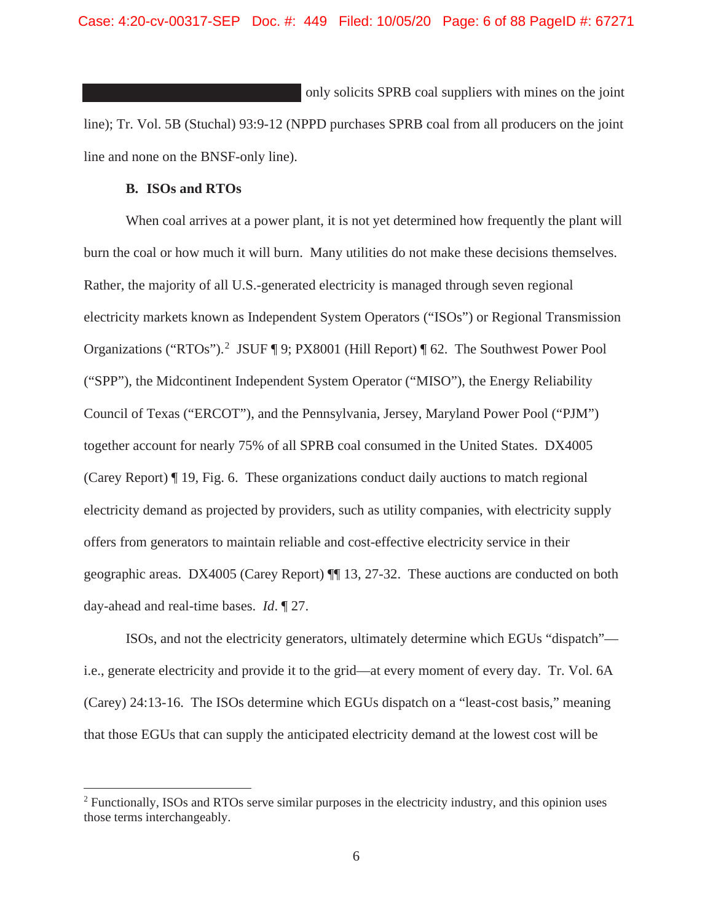Case: 4:20-cv-00317-SEP Doc. #: 449 Filed: 10/05/20 Page: 6 of 88 PageID #: 67271

 only solicits SPRB coal suppliers with mines on the joint line); Tr. Vol. 5B (Stuchal) 93:9-12 (NPPD purchases SPRB coal from all producers on the joint line and none on the BNSF-only line).

# **B. ISOs and RTOs**

When coal arrives at a power plant, it is not yet determined how frequently the plant will burn the coal or how much it will burn. Many utilities do not make these decisions themselves. Rather, the majority of all U.S.-generated electricity is managed through seven regional electricity markets known as Independent System Operators ("ISOs") or Regional Transmission Organizations ("RTOs").<sup>2</sup> JSUF ¶ 9; PX8001 (Hill Report) ¶ 62. The Southwest Power Pool ("SPP"), the Midcontinent Independent System Operator ("MISO"), the Energy Reliability Council of Texas ("ERCOT"), and the Pennsylvania, Jersey, Maryland Power Pool ("PJM") together account for nearly 75% of all SPRB coal consumed in the United States. DX4005 (Carey Report) ¶ 19, Fig. 6. These organizations conduct daily auctions to match regional electricity demand as projected by providers, such as utility companies, with electricity supply offers from generators to maintain reliable and cost-effective electricity service in their geographic areas. DX4005 (Carey Report) ¶¶ 13, 27-32. These auctions are conducted on both day-ahead and real-time bases. *Id*. ¶ 27.

ISOs, and not the electricity generators, ultimately determine which EGUs "dispatch" i.e., generate electricity and provide it to the grid—at every moment of every day. Tr. Vol. 6A (Carey) 24:13-16. The ISOs determine which EGUs dispatch on a "least-cost basis," meaning that those EGUs that can supply the anticipated electricity demand at the lowest cost will be

<sup>&</sup>lt;sup>2</sup> Functionally, ISOs and RTOs serve similar purposes in the electricity industry, and this opinion uses those terms interchangeably.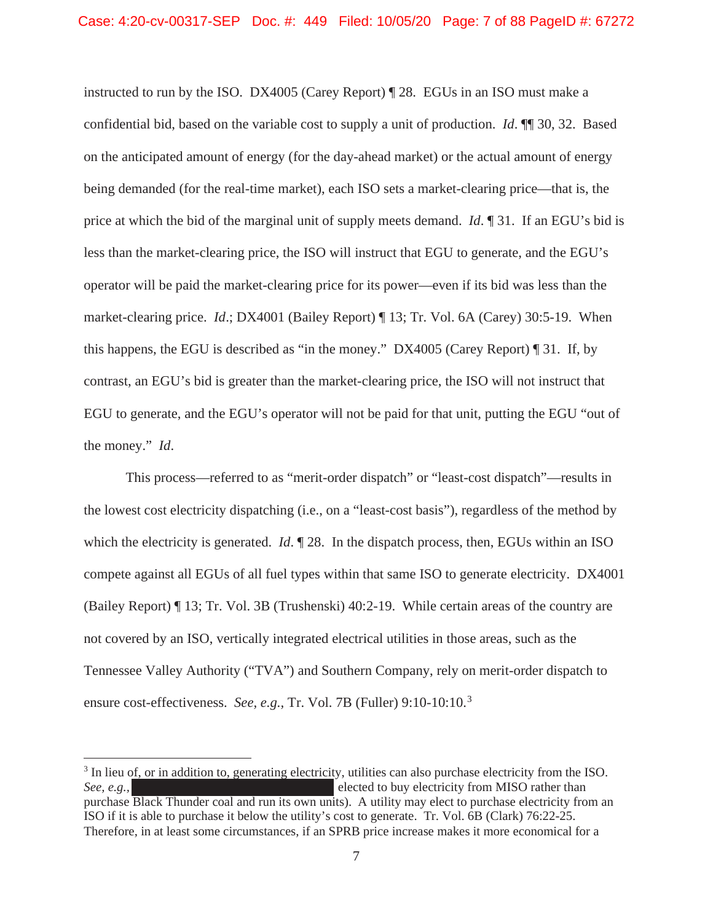instructed to run by the ISO. DX4005 (Carey Report) ¶ 28. EGUs in an ISO must make a confidential bid, based on the variable cost to supply a unit of production. *Id*. ¶¶ 30, 32. Based on the anticipated amount of energy (for the day-ahead market) or the actual amount of energy being demanded (for the real-time market), each ISO sets a market-clearing price—that is, the price at which the bid of the marginal unit of supply meets demand. *Id*. ¶ 31. If an EGU's bid is less than the market-clearing price, the ISO will instruct that EGU to generate, and the EGU's operator will be paid the market-clearing price for its power—even if its bid was less than the market-clearing price. *Id*.; DX4001 (Bailey Report) ¶ 13; Tr. Vol. 6A (Carey) 30:5-19. When this happens, the EGU is described as "in the money." DX4005 (Carey Report) ¶ 31. If, by contrast, an EGU's bid is greater than the market-clearing price, the ISO will not instruct that EGU to generate, and the EGU's operator will not be paid for that unit, putting the EGU "out of the money." *Id*.

This process—referred to as "merit-order dispatch" or "least-cost dispatch"—results in the lowest cost electricity dispatching (i.e., on a "least-cost basis"), regardless of the method by which the electricity is generated. *Id*.  $\mathbb{I}$  28. In the dispatch process, then, EGUs within an ISO compete against all EGUs of all fuel types within that same ISO to generate electricity. DX4001 (Bailey Report) ¶ 13; Tr. Vol. 3B (Trushenski) 40:2-19. While certain areas of the country are not covered by an ISO, vertically integrated electrical utilities in those areas, such as the Tennessee Valley Authority ("TVA") and Southern Company, rely on merit-order dispatch to ensure cost-effectiveness. *See, e.g.,* Tr. Vol. 7B (Fuller) 9:10-10:10.<sup>3</sup>

<sup>&</sup>lt;sup>3</sup> In lieu of, or in addition to, generating electricity, utilities can also purchase electricity from the ISO. *See, e.g.,* **elected to buy electricity from MISO rather than** purchase Black Thunder coal and run its own units). A utility may elect to purchase electricity from an ISO if it is able to purchase it below the utility's cost to generate. Tr. Vol. 6B (Clark) 76:22-25. Therefore, in at least some circumstances, if an SPRB price increase makes it more economical for a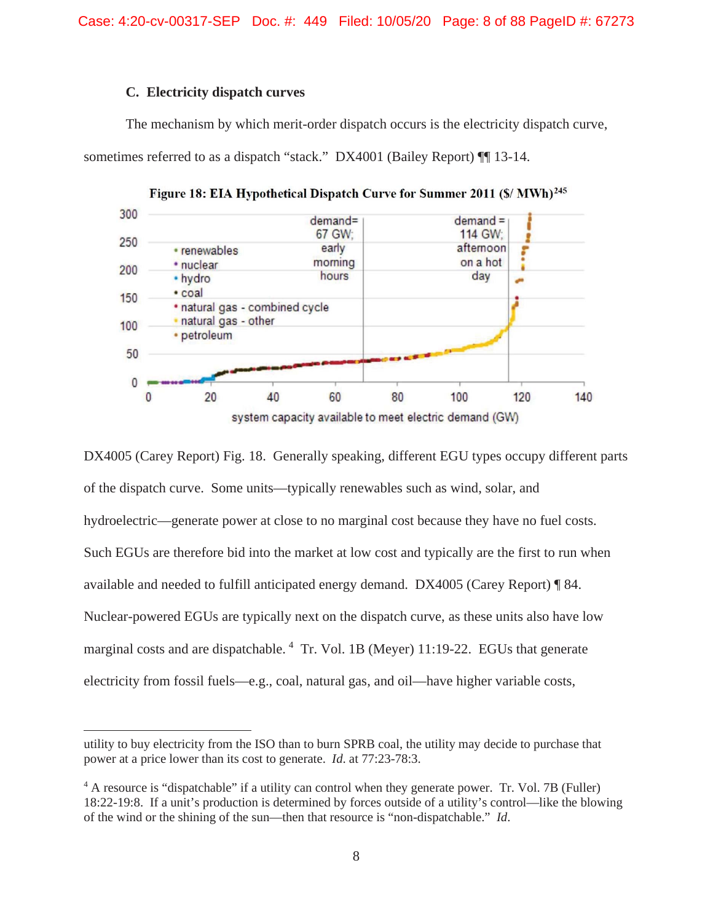Case: 4:20-cv-00317-SEP Doc. #: 449 Filed: 10/05/20 Page: 8 of 88 PageID #: 67273

# **C. Electricity dispatch curves**

The mechanism by which merit-order dispatch occurs is the electricity dispatch curve, sometimes referred to as a dispatch "stack." DX4001 (Bailey Report)  $\P$  13-14.



Figure 18: EIA Hypothetical Dispatch Curve for Summer 2011 (\$/ MWh)<sup>245</sup>

DX4005 (Carey Report) Fig. 18. Generally speaking, different EGU types occupy different parts of the dispatch curve. Some units—typically renewables such as wind, solar, and hydroelectric—generate power at close to no marginal cost because they have no fuel costs. Such EGUs are therefore bid into the market at low cost and typically are the first to run when available and needed to fulfill anticipated energy demand. DX4005 (Carey Report) ¶ 84. Nuclear-powered EGUs are typically next on the dispatch curve, as these units also have low marginal costs and are dispatchable.  $4$  Tr. Vol. 1B (Meyer) 11:19-22. EGUs that generate electricity from fossil fuels—e.g., coal, natural gas, and oil—have higher variable costs,

utility to buy electricity from the ISO than to burn SPRB coal, the utility may decide to purchase that power at a price lower than its cost to generate. *Id*. at 77:23-78:3.

<sup>4</sup> A resource is "dispatchable" if a utility can control when they generate power. Tr. Vol. 7B (Fuller) 18:22-19:8. If a unit's production is determined by forces outside of a utility's control—like the blowing of the wind or the shining of the sun—then that resource is "non-dispatchable." *Id*.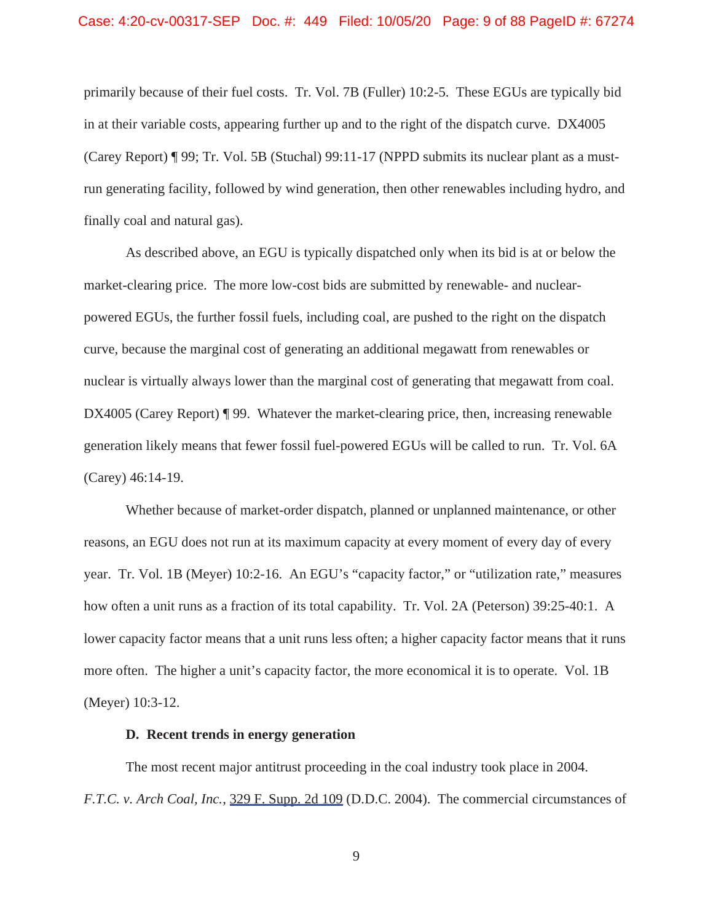primarily because of their fuel costs. Tr. Vol. 7B (Fuller) 10:2-5. These EGUs are typically bid in at their variable costs, appearing further up and to the right of the dispatch curve. DX4005 (Carey Report) ¶ 99; Tr. Vol. 5B (Stuchal) 99:11-17 (NPPD submits its nuclear plant as a mustrun generating facility, followed by wind generation, then other renewables including hydro, and finally coal and natural gas).

As described above, an EGU is typically dispatched only when its bid is at or below the market-clearing price. The more low-cost bids are submitted by renewable- and nuclearpowered EGUs, the further fossil fuels, including coal, are pushed to the right on the dispatch curve, because the marginal cost of generating an additional megawatt from renewables or nuclear is virtually always lower than the marginal cost of generating that megawatt from coal. DX4005 (Carey Report) ¶ 99. Whatever the market-clearing price, then, increasing renewable generation likely means that fewer fossil fuel-powered EGUs will be called to run. Tr. Vol. 6A (Carey) 46:14-19.

Whether because of market-order dispatch, planned or unplanned maintenance, or other reasons, an EGU does not run at its maximum capacity at every moment of every day of every year. Tr. Vol. 1B (Meyer) 10:2-16. An EGU's "capacity factor," or "utilization rate," measures how often a unit runs as a fraction of its total capability. Tr. Vol. 2A (Peterson) 39:25-40:1. A lower capacity factor means that a unit runs less often; a higher capacity factor means that it runs more often. The higher a unit's capacity factor, the more economical it is to operate. Vol. 1B (Meyer) 10:3-12.

### **D. Recent trends in energy generation**

The most recent major antitrust proceeding in the coal industry took place in 2004. *F.T.C. v. Arch Coal, Inc.*, 329 F. Supp. 2d 109 (D.D.C. 2004). The commercial circumstances of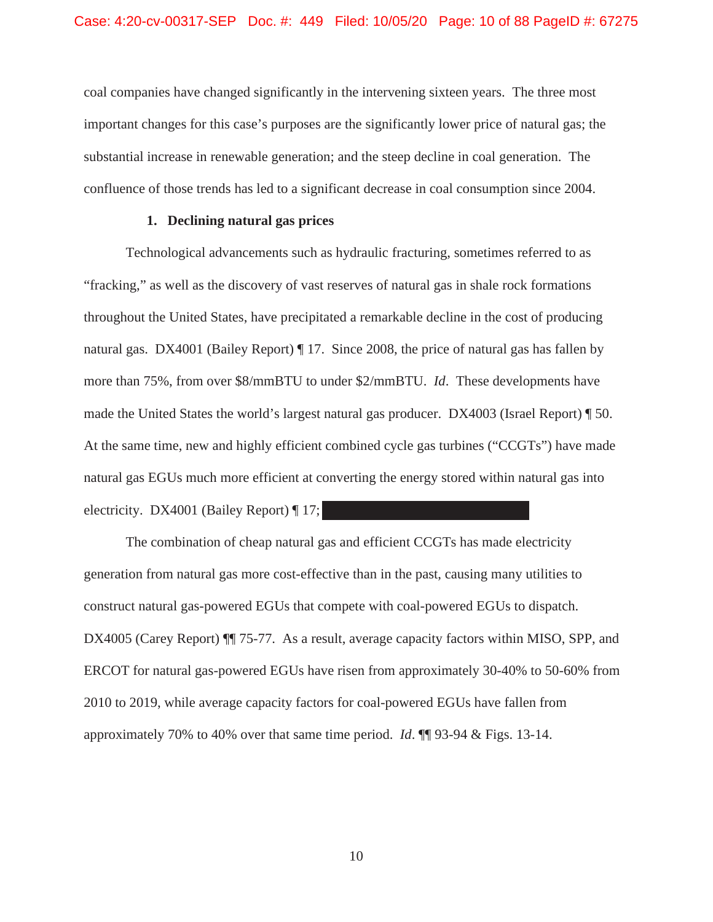coal companies have changed significantly in the intervening sixteen years. The three most important changes for this case's purposes are the significantly lower price of natural gas; the substantial increase in renewable generation; and the steep decline in coal generation. The confluence of those trends has led to a significant decrease in coal consumption since 2004.

# **1. Declining natural gas prices**

Technological advancements such as hydraulic fracturing, sometimes referred to as "fracking," as well as the discovery of vast reserves of natural gas in shale rock formations throughout the United States, have precipitated a remarkable decline in the cost of producing natural gas. DX4001 (Bailey Report) ¶ 17. Since 2008, the price of natural gas has fallen by more than 75%, from over \$8/mmBTU to under \$2/mmBTU. *Id*. These developments have made the United States the world's largest natural gas producer. DX4003 (Israel Report) ¶ 50. At the same time, new and highly efficient combined cycle gas turbines ("CCGTs") have made natural gas EGUs much more efficient at converting the energy stored within natural gas into electricity. DX4001 (Bailey Report) ¶ 17;

The combination of cheap natural gas and efficient CCGTs has made electricity generation from natural gas more cost-effective than in the past, causing many utilities to construct natural gas-powered EGUs that compete with coal-powered EGUs to dispatch. DX4005 (Carey Report)  $\P$  75-77. As a result, average capacity factors within MISO, SPP, and ERCOT for natural gas-powered EGUs have risen from approximately 30-40% to 50-60% from 2010 to 2019, while average capacity factors for coal-powered EGUs have fallen from approximately 70% to 40% over that same time period. *Id*. ¶¶ 93-94 & Figs. 13-14.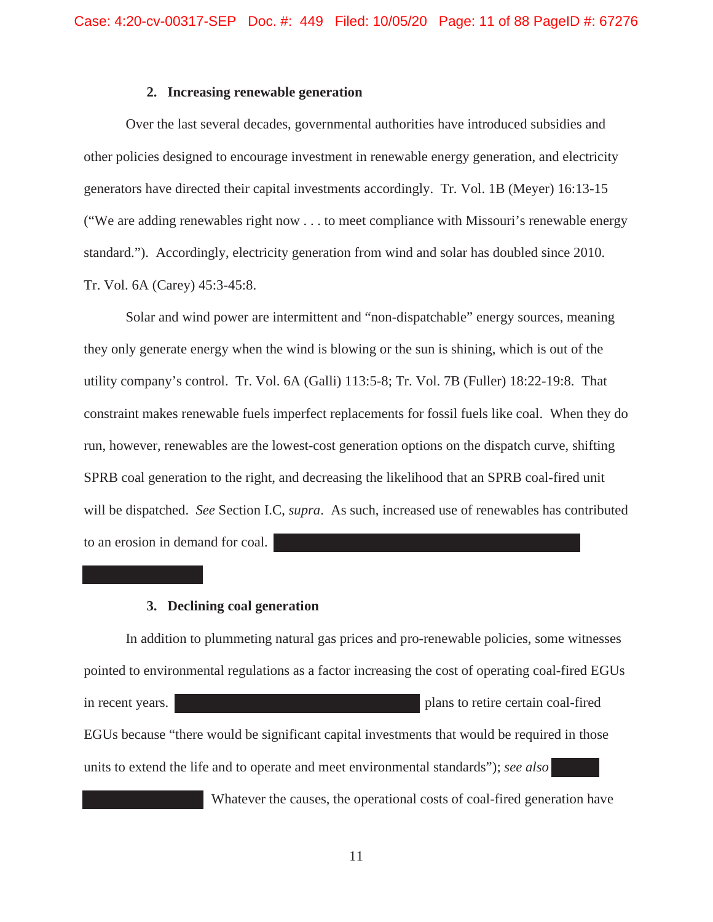# **2. Increasing renewable generation**

Over the last several decades, governmental authorities have introduced subsidies and other policies designed to encourage investment in renewable energy generation, and electricity generators have directed their capital investments accordingly. Tr. Vol. 1B (Meyer) 16:13-15 ("We are adding renewables right now . . . to meet compliance with Missouri's renewable energy standard."). Accordingly, electricity generation from wind and solar has doubled since 2010. Tr. Vol. 6A (Carey) 45:3-45:8.

Solar and wind power are intermittent and "non-dispatchable" energy sources, meaning they only generate energy when the wind is blowing or the sun is shining, which is out of the utility company's control. Tr. Vol. 6A (Galli) 113:5-8; Tr. Vol. 7B (Fuller) 18:22-19:8. That constraint makes renewable fuels imperfect replacements for fossil fuels like coal. When they do run, however, renewables are the lowest-cost generation options on the dispatch curve, shifting SPRB coal generation to the right, and decreasing the likelihood that an SPRB coal-fired unit will be dispatched. *See* Section I.C, *supra*. As such, increased use of renewables has contributed to an erosion in demand for coal.

# **3. Declining coal generation**

In addition to plummeting natural gas prices and pro-renewable policies, some witnesses pointed to environmental regulations as a factor increasing the cost of operating coal-fired EGUs in recent years. **plans** to retire certain coal-fired EGUs because "there would be significant capital investments that would be required in those units to extend the life and to operate and meet environmental standards"); *see also* 

Whatever the causes, the operational costs of coal-fired generation have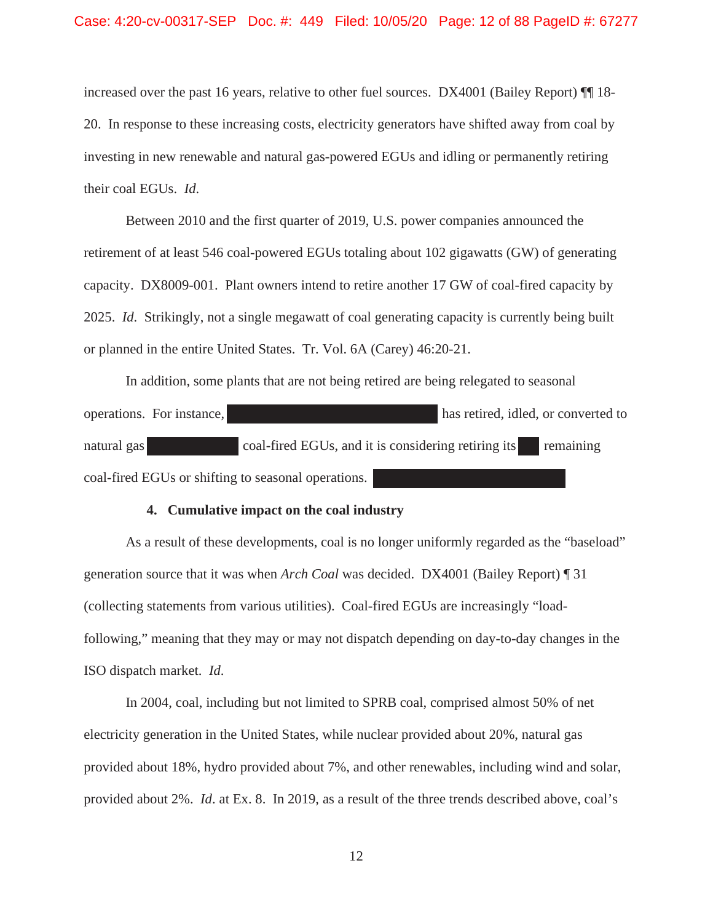increased over the past 16 years, relative to other fuel sources. DX4001 (Bailey Report)  $\P\P$  18-20. In response to these increasing costs, electricity generators have shifted away from coal by investing in new renewable and natural gas-powered EGUs and idling or permanently retiring their coal EGUs. *Id*.

Between 2010 and the first quarter of 2019, U.S. power companies announced the retirement of at least 546 coal-powered EGUs totaling about 102 gigawatts (GW) of generating capacity. DX8009-001. Plant owners intend to retire another 17 GW of coal-fired capacity by 2025. *Id*. Strikingly, not a single megawatt of coal generating capacity is currently being built or planned in the entire United States. Tr. Vol. 6A (Carey) 46:20-21.

In addition, some plants that are not being retired are being relegated to seasonal operations. For instance, has retired, idled, or converted to natural gas coal-fired EGUs, and it is considering retiring its remaining coal-fired EGUs or shifting to seasonal operations.

#### **4. Cumulative impact on the coal industry**

As a result of these developments, coal is no longer uniformly regarded as the "baseload" generation source that it was when *Arch Coal* was decided. DX4001 (Bailey Report) ¶ 31 (collecting statements from various utilities). Coal-fired EGUs are increasingly "loadfollowing," meaning that they may or may not dispatch depending on day-to-day changes in the ISO dispatch market. *Id*.

In 2004, coal, including but not limited to SPRB coal, comprised almost 50% of net electricity generation in the United States, while nuclear provided about 20%, natural gas provided about 18%, hydro provided about 7%, and other renewables, including wind and solar, provided about 2%. *Id*. at Ex. 8. In 2019, as a result of the three trends described above, coal's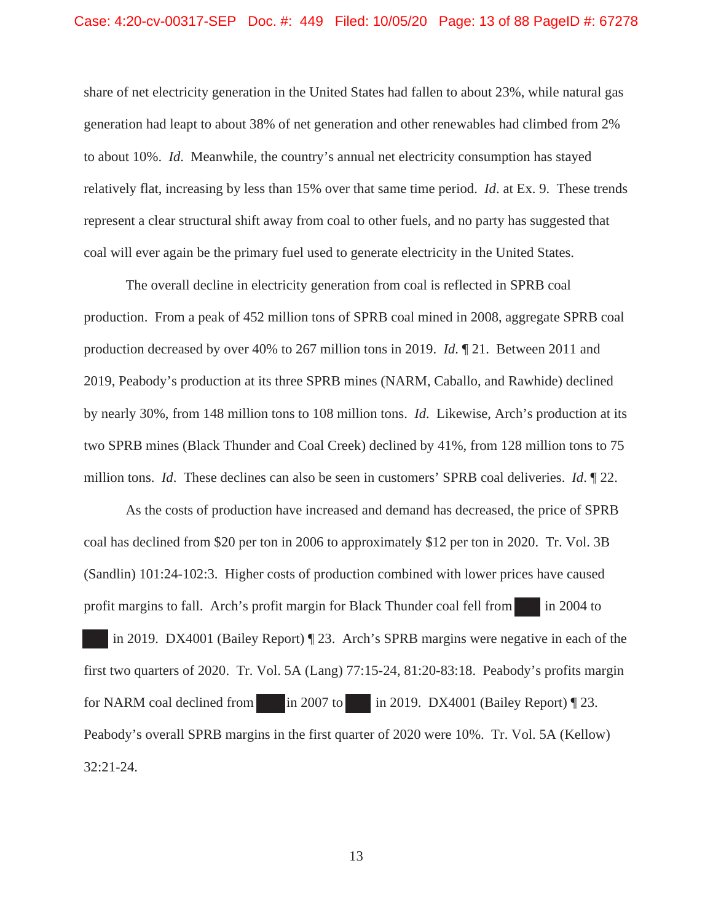share of net electricity generation in the United States had fallen to about 23%, while natural gas generation had leapt to about 38% of net generation and other renewables had climbed from 2% to about 10%. *Id*. Meanwhile, the country's annual net electricity consumption has stayed relatively flat, increasing by less than 15% over that same time period. *Id*. at Ex. 9. These trends represent a clear structural shift away from coal to other fuels, and no party has suggested that coal will ever again be the primary fuel used to generate electricity in the United States.

The overall decline in electricity generation from coal is reflected in SPRB coal production. From a peak of 452 million tons of SPRB coal mined in 2008, aggregate SPRB coal production decreased by over 40% to 267 million tons in 2019. *Id*. ¶ 21. Between 2011 and 2019, Peabody's production at its three SPRB mines (NARM, Caballo, and Rawhide) declined by nearly 30%, from 148 million tons to 108 million tons. *Id*. Likewise, Arch's production at its two SPRB mines (Black Thunder and Coal Creek) declined by 41%, from 128 million tons to 75 million tons. *Id*. These declines can also be seen in customers' SPRB coal deliveries. *Id*. ¶ 22.

As the costs of production have increased and demand has decreased, the price of SPRB coal has declined from \$20 per ton in 2006 to approximately \$12 per ton in 2020. Tr. Vol. 3B (Sandlin) 101:24-102:3. Higher costs of production combined with lower prices have caused profit margins to fall. Arch's profit margin for Black Thunder coal fell from in 2004 to in 2019. DX4001 (Bailey Report) ¶ 23. Arch's SPRB margins were negative in each of the first two quarters of 2020. Tr. Vol. 5A (Lang) 77:15-24, 81:20-83:18. Peabody's profits margin for NARM coal declined from in 2007 to in 2019. DX4001 (Bailey Report)  $\sqrt{\ }$  23. Peabody's overall SPRB margins in the first quarter of 2020 were 10%. Tr. Vol. 5A (Kellow) 32:21-24.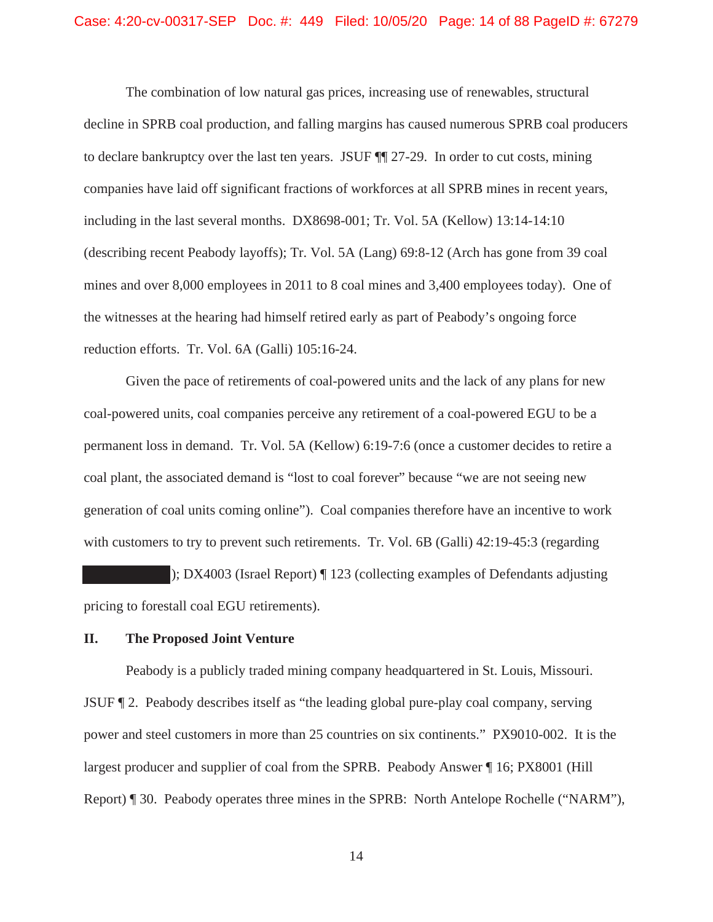The combination of low natural gas prices, increasing use of renewables, structural decline in SPRB coal production, and falling margins has caused numerous SPRB coal producers to declare bankruptcy over the last ten years. JSUF ¶¶ 27-29. In order to cut costs, mining companies have laid off significant fractions of workforces at all SPRB mines in recent years, including in the last several months. DX8698-001; Tr. Vol. 5A (Kellow) 13:14-14:10 (describing recent Peabody layoffs); Tr. Vol. 5A (Lang) 69:8-12 (Arch has gone from 39 coal mines and over 8,000 employees in 2011 to 8 coal mines and 3,400 employees today). One of the witnesses at the hearing had himself retired early as part of Peabody's ongoing force reduction efforts. Tr. Vol. 6A (Galli) 105:16-24.

Given the pace of retirements of coal-powered units and the lack of any plans for new coal-powered units, coal companies perceive any retirement of a coal-powered EGU to be a permanent loss in demand. Tr. Vol. 5A (Kellow) 6:19-7:6 (once a customer decides to retire a coal plant, the associated demand is "lost to coal forever" because "we are not seeing new generation of coal units coming online"). Coal companies therefore have an incentive to work with customers to try to prevent such retirements. Tr. Vol. 6B (Galli) 42:19-45:3 (regarding

); DX4003 (Israel Report) ¶ 123 (collecting examples of Defendants adjusting pricing to forestall coal EGU retirements).

# **II. The Proposed Joint Venture**

Peabody is a publicly traded mining company headquartered in St. Louis, Missouri. JSUF ¶ 2. Peabody describes itself as "the leading global pure-play coal company, serving power and steel customers in more than 25 countries on six continents." PX9010-002. It is the largest producer and supplier of coal from the SPRB. Peabody Answer ¶ 16; PX8001 (Hill Report) ¶ 30. Peabody operates three mines in the SPRB: North Antelope Rochelle ("NARM"),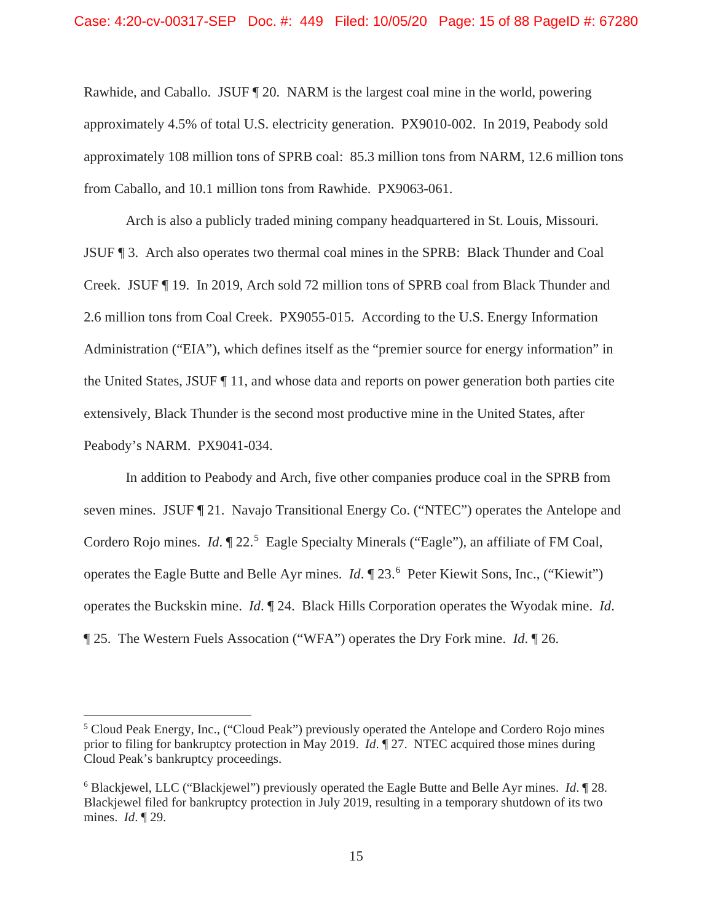Rawhide, and Caballo. JSUF ¶ 20. NARM is the largest coal mine in the world, powering approximately 4.5% of total U.S. electricity generation. PX9010-002. In 2019, Peabody sold approximately 108 million tons of SPRB coal: 85.3 million tons from NARM, 12.6 million tons from Caballo, and 10.1 million tons from Rawhide. PX9063-061.

Arch is also a publicly traded mining company headquartered in St. Louis, Missouri. JSUF ¶ 3. Arch also operates two thermal coal mines in the SPRB: Black Thunder and Coal Creek. JSUF ¶ 19. In 2019, Arch sold 72 million tons of SPRB coal from Black Thunder and 2.6 million tons from Coal Creek. PX9055-015. According to the U.S. Energy Information Administration ("EIA"), which defines itself as the "premier source for energy information" in the United States, JSUF ¶ 11, and whose data and reports on power generation both parties cite extensively, Black Thunder is the second most productive mine in the United States, after Peabody's NARM. PX9041-034.

In addition to Peabody and Arch, five other companies produce coal in the SPRB from seven mines. JSUF ¶ 21. Navajo Transitional Energy Co. ("NTEC") operates the Antelope and Cordero Rojo mines. *Id.*  $\P$  22.<sup>5</sup> Eagle Specialty Minerals ("Eagle"), an affiliate of FM Coal, operates the Eagle Butte and Belle Ayr mines. *Id*. ¶ 23.<sup>6</sup> Peter Kiewit Sons, Inc., ("Kiewit") operates the Buckskin mine. *Id*. ¶ 24. Black Hills Corporation operates the Wyodak mine. *Id*. ¶ 25. The Western Fuels Assocation ("WFA") operates the Dry Fork mine. *Id*. ¶ 26.

<sup>&</sup>lt;sup>5</sup> Cloud Peak Energy, Inc., ("Cloud Peak") previously operated the Antelope and Cordero Rojo mines prior to filing for bankruptcy protection in May 2019. *Id*. ¶ 27. NTEC acquired those mines during Cloud Peak's bankruptcy proceedings.

<sup>6</sup> Blackjewel, LLC ("Blackjewel") previously operated the Eagle Butte and Belle Ayr mines. *Id*. ¶ 28. Blackjewel filed for bankruptcy protection in July 2019, resulting in a temporary shutdown of its two mines. *Id*. ¶ 29.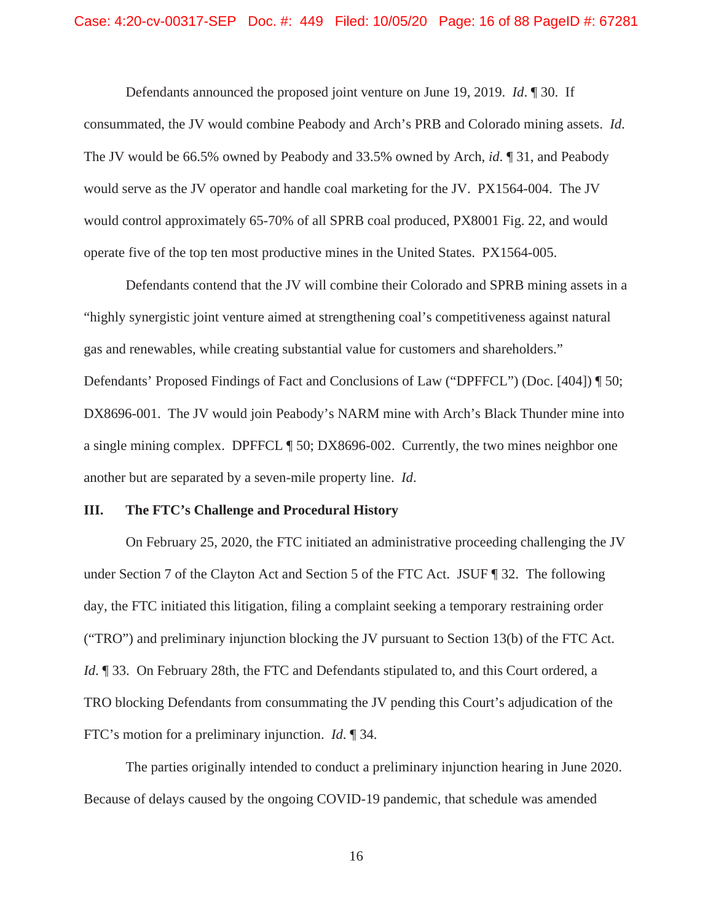Defendants announced the proposed joint venture on June 19, 2019. *Id*. ¶ 30. If consummated, the JV would combine Peabody and Arch's PRB and Colorado mining assets. *Id*. The JV would be 66.5% owned by Peabody and 33.5% owned by Arch, *id*. ¶ 31, and Peabody would serve as the JV operator and handle coal marketing for the JV. PX1564-004. The JV would control approximately 65-70% of all SPRB coal produced, PX8001 Fig. 22, and would operate five of the top ten most productive mines in the United States. PX1564-005.

Defendants contend that the JV will combine their Colorado and SPRB mining assets in a "highly synergistic joint venture aimed at strengthening coal's competitiveness against natural gas and renewables, while creating substantial value for customers and shareholders." Defendants' Proposed Findings of Fact and Conclusions of Law ("DPFFCL") (Doc. [404]) ¶ 50; DX8696-001. The JV would join Peabody's NARM mine with Arch's Black Thunder mine into a single mining complex. DPFFCL ¶ 50; DX8696-002. Currently, the two mines neighbor one another but are separated by a seven-mile property line. *Id*.

# **III. The FTC's Challenge and Procedural History**

On February 25, 2020, the FTC initiated an administrative proceeding challenging the JV under Section 7 of the Clayton Act and Section 5 of the FTC Act. JSUF ¶ 32. The following day, the FTC initiated this litigation, filing a complaint seeking a temporary restraining order ("TRO") and preliminary injunction blocking the JV pursuant to Section 13(b) of the FTC Act. *Id*. ¶ 33. On February 28th, the FTC and Defendants stipulated to, and this Court ordered, a TRO blocking Defendants from consummating the JV pending this Court's adjudication of the FTC's motion for a preliminary injunction. *Id*. ¶ 34.

The parties originally intended to conduct a preliminary injunction hearing in June 2020. Because of delays caused by the ongoing COVID-19 pandemic, that schedule was amended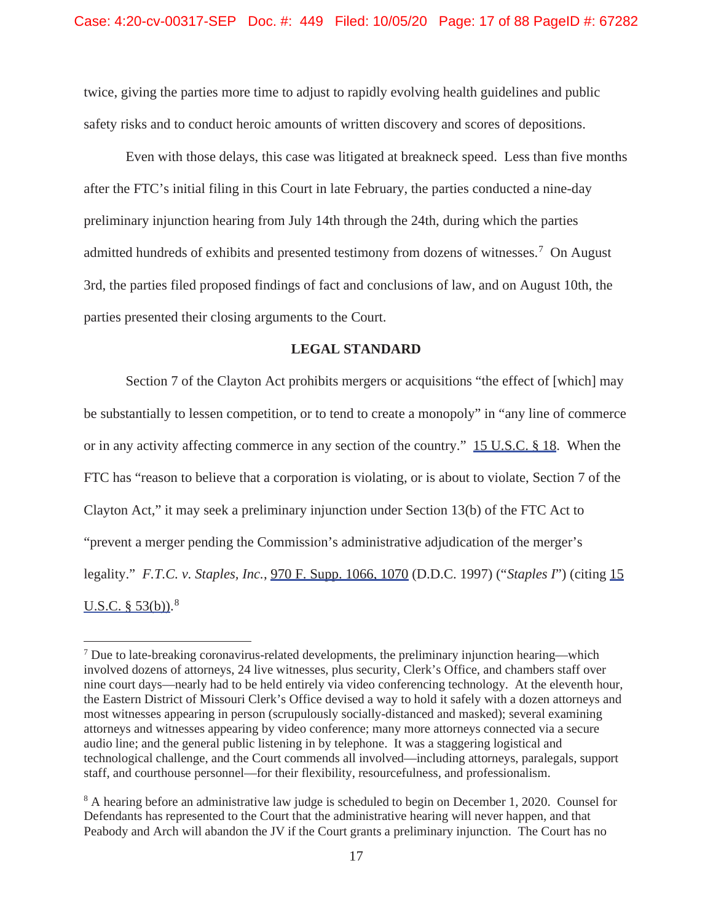twice, giving the parties more time to adjust to rapidly evolving health guidelines and public safety risks and to conduct heroic amounts of written discovery and scores of depositions.

Even with those delays, this case was litigated at breakneck speed. Less than five months after the FTC's initial filing in this Court in late February, the parties conducted a nine-day preliminary injunction hearing from July 14th through the 24th, during which the parties admitted hundreds of exhibits and presented testimony from dozens of witnesses.<sup>7</sup> On August 3rd, the parties filed proposed findings of fact and conclusions of law, and on August 10th, the parties presented their closing arguments to the Court.

# **LEGAL STANDARD**

Section 7 of the Clayton Act prohibits mergers or acquisitions "the effect of [which] may be substantially to lessen competition, or to tend to create a monopoly" in "any line of commerce or in any activity affecting commerce in any section of the country." 15 U.S.C. § 18. When the FTC has "reason to believe that a corporation is violating, or is about to violate, Section 7 of the Clayton Act," it may seek a preliminary injunction under Section 13(b) of the FTC Act to "prevent a merger pending the Commission's administrative adjudication of the merger's legality." *F.T.C. v. Staples, Inc.*, 970 F. Supp. 1066, 1070 (D.D.C. 1997) ("*Staples I*") (citing 15 <u>U.S.C. § 53(b))</u>.<sup>8</sup>

 $<sup>7</sup>$  Due to late-breaking coronavirus-related developments, the preliminary injunction hearing—which</sup> involved dozens of attorneys, 24 live witnesses, plus security, Clerk's Office, and chambers staff over nine court days—nearly had to be held entirely via video conferencing technology. At the eleventh hour, the Eastern District of Missouri Clerk's Office devised a way to hold it safely with a dozen attorneys and most witnesses appearing in person (scrupulously socially-distanced and masked); several examining attorneys and witnesses appearing by video conference; many more attorneys connected via a secure audio line; and the general public listening in by telephone. It was a staggering logistical and technological challenge, and the Court commends all involved—including attorneys, paralegals, support staff, and courthouse personnel—for their flexibility, resourcefulness, and professionalism.

<sup>&</sup>lt;sup>8</sup> A hearing before an administrative law judge is scheduled to begin on December 1, 2020. Counsel for Defendants has represented to the Court that the administrative hearing will never happen, and that Peabody and Arch will abandon the JV if the Court grants a preliminary injunction. The Court has no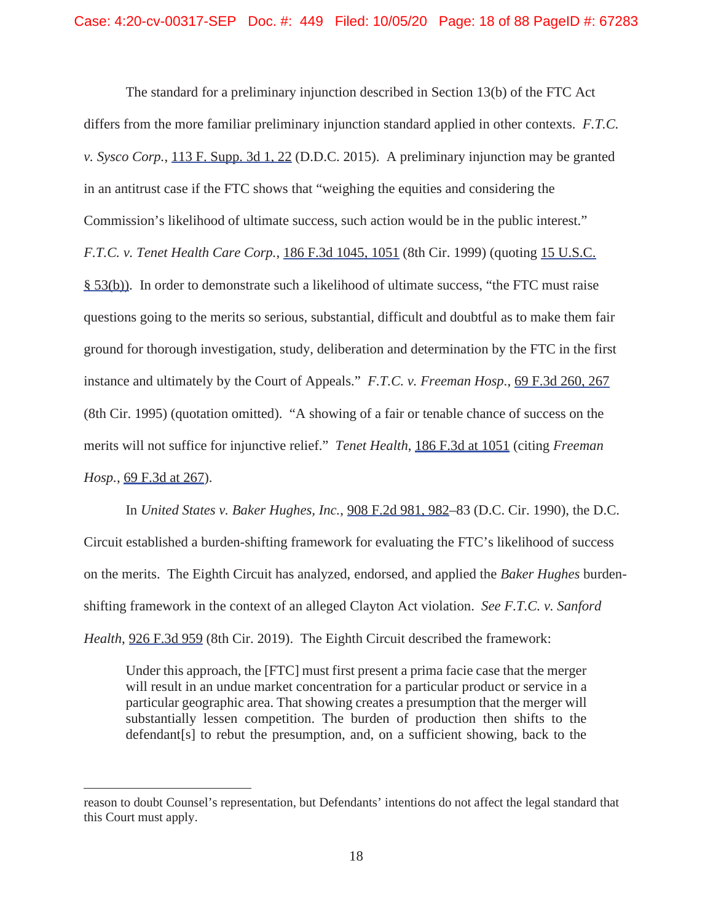The standard for a preliminary injunction described in Section 13(b) of the FTC Act differs from the more familiar preliminary injunction standard applied in other contexts. *F.T.C. v. Sysco Corp.*, 113 F. Supp. 3d 1, 22 (D.D.C. 2015). A preliminary injunction may be granted in an antitrust case if the FTC shows that "weighing the equities and considering the Commission's likelihood of ultimate success, such action would be in the public interest." *F.T.C. v. Tenet Health Care Corp.*, 186 F.3d 1045, 1051 (8th Cir. 1999) (quoting 15 U.S.C. § 53(b)). In order to demonstrate such a likelihood of ultimate success, "the FTC must raise questions going to the merits so serious, substantial, difficult and doubtful as to make them fair ground for thorough investigation, study, deliberation and determination by the FTC in the first instance and ultimately by the Court of Appeals." *F.T.C. v. Freeman Hosp.*, 69 F.3d 260, 267 (8th Cir. 1995) (quotation omitted). "A showing of a fair or tenable chance of success on the merits will not suffice for injunctive relief." *Tenet Health*, 186 F.3d at 1051 (citing *Freeman Hosp.*, 69 F.3d at 267).

In *United States v. Baker Hughes, Inc.*, 908 F.2d 981, 982–83 (D.C. Cir. 1990), the D.C. Circuit established a burden-shifting framework for evaluating the FTC's likelihood of success on the merits. The Eighth Circuit has analyzed, endorsed, and applied the *Baker Hughes* burdenshifting framework in the context of an alleged Clayton Act violation. *See F.T.C. v. Sanford Health*, 926 F.3d 959 (8th Cir. 2019). The Eighth Circuit described the framework:

Under this approach, the [FTC] must first present a prima facie case that the merger will result in an undue market concentration for a particular product or service in a particular geographic area. That showing creates a presumption that the merger will substantially lessen competition. The burden of production then shifts to the defendant[s] to rebut the presumption, and, on a sufficient showing, back to the

reason to doubt Counsel's representation, but Defendants' intentions do not affect the legal standard that this Court must apply.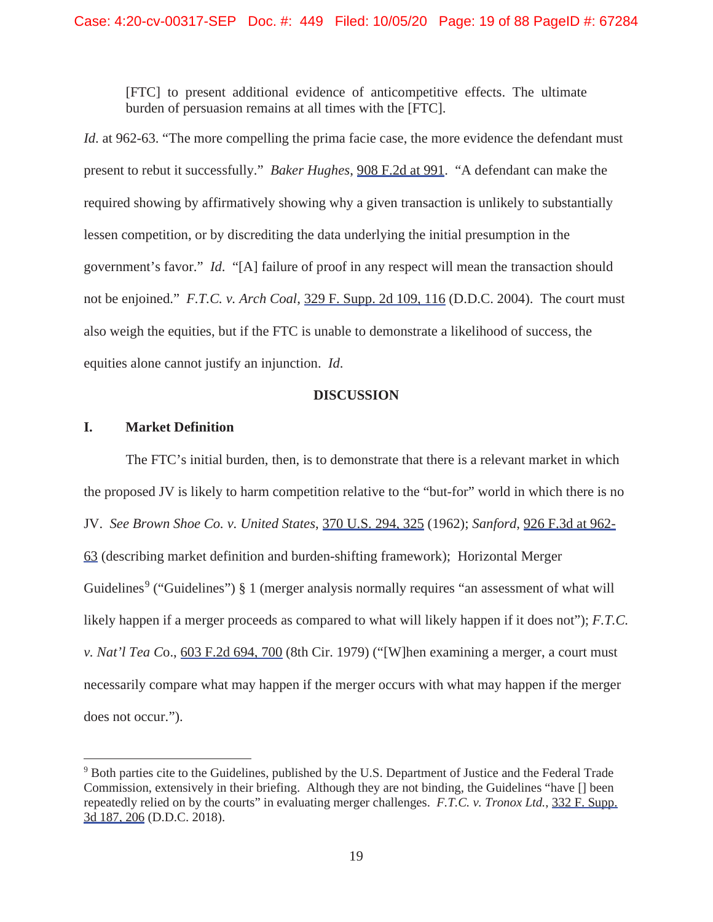[FTC] to present additional evidence of anticompetitive effects. The ultimate burden of persuasion remains at all times with the [FTC].

*Id.* at 962-63. "The more compelling the prima facie case, the more evidence the defendant must present to rebut it successfully." *Baker Hughes*, 908 F.2d at 991. "A defendant can make the required showing by affirmatively showing why a given transaction is unlikely to substantially lessen competition, or by discrediting the data underlying the initial presumption in the government's favor." *Id*. "[A] failure of proof in any respect will mean the transaction should not be enjoined." *F.T.C. v. Arch Coal*, 329 F. Supp. 2d 109, 116 (D.D.C. 2004). The court must also weigh the equities, but if the FTC is unable to demonstrate a likelihood of success, the equities alone cannot justify an injunction. *Id*.

#### **DISCUSSION**

# **I. Market Definition**

The FTC's initial burden, then, is to demonstrate that there is a relevant market in which the proposed JV is likely to harm competition relative to the "but-for" world in which there is no JV. *See Brown Shoe Co. v. United States*, 370 U.S. 294, 325 (1962); *Sanford*, 926 F.3d at 962- 63 (describing market definition and burden-shifting framework); Horizontal Merger Guidelines<sup>9</sup> ("Guidelines")  $\S 1$  (merger analysis normally requires "an assessment of what will likely happen if a merger proceeds as compared to what will likely happen if it does not"); *F.T.C. v. Nat'l Tea C*o., 603 F.2d 694, 700 (8th Cir. 1979) ("[W]hen examining a merger, a court must necessarily compare what may happen if the merger occurs with what may happen if the merger does not occur.").

<sup>9</sup> Both parties cite to the Guidelines, published by the U.S. Department of Justice and the Federal Trade Commission, extensively in their briefing. Although they are not binding, the Guidelines "have [] been repeatedly relied on by the courts" in evaluating merger challenges. *F.T.C. v. Tronox Ltd.*, 332 F. Supp. 3d 187, 206 (D.D.C. 2018).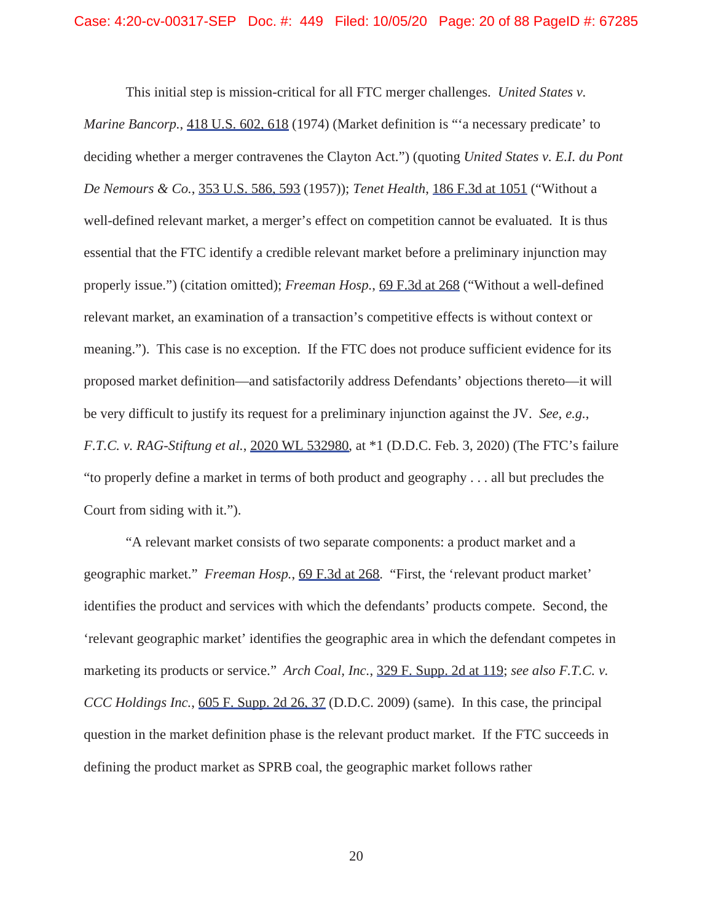This initial step is mission-critical for all FTC merger challenges. *United States v. Marine Bancorp.*, 418 U.S. 602, 618 (1974) (Market definition is "'a necessary predicate' to deciding whether a merger contravenes the Clayton Act.") (quoting *United States v. E.I. du Pont De Nemours & Co.*, 353 U.S. 586, 593 (1957)); *Tenet Health*, 186 F.3d at 1051 ("Without a well-defined relevant market, a merger's effect on competition cannot be evaluated. It is thus essential that the FTC identify a credible relevant market before a preliminary injunction may properly issue.") (citation omitted); *Freeman Hosp.*, 69 F.3d at 268 ("Without a well-defined relevant market, an examination of a transaction's competitive effects is without context or meaning."). This case is no exception. If the FTC does not produce sufficient evidence for its proposed market definition—and satisfactorily address Defendants' objections thereto—it will be very difficult to justify its request for a preliminary injunction against the JV. *See, e.g.*, *F.T.C. v. RAG-Stiftung et al.*, 2020 WL 532980, at \*1 (D.D.C. Feb. 3, 2020) (The FTC's failure "to properly define a market in terms of both product and geography . . . all but precludes the Court from siding with it.").

"A relevant market consists of two separate components: a product market and a geographic market." *Freeman Hosp.*, 69 F.3d at 268. "First, the 'relevant product market' identifies the product and services with which the defendants' products compete. Second, the 'relevant geographic market' identifies the geographic area in which the defendant competes in marketing its products or service." *Arch Coal, Inc.*, 329 F. Supp. 2d at 119; *see also F.T.C. v. CCC Holdings Inc.*, 605 F. Supp. 2d 26, 37 (D.D.C. 2009) (same). In this case, the principal question in the market definition phase is the relevant product market. If the FTC succeeds in defining the product market as SPRB coal, the geographic market follows rather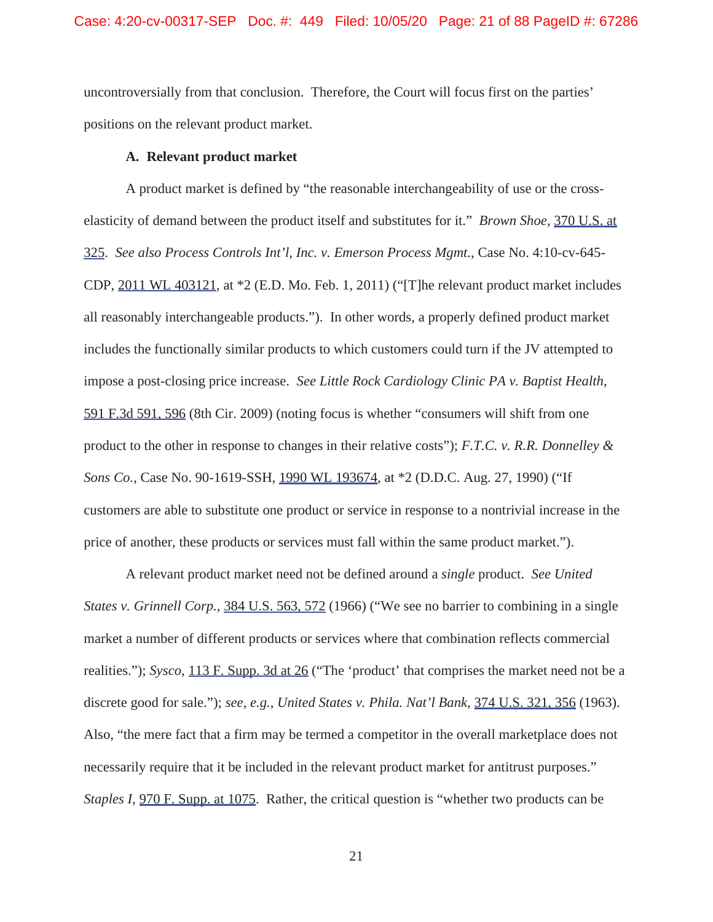uncontroversially from that conclusion. Therefore, the Court will focus first on the parties' positions on the relevant product market.

#### **A. Relevant product market**

A product market is defined by "the reasonable interchangeability of use or the crosselasticity of demand between the product itself and substitutes for it." *Brown Shoe*, 370 U.S. at 325. *See also Process Controls Int'l, Inc. v. Emerson Process Mgmt.*, Case No. 4:10-cv-645- CDP, 2011 WL 403121, at \*2 (E.D. Mo. Feb. 1, 2011) ("[T]he relevant product market includes all reasonably interchangeable products."). In other words, a properly defined product market includes the functionally similar products to which customers could turn if the JV attempted to impose a post-closing price increase. *See Little Rock Cardiology Clinic PA v. Baptist Health*, 591 F.3d 591, 596 (8th Cir. 2009) (noting focus is whether "consumers will shift from one product to the other in response to changes in their relative costs"); *F.T.C. v. R.R. Donnelley & Sons Co.*, Case No. 90-1619-SSH, 1990 WL 193674, at \*2 (D.D.C. Aug. 27, 1990) ("If customers are able to substitute one product or service in response to a nontrivial increase in the price of another, these products or services must fall within the same product market.").

A relevant product market need not be defined around a *single* product. *See United States v. Grinnell Corp.*, 384 U.S. 563, 572 (1966) ("We see no barrier to combining in a single market a number of different products or services where that combination reflects commercial realities."); *Sysco*, 113 F. Supp. 3d at 26 ("The 'product' that comprises the market need not be a discrete good for sale."); *see, e.g.*, *United States v. Phila. Nat'l Bank*, 374 U.S. 321, 356 (1963). Also, "the mere fact that a firm may be termed a competitor in the overall marketplace does not necessarily require that it be included in the relevant product market for antitrust purposes." *Staples I*, 970 F. Supp. at 1075. Rather, the critical question is "whether two products can be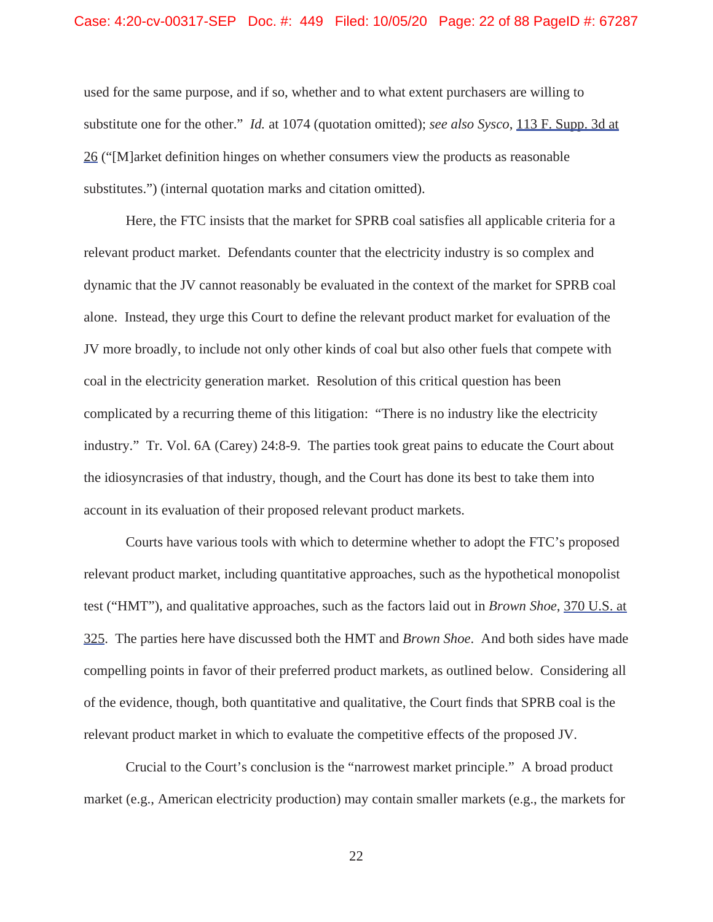#### Case: 4:20-cv-00317-SEP Doc. #: 449 Filed: 10/05/20 Page: 22 of 88 PageID #: 67287

used for the same purpose, and if so, whether and to what extent purchasers are willing to substitute one for the other." *Id.* at 1074 (quotation omitted); *see also Sysco*, 113 F. Supp. 3d at 26 ("[M]arket definition hinges on whether consumers view the products as reasonable substitutes.") (internal quotation marks and citation omitted).

Here, the FTC insists that the market for SPRB coal satisfies all applicable criteria for a relevant product market. Defendants counter that the electricity industry is so complex and dynamic that the JV cannot reasonably be evaluated in the context of the market for SPRB coal alone. Instead, they urge this Court to define the relevant product market for evaluation of the JV more broadly, to include not only other kinds of coal but also other fuels that compete with coal in the electricity generation market. Resolution of this critical question has been complicated by a recurring theme of this litigation: "There is no industry like the electricity industry." Tr. Vol. 6A (Carey) 24:8-9. The parties took great pains to educate the Court about the idiosyncrasies of that industry, though, and the Court has done its best to take them into account in its evaluation of their proposed relevant product markets.

Courts have various tools with which to determine whether to adopt the FTC's proposed relevant product market, including quantitative approaches, such as the hypothetical monopolist test ("HMT"), and qualitative approaches, such as the factors laid out in *Brown Shoe*, 370 U.S. at 325. The parties here have discussed both the HMT and *Brown Shoe*. And both sides have made compelling points in favor of their preferred product markets, as outlined below. Considering all of the evidence, though, both quantitative and qualitative, the Court finds that SPRB coal is the relevant product market in which to evaluate the competitive effects of the proposed JV.

Crucial to the Court's conclusion is the "narrowest market principle." A broad product market (e.g., American electricity production) may contain smaller markets (e.g., the markets for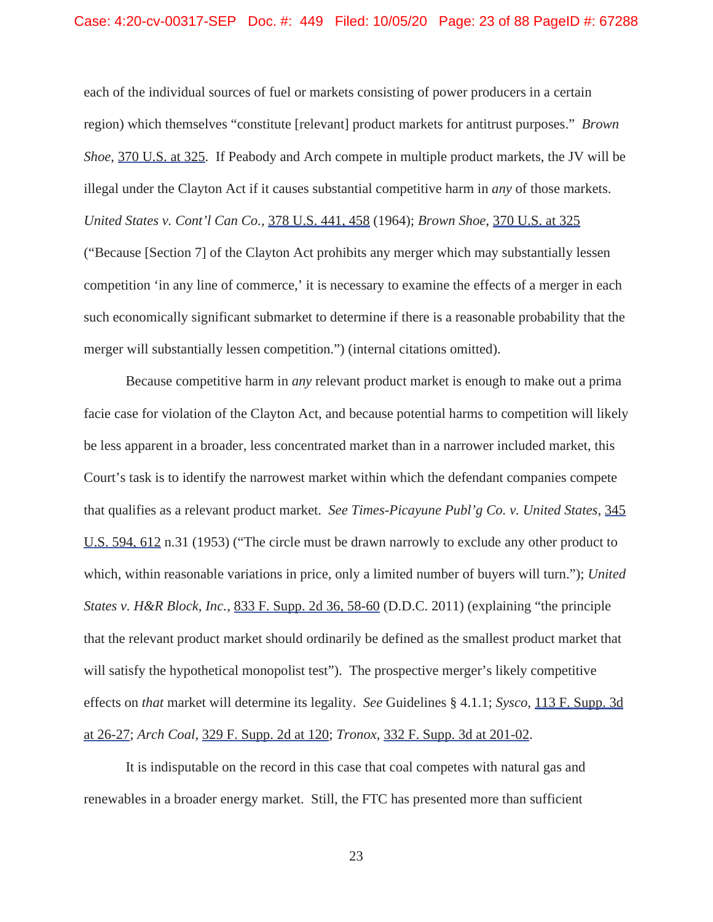#### Case: 4:20-cv-00317-SEP Doc. #: 449 Filed: 10/05/20 Page: 23 of 88 PageID #: 67288

each of the individual sources of fuel or markets consisting of power producers in a certain region) which themselves "constitute [relevant] product markets for antitrust purposes." *Brown Shoe*, 370 U.S. at 325. If Peabody and Arch compete in multiple product markets, the JV will be illegal under the Clayton Act if it causes substantial competitive harm in *any* of those markets. *United States v. Cont'l Can Co.*, 378 U.S. 441, 458 (1964); *Brown Shoe*, 370 U.S. at 325 ("Because [Section 7] of the Clayton Act prohibits any merger which may substantially lessen competition 'in any line of commerce,' it is necessary to examine the effects of a merger in each such economically significant submarket to determine if there is a reasonable probability that the merger will substantially lessen competition.") (internal citations omitted).

Because competitive harm in *any* relevant product market is enough to make out a prima facie case for violation of the Clayton Act, and because potential harms to competition will likely be less apparent in a broader, less concentrated market than in a narrower included market, this Court's task is to identify the narrowest market within which the defendant companies compete that qualifies as a relevant product market. *See Times-Picayune Publ'g Co. v. United States*, 345 U.S. 594, 612 n.31 (1953) ("The circle must be drawn narrowly to exclude any other product to which, within reasonable variations in price, only a limited number of buyers will turn."); *United States v. H&R Block, Inc.*, 833 F. Supp. 2d 36, 58-60 (D.D.C. 2011) (explaining "the principle that the relevant product market should ordinarily be defined as the smallest product market that will satisfy the hypothetical monopolist test"). The prospective merger's likely competitive effects on *that* market will determine its legality. *See* Guidelines § 4.1.1; *Sysco*, 113 F. Supp. 3d at 26-27; *Arch Coal*, 329 F. Supp. 2d at 120; *Tronox*, 332 F. Supp. 3d at 201-02.

It is indisputable on the record in this case that coal competes with natural gas and renewables in a broader energy market. Still, the FTC has presented more than sufficient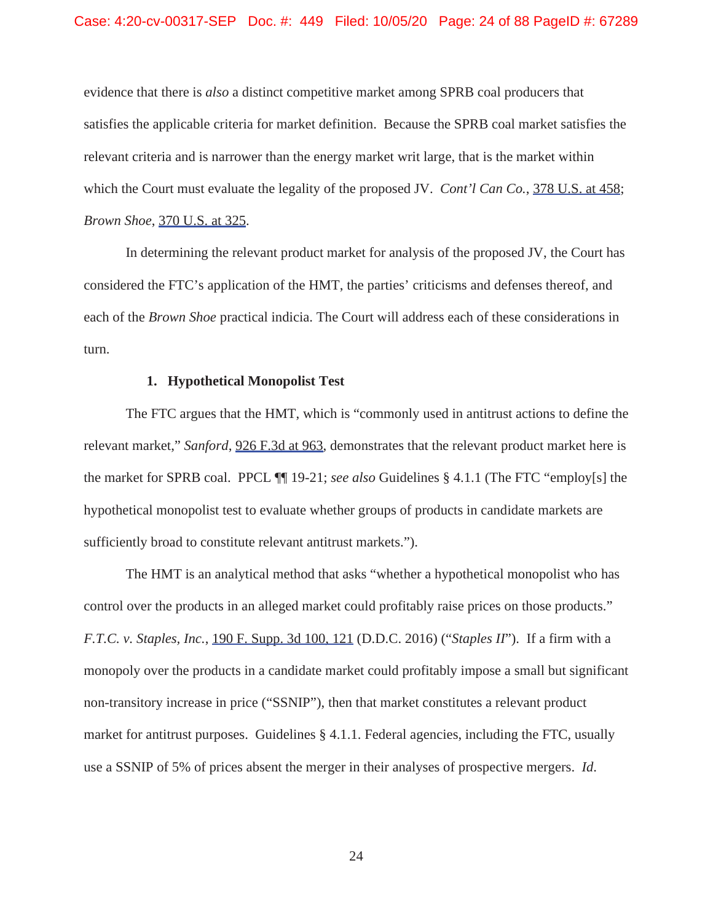evidence that there is *also* a distinct competitive market among SPRB coal producers that satisfies the applicable criteria for market definition. Because the SPRB coal market satisfies the relevant criteria and is narrower than the energy market writ large, that is the market within which the Court must evaluate the legality of the proposed JV. *Cont'l Can Co.*, 378 U.S. at 458; *Brown Shoe*, 370 U.S. at 325.

In determining the relevant product market for analysis of the proposed JV, the Court has considered the FTC's application of the HMT, the parties' criticisms and defenses thereof, and each of the *Brown Shoe* practical indicia. The Court will address each of these considerations in turn.

#### **1. Hypothetical Monopolist Test**

The FTC argues that the HMT, which is "commonly used in antitrust actions to define the relevant market," *Sanford*, 926 F.3d at 963, demonstrates that the relevant product market here is the market for SPRB coal. PPCL ¶¶ 19-21; *see also* Guidelines § 4.1.1 (The FTC "employ[s] the hypothetical monopolist test to evaluate whether groups of products in candidate markets are sufficiently broad to constitute relevant antitrust markets.").

The HMT is an analytical method that asks "whether a hypothetical monopolist who has control over the products in an alleged market could profitably raise prices on those products." *F.T.C. v. Staples, Inc.*, 190 F. Supp. 3d 100, 121 (D.D.C. 2016) ("*Staples II*"). If a firm with a monopoly over the products in a candidate market could profitably impose a small but significant non-transitory increase in price ("SSNIP"), then that market constitutes a relevant product market for antitrust purposes. Guidelines § 4.1.1. Federal agencies, including the FTC, usually use a SSNIP of 5% of prices absent the merger in their analyses of prospective mergers. *Id*.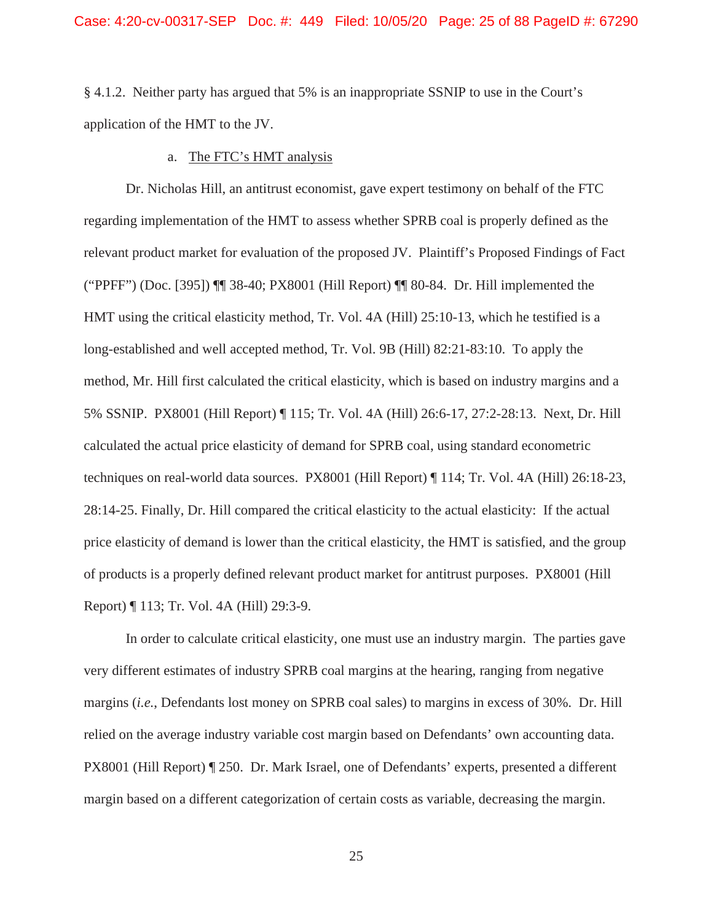§ 4.1.2. Neither party has argued that 5% is an inappropriate SSNIP to use in the Court's application of the HMT to the JV.

#### a. The FTC's HMT analysis

Dr. Nicholas Hill, an antitrust economist, gave expert testimony on behalf of the FTC regarding implementation of the HMT to assess whether SPRB coal is properly defined as the relevant product market for evaluation of the proposed JV. Plaintiff's Proposed Findings of Fact ("PPFF") (Doc. [395]) ¶¶ 38-40; PX8001 (Hill Report) ¶¶ 80-84. Dr. Hill implemented the HMT using the critical elasticity method, Tr. Vol. 4A (Hill) 25:10-13, which he testified is a long-established and well accepted method, Tr. Vol. 9B (Hill) 82:21-83:10. To apply the method, Mr. Hill first calculated the critical elasticity, which is based on industry margins and a 5% SSNIP. PX8001 (Hill Report) ¶ 115; Tr. Vol. 4A (Hill) 26:6-17, 27:2-28:13. Next, Dr. Hill calculated the actual price elasticity of demand for SPRB coal, using standard econometric techniques on real-world data sources. PX8001 (Hill Report) ¶ 114; Tr. Vol. 4A (Hill) 26:18-23, 28:14-25. Finally, Dr. Hill compared the critical elasticity to the actual elasticity: If the actual price elasticity of demand is lower than the critical elasticity, the HMT is satisfied, and the group of products is a properly defined relevant product market for antitrust purposes. PX8001 (Hill Report) ¶ 113; Tr. Vol. 4A (Hill) 29:3-9.

In order to calculate critical elasticity, one must use an industry margin. The parties gave very different estimates of industry SPRB coal margins at the hearing, ranging from negative margins (*i.e.*, Defendants lost money on SPRB coal sales) to margins in excess of 30%. Dr. Hill relied on the average industry variable cost margin based on Defendants' own accounting data. PX8001 (Hill Report) ¶ 250. Dr. Mark Israel, one of Defendants' experts, presented a different margin based on a different categorization of certain costs as variable, decreasing the margin.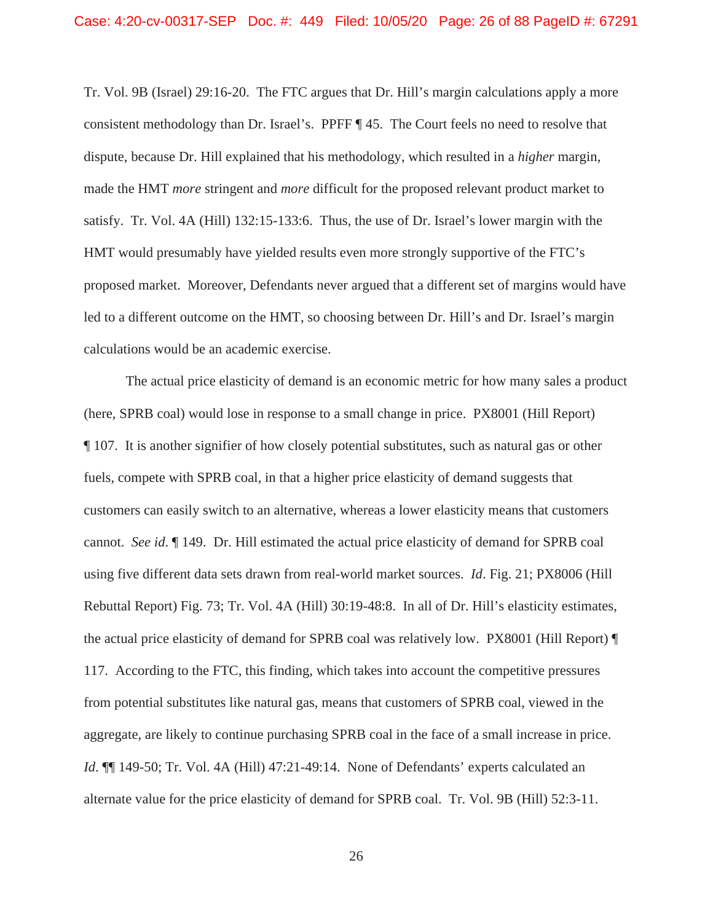Tr. Vol. 9B (Israel) 29:16-20. The FTC argues that Dr. Hill's margin calculations apply a more consistent methodology than Dr. Israel's. PPFF ¶ 45. The Court feels no need to resolve that dispute, because Dr. Hill explained that his methodology, which resulted in a *higher* margin, made the HMT *more* stringent and *more* difficult for the proposed relevant product market to satisfy. Tr. Vol. 4A (Hill) 132:15-133:6. Thus, the use of Dr. Israel's lower margin with the HMT would presumably have yielded results even more strongly supportive of the FTC's proposed market. Moreover, Defendants never argued that a different set of margins would have led to a different outcome on the HMT, so choosing between Dr. Hill's and Dr. Israel's margin calculations would be an academic exercise.

The actual price elasticity of demand is an economic metric for how many sales a product (here, SPRB coal) would lose in response to a small change in price. PX8001 (Hill Report) ¶ 107. It is another signifier of how closely potential substitutes, such as natural gas or other fuels, compete with SPRB coal, in that a higher price elasticity of demand suggests that customers can easily switch to an alternative, whereas a lower elasticity means that customers cannot. *See id*. ¶ 149. Dr. Hill estimated the actual price elasticity of demand for SPRB coal using five different data sets drawn from real-world market sources. *Id*. Fig. 21; PX8006 (Hill Rebuttal Report) Fig. 73; Tr. Vol. 4A (Hill) 30:19-48:8. In all of Dr. Hill's elasticity estimates, the actual price elasticity of demand for SPRB coal was relatively low. PX8001 (Hill Report) ¶ 117. According to the FTC, this finding, which takes into account the competitive pressures from potential substitutes like natural gas, means that customers of SPRB coal, viewed in the aggregate, are likely to continue purchasing SPRB coal in the face of a small increase in price. *Id.*  $\P$ [149-50; Tr. Vol. 4A (Hill) 47:21-49:14. None of Defendants' experts calculated an alternate value for the price elasticity of demand for SPRB coal. Tr. Vol. 9B (Hill) 52:3-11.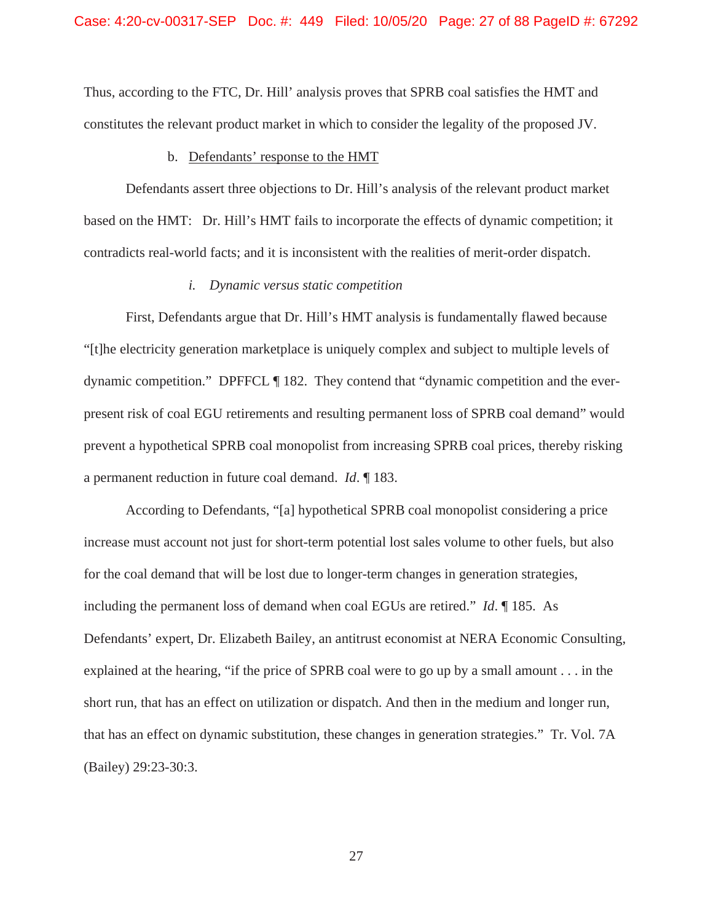Thus, according to the FTC, Dr. Hill' analysis proves that SPRB coal satisfies the HMT and constitutes the relevant product market in which to consider the legality of the proposed JV.

# b. Defendants' response to the HMT

Defendants assert three objections to Dr. Hill's analysis of the relevant product market based on the HMT: Dr. Hill's HMT fails to incorporate the effects of dynamic competition; it contradicts real-world facts; and it is inconsistent with the realities of merit-order dispatch.

#### *i. Dynamic versus static competition*

First, Defendants argue that Dr. Hill's HMT analysis is fundamentally flawed because "[t]he electricity generation marketplace is uniquely complex and subject to multiple levels of dynamic competition." DPFFCL ¶ 182. They contend that "dynamic competition and the everpresent risk of coal EGU retirements and resulting permanent loss of SPRB coal demand" would prevent a hypothetical SPRB coal monopolist from increasing SPRB coal prices, thereby risking a permanent reduction in future coal demand. *Id*. ¶ 183.

According to Defendants, "[a] hypothetical SPRB coal monopolist considering a price increase must account not just for short-term potential lost sales volume to other fuels, but also for the coal demand that will be lost due to longer-term changes in generation strategies, including the permanent loss of demand when coal EGUs are retired." *Id*. ¶ 185. As Defendants' expert, Dr. Elizabeth Bailey, an antitrust economist at NERA Economic Consulting, explained at the hearing, "if the price of SPRB coal were to go up by a small amount . . . in the short run, that has an effect on utilization or dispatch. And then in the medium and longer run, that has an effect on dynamic substitution, these changes in generation strategies." Tr. Vol. 7A (Bailey) 29:23-30:3.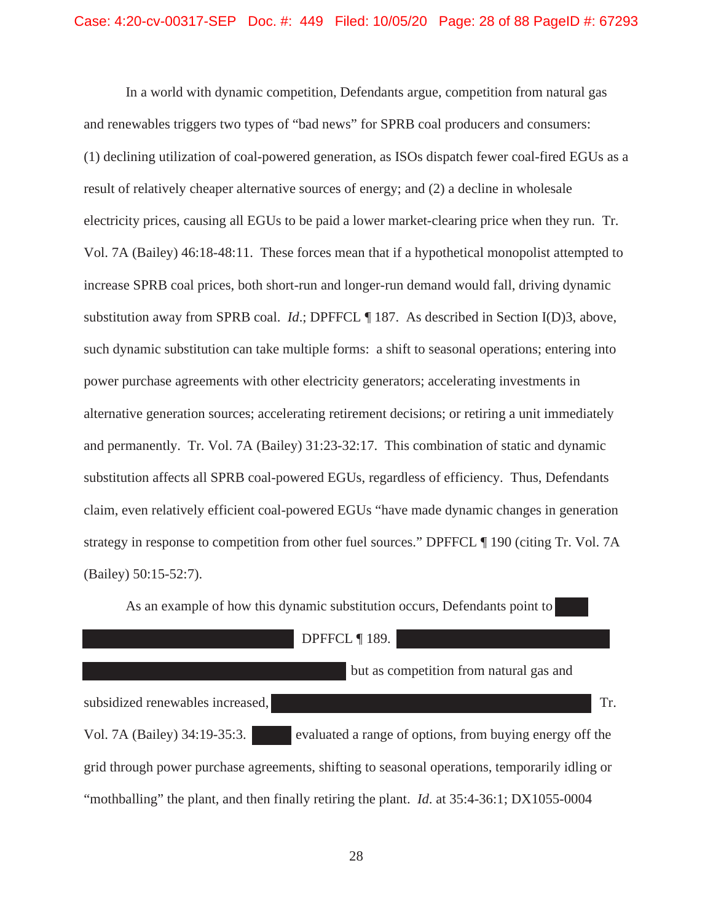In a world with dynamic competition, Defendants argue, competition from natural gas and renewables triggers two types of "bad news" for SPRB coal producers and consumers: (1) declining utilization of coal-powered generation, as ISOs dispatch fewer coal-fired EGUs as a result of relatively cheaper alternative sources of energy; and (2) a decline in wholesale electricity prices, causing all EGUs to be paid a lower market-clearing price when they run. Tr. Vol. 7A (Bailey) 46:18-48:11. These forces mean that if a hypothetical monopolist attempted to increase SPRB coal prices, both short-run and longer-run demand would fall, driving dynamic substitution away from SPRB coal. *Id*.; DPFFCL ¶ 187. As described in Section I(D)3, above, such dynamic substitution can take multiple forms: a shift to seasonal operations; entering into power purchase agreements with other electricity generators; accelerating investments in alternative generation sources; accelerating retirement decisions; or retiring a unit immediately and permanently. Tr. Vol. 7A (Bailey) 31:23-32:17. This combination of static and dynamic substitution affects all SPRB coal-powered EGUs, regardless of efficiency. Thus, Defendants claim, even relatively efficient coal-powered EGUs "have made dynamic changes in generation strategy in response to competition from other fuel sources." DPFFCL ¶ 190 (citing Tr. Vol. 7A (Bailey) 50:15-52:7).

|                                  | DPFFCL ¶ 189.                                                                                      |     |
|----------------------------------|----------------------------------------------------------------------------------------------------|-----|
|                                  | but as competition from natural gas and                                                            |     |
| subsidized renewables increased, |                                                                                                    | Tr. |
| Vol. 7A (Bailey) 34:19-35:3.     | evaluated a range of options, from buying energy off the                                           |     |
|                                  | grid through power purchase agreements, shifting to seasonal operations, temporarily idling or     |     |
|                                  | "mothballing" the plant, and then finally retiring the plant. <i>Id.</i> at 35:4-36:1; DX1055-0004 |     |

As an example of how this dynamic substitution occurs, Defendants point to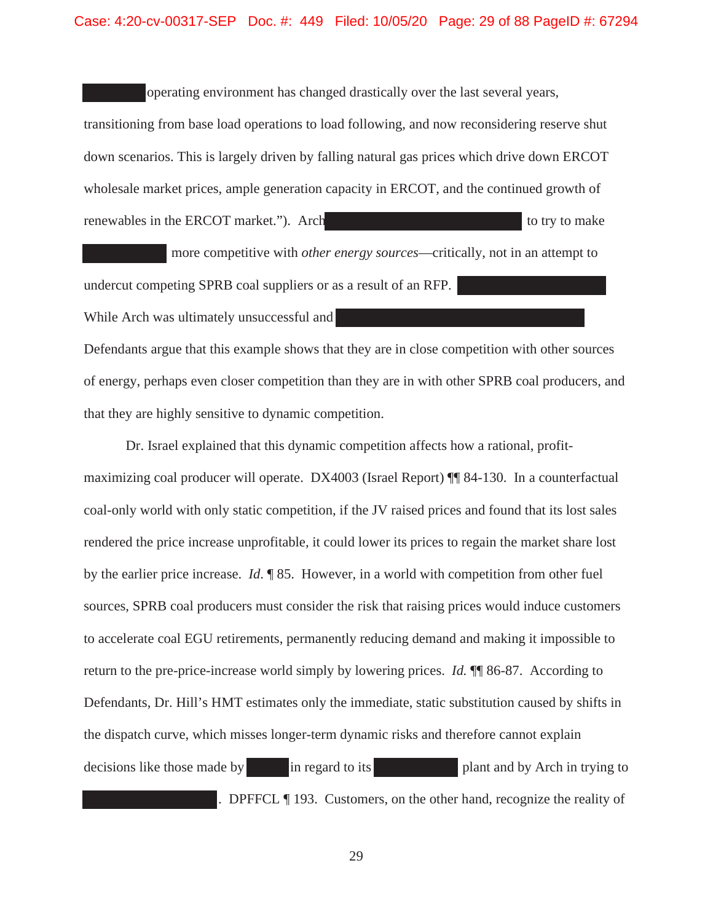#### Case: 4:20-cv-00317-SEP Doc. #: 449 Filed: 10/05/20 Page: 29 of 88 PageID #: 67294

operating environment has changed drastically over the last several years, transitioning from base load operations to load following, and now reconsidering reserve shut down scenarios. This is largely driven by falling natural gas prices which drive down ERCOT wholesale market prices, ample generation capacity in ERCOT, and the continued growth of renewables in the ERCOT market."). Arch to the to try to make to try to make

 more competitive with *other energy sources*—critically, not in an attempt to undercut competing SPRB coal suppliers or as a result of an RFP. While Arch was ultimately unsuccessful and

Defendants argue that this example shows that they are in close competition with other sources of energy, perhaps even closer competition than they are in with other SPRB coal producers, and that they are highly sensitive to dynamic competition.

Dr. Israel explained that this dynamic competition affects how a rational, profitmaximizing coal producer will operate. DX4003 (Israel Report) ¶¶ 84-130. In a counterfactual coal-only world with only static competition, if the JV raised prices and found that its lost sales rendered the price increase unprofitable, it could lower its prices to regain the market share lost by the earlier price increase. *Id*. ¶ 85. However, in a world with competition from other fuel sources, SPRB coal producers must consider the risk that raising prices would induce customers to accelerate coal EGU retirements, permanently reducing demand and making it impossible to return to the pre-price-increase world simply by lowering prices. *Id.* ¶¶ 86-87. According to Defendants, Dr. Hill's HMT estimates only the immediate, static substitution caused by shifts in the dispatch curve, which misses longer-term dynamic risks and therefore cannot explain decisions like those made by in regard to its plant and by Arch in trying to . DPFFCL ¶ 193. Customers, on the other hand, recognize the reality of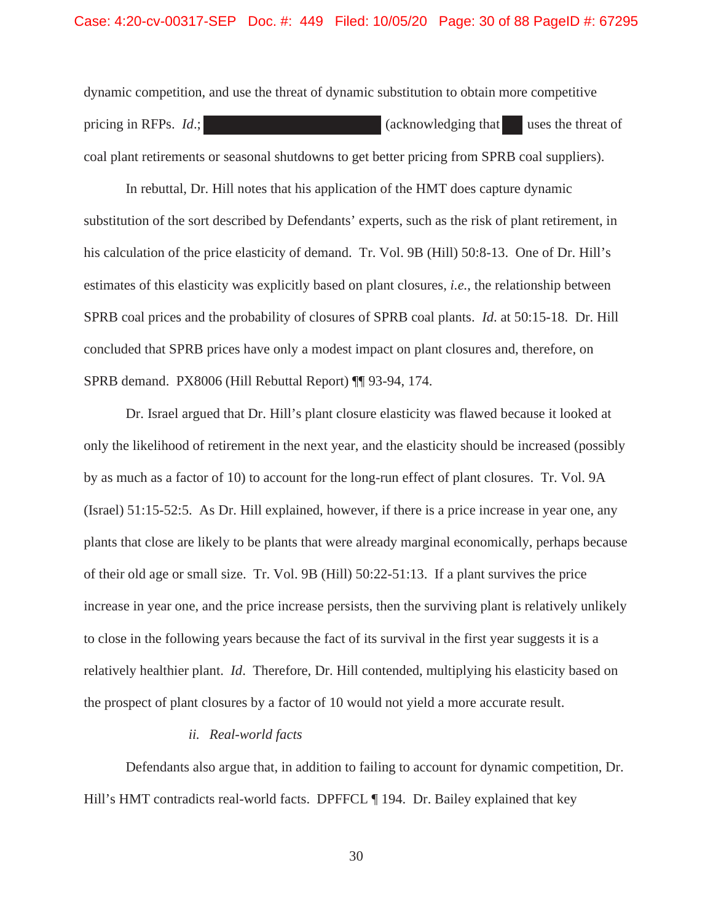dynamic competition, and use the threat of dynamic substitution to obtain more competitive pricing in RFPs. *Id*.; (acknowledging that uses the threat of coal plant retirements or seasonal shutdowns to get better pricing from SPRB coal suppliers).

In rebuttal, Dr. Hill notes that his application of the HMT does capture dynamic substitution of the sort described by Defendants' experts, such as the risk of plant retirement, in his calculation of the price elasticity of demand. Tr. Vol. 9B (Hill) 50:8-13. One of Dr. Hill's estimates of this elasticity was explicitly based on plant closures, *i.e.*, the relationship between SPRB coal prices and the probability of closures of SPRB coal plants. *Id*. at 50:15-18. Dr. Hill concluded that SPRB prices have only a modest impact on plant closures and, therefore, on SPRB demand. PX8006 (Hill Rebuttal Report) ¶¶ 93-94, 174.

Dr. Israel argued that Dr. Hill's plant closure elasticity was flawed because it looked at only the likelihood of retirement in the next year, and the elasticity should be increased (possibly by as much as a factor of 10) to account for the long-run effect of plant closures. Tr. Vol. 9A (Israel) 51:15-52:5. As Dr. Hill explained, however, if there is a price increase in year one, any plants that close are likely to be plants that were already marginal economically, perhaps because of their old age or small size. Tr. Vol. 9B (Hill) 50:22-51:13. If a plant survives the price increase in year one, and the price increase persists, then the surviving plant is relatively unlikely to close in the following years because the fact of its survival in the first year suggests it is a relatively healthier plant. *Id*. Therefore, Dr. Hill contended, multiplying his elasticity based on the prospect of plant closures by a factor of 10 would not yield a more accurate result.

### *ii. Real-world facts*

Defendants also argue that, in addition to failing to account for dynamic competition, Dr. Hill's HMT contradicts real-world facts. DPFFCL ¶ 194. Dr. Bailey explained that key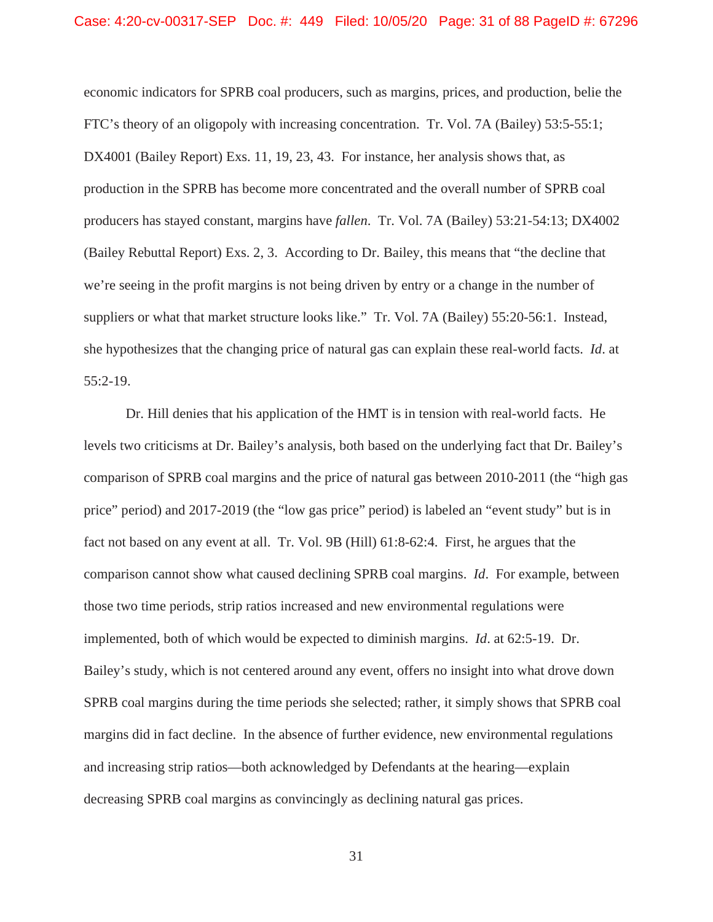economic indicators for SPRB coal producers, such as margins, prices, and production, belie the FTC's theory of an oligopoly with increasing concentration. Tr. Vol. 7A (Bailey) 53:5-55:1; DX4001 (Bailey Report) Exs. 11, 19, 23, 43. For instance, her analysis shows that, as production in the SPRB has become more concentrated and the overall number of SPRB coal producers has stayed constant, margins have *fallen*. Tr. Vol. 7A (Bailey) 53:21-54:13; DX4002 (Bailey Rebuttal Report) Exs. 2, 3. According to Dr. Bailey, this means that "the decline that we're seeing in the profit margins is not being driven by entry or a change in the number of suppliers or what that market structure looks like." Tr. Vol. 7A (Bailey) 55:20-56:1. Instead, she hypothesizes that the changing price of natural gas can explain these real-world facts. *Id*. at 55:2-19.

Dr. Hill denies that his application of the HMT is in tension with real-world facts. He levels two criticisms at Dr. Bailey's analysis, both based on the underlying fact that Dr. Bailey's comparison of SPRB coal margins and the price of natural gas between 2010-2011 (the "high gas price" period) and 2017-2019 (the "low gas price" period) is labeled an "event study" but is in fact not based on any event at all. Tr. Vol. 9B (Hill) 61:8-62:4. First, he argues that the comparison cannot show what caused declining SPRB coal margins. *Id*. For example, between those two time periods, strip ratios increased and new environmental regulations were implemented, both of which would be expected to diminish margins. *Id*. at 62:5-19. Dr. Bailey's study, which is not centered around any event, offers no insight into what drove down SPRB coal margins during the time periods she selected; rather, it simply shows that SPRB coal margins did in fact decline. In the absence of further evidence, new environmental regulations and increasing strip ratios—both acknowledged by Defendants at the hearing—explain decreasing SPRB coal margins as convincingly as declining natural gas prices.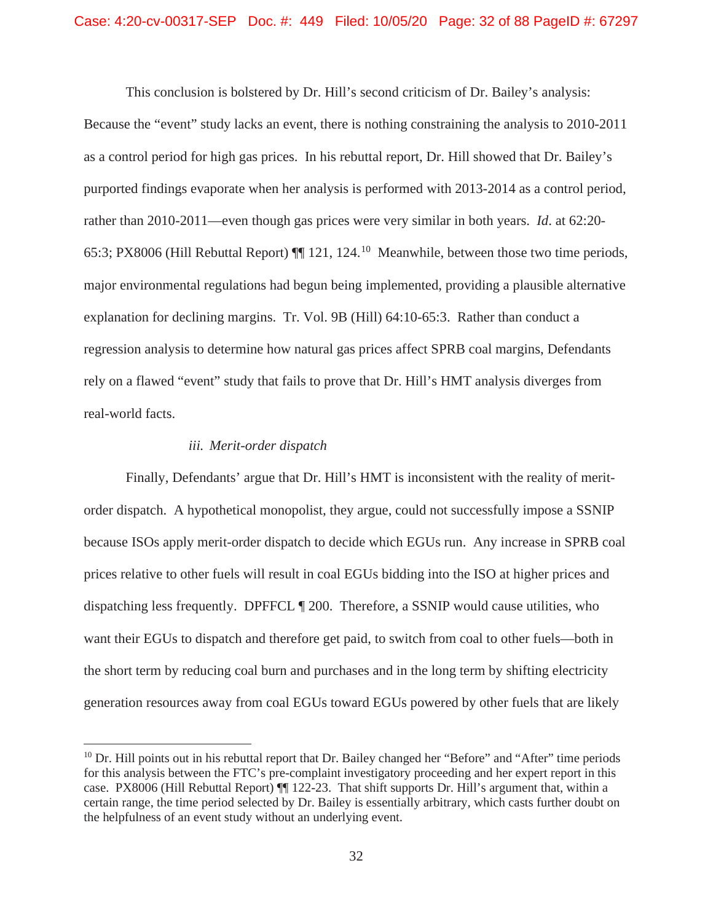This conclusion is bolstered by Dr. Hill's second criticism of Dr. Bailey's analysis: Because the "event" study lacks an event, there is nothing constraining the analysis to 2010-2011 as a control period for high gas prices. In his rebuttal report, Dr. Hill showed that Dr. Bailey's purported findings evaporate when her analysis is performed with 2013-2014 as a control period, rather than 2010-2011—even though gas prices were very similar in both years. *Id*. at 62:20- 65:3; PX8006 (Hill Rebuttal Report) ¶¶ 121, 124.<sup>10</sup> Meanwhile, between those two time periods, major environmental regulations had begun being implemented, providing a plausible alternative explanation for declining margins. Tr. Vol. 9B (Hill) 64:10-65:3. Rather than conduct a regression analysis to determine how natural gas prices affect SPRB coal margins, Defendants rely on a flawed "event" study that fails to prove that Dr. Hill's HMT analysis diverges from real-world facts.

#### *iii. Merit-order dispatch*

Finally, Defendants' argue that Dr. Hill's HMT is inconsistent with the reality of meritorder dispatch. A hypothetical monopolist, they argue, could not successfully impose a SSNIP because ISOs apply merit-order dispatch to decide which EGUs run. Any increase in SPRB coal prices relative to other fuels will result in coal EGUs bidding into the ISO at higher prices and dispatching less frequently. DPFFCL ¶ 200. Therefore, a SSNIP would cause utilities, who want their EGUs to dispatch and therefore get paid, to switch from coal to other fuels—both in the short term by reducing coal burn and purchases and in the long term by shifting electricity generation resources away from coal EGUs toward EGUs powered by other fuels that are likely

 $10$  Dr. Hill points out in his rebuttal report that Dr. Bailey changed her "Before" and "After" time periods for this analysis between the FTC's pre-complaint investigatory proceeding and her expert report in this case. PX8006 (Hill Rebuttal Report) ¶¶ 122-23. That shift supports Dr. Hill's argument that, within a certain range, the time period selected by Dr. Bailey is essentially arbitrary, which casts further doubt on the helpfulness of an event study without an underlying event.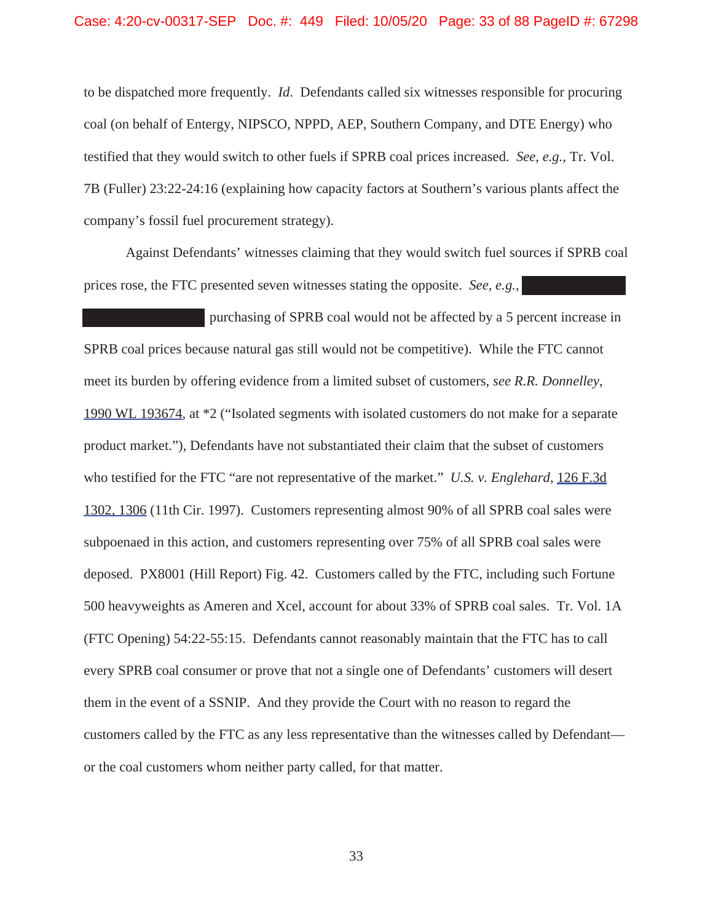to be dispatched more frequently. *Id*. Defendants called six witnesses responsible for procuring coal (on behalf of Entergy, NIPSCO, NPPD, AEP, Southern Company, and DTE Energy) who testified that they would switch to other fuels if SPRB coal prices increased. *See, e.g.*, Tr. Vol. 7B (Fuller) 23:22-24:16 (explaining how capacity factors at Southern's various plants affect the company's fossil fuel procurement strategy).

Against Defendants' witnesses claiming that they would switch fuel sources if SPRB coal prices rose, the FTC presented seven witnesses stating the opposite. *See, e.g.*,

purchasing of SPRB coal would not be affected by a 5 percent increase in SPRB coal prices because natural gas still would not be competitive). While the FTC cannot meet its burden by offering evidence from a limited subset of customers, *see R.R. Donnelley*, 1990 WL 193674, at \*2 ("Isolated segments with isolated customers do not make for a separate product market."), Defendants have not substantiated their claim that the subset of customers who testified for the FTC "are not representative of the market." *U.S. v. Englehard*, 126 F.3d 1302, 1306 (11th Cir. 1997). Customers representing almost 90% of all SPRB coal sales were subpoenaed in this action, and customers representing over 75% of all SPRB coal sales were deposed. PX8001 (Hill Report) Fig. 42. Customers called by the FTC, including such Fortune 500 heavyweights as Ameren and Xcel, account for about 33% of SPRB coal sales. Tr. Vol. 1A (FTC Opening) 54:22-55:15. Defendants cannot reasonably maintain that the FTC has to call every SPRB coal consumer or prove that not a single one of Defendants' customers will desert them in the event of a SSNIP. And they provide the Court with no reason to regard the customers called by the FTC as any less representative than the witnesses called by Defendant or the coal customers whom neither party called, for that matter.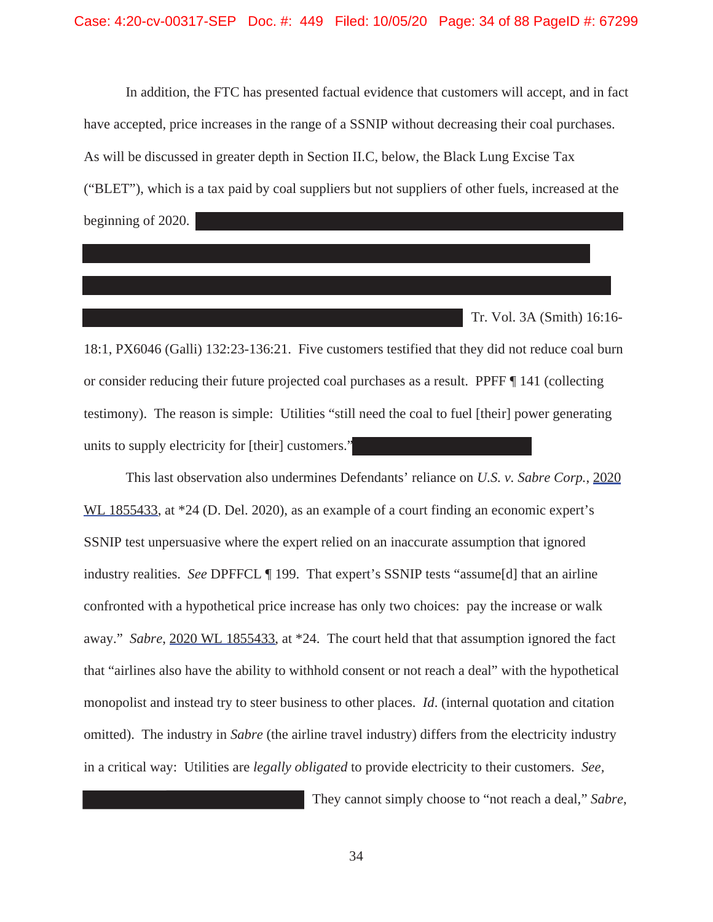In addition, the FTC has presented factual evidence that customers will accept, and in fact have accepted, price increases in the range of a SSNIP without decreasing their coal purchases. As will be discussed in greater depth in Section II.C, below, the Black Lung Excise Tax ("BLET"), which is a tax paid by coal suppliers but not suppliers of other fuels, increased at the beginning of 2020.

Tr. Vol. 3A (Smith) 16:16-

18:1, PX6046 (Galli) 132:23-136:21. Five customers testified that they did not reduce coal burn or consider reducing their future projected coal purchases as a result. PPFF ¶ 141 (collecting testimony). The reason is simple: Utilities "still need the coal to fuel [their] power generating units to supply electricity for [their] customers."

This last observation also undermines Defendants' reliance on *U.S. v. Sabre Corp.*, 2020 WL 1855433, at \*24 (D. Del. 2020), as an example of a court finding an economic expert's SSNIP test unpersuasive where the expert relied on an inaccurate assumption that ignored industry realities. *See* DPFFCL ¶ 199. That expert's SSNIP tests "assume[d] that an airline confronted with a hypothetical price increase has only two choices: pay the increase or walk away." *Sabre*, 2020 WL 1855433, at \*24. The court held that that assumption ignored the fact that "airlines also have the ability to withhold consent or not reach a deal" with the hypothetical monopolist and instead try to steer business to other places. *Id*. (internal quotation and citation omitted). The industry in *Sabre* (the airline travel industry) differs from the electricity industry in a critical way: Utilities are *legally obligated* to provide electricity to their customers. *See,* 

They cannot simply choose to "not reach a deal," *Sabre*,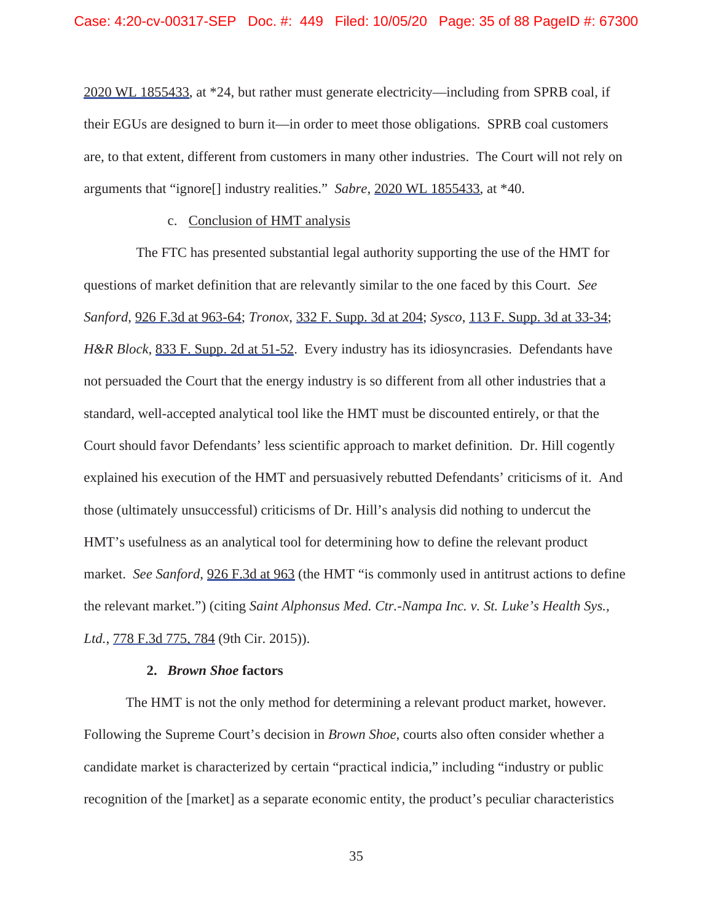2020 WL 1855433, at \*24, but rather must generate electricity—including from SPRB coal, if their EGUs are designed to burn it—in order to meet those obligations. SPRB coal customers are, to that extent, different from customers in many other industries. The Court will not rely on arguments that "ignore[] industry realities." *Sabre*, 2020 WL 1855433, at \*40.

# c. Conclusion of HMT analysis

The FTC has presented substantial legal authority supporting the use of the HMT for questions of market definition that are relevantly similar to the one faced by this Court. *See Sanford*, 926 F.3d at 963-64; *Tronox*, 332 F. Supp. 3d at 204; *Sysco*, 113 F. Supp. 3d at 33-34; *H&R Block*, 833 F. Supp. 2d at 51-52. Every industry has its idiosyncrasies. Defendants have not persuaded the Court that the energy industry is so different from all other industries that a standard, well-accepted analytical tool like the HMT must be discounted entirely, or that the Court should favor Defendants' less scientific approach to market definition. Dr. Hill cogently explained his execution of the HMT and persuasively rebutted Defendants' criticisms of it. And those (ultimately unsuccessful) criticisms of Dr. Hill's analysis did nothing to undercut the HMT's usefulness as an analytical tool for determining how to define the relevant product market. *See Sanford*, 926 F.3d at 963 (the HMT "is commonly used in antitrust actions to define the relevant market.") (citing *Saint Alphonsus Med. Ctr.-Nampa Inc. v. St. Luke's Health Sys., Ltd.*, 778 F.3d 775, 784 (9th Cir. 2015)).

# **2.** *Brown Shoe* **factors**

The HMT is not the only method for determining a relevant product market, however. Following the Supreme Court's decision in *Brown Shoe*, courts also often consider whether a candidate market is characterized by certain "practical indicia," including "industry or public recognition of the [market] as a separate economic entity, the product's peculiar characteristics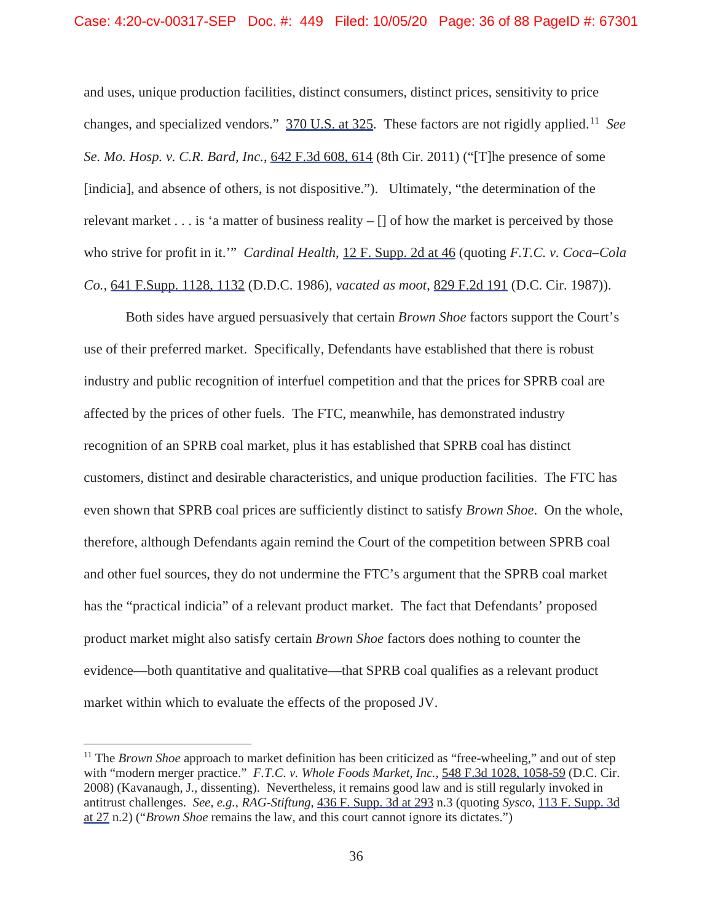and uses, unique production facilities, distinct consumers, distinct prices, sensitivity to price changes, and specialized vendors." 370 U.S. at 325. These factors are not rigidly applied.<sup>11</sup> *See Se. Mo. Hosp. v. C.R. Bard, Inc.*, 642 F.3d 608, 614 (8th Cir. 2011) ("[T]he presence of some [indicia], and absence of others, is not dispositive."). Ultimately, "the determination of the relevant market  $\dots$  is 'a matter of business reality  $- \iint$  of how the market is perceived by those who strive for profit in it.'" *Cardinal Health*, 12 F. Supp. 2d at 46 (quoting *F.T.C. v. Coca–Cola Co.*, 641 F.Supp. 1128, 1132 (D.D.C. 1986), *vacated as moot*, 829 F.2d 191 (D.C. Cir. 1987)).

Both sides have argued persuasively that certain *Brown Shoe* factors support the Court's use of their preferred market. Specifically, Defendants have established that there is robust industry and public recognition of interfuel competition and that the prices for SPRB coal are affected by the prices of other fuels. The FTC, meanwhile, has demonstrated industry recognition of an SPRB coal market, plus it has established that SPRB coal has distinct customers, distinct and desirable characteristics, and unique production facilities. The FTC has even shown that SPRB coal prices are sufficiently distinct to satisfy *Brown Shoe*. On the whole, therefore, although Defendants again remind the Court of the competition between SPRB coal and other fuel sources, they do not undermine the FTC's argument that the SPRB coal market has the "practical indicia" of a relevant product market. The fact that Defendants' proposed product market might also satisfy certain *Brown Shoe* factors does nothing to counter the evidence—both quantitative and qualitative—that SPRB coal qualifies as a relevant product market within which to evaluate the effects of the proposed JV.

<sup>&</sup>lt;sup>11</sup> The *Brown Shoe* approach to market definition has been criticized as "free-wheeling," and out of step with "modern merger practice." *F.T.C. v. Whole Foods Market, Inc.*, 548 F.3d 1028, 1058-59 (D.C. Cir. 2008) (Kavanaugh, J., dissenting). Nevertheless, it remains good law and is still regularly invoked in antitrust challenges. *See, e.g.*, *RAG-Stiftung*, 436 F. Supp. 3d at 293 n.3 (quoting *Sysco*, 113 F. Supp. 3d at 27 n.2) ("*Brown Shoe* remains the law, and this court cannot ignore its dictates.")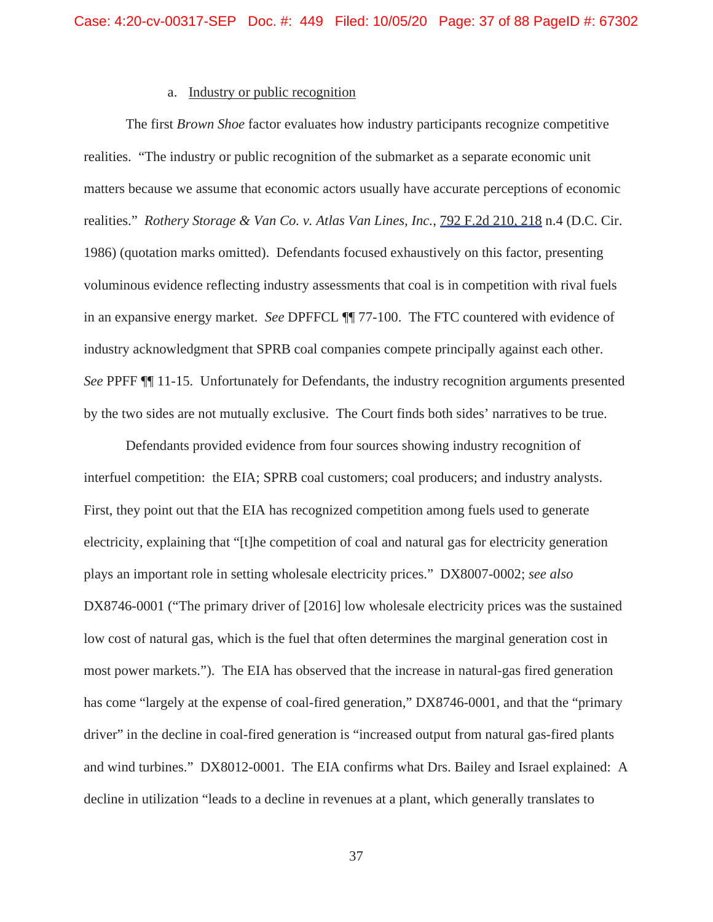## a. Industry or public recognition

The first *Brown Shoe* factor evaluates how industry participants recognize competitive realities. "The industry or public recognition of the submarket as a separate economic unit matters because we assume that economic actors usually have accurate perceptions of economic realities." *Rothery Storage & Van Co. v. Atlas Van Lines, Inc.*, 792 F.2d 210, 218 n.4 (D.C. Cir. 1986) (quotation marks omitted). Defendants focused exhaustively on this factor, presenting voluminous evidence reflecting industry assessments that coal is in competition with rival fuels in an expansive energy market. *See* DPFFCL ¶¶ 77-100. The FTC countered with evidence of industry acknowledgment that SPRB coal companies compete principally against each other. *See* PPFF ¶¶ 11-15. Unfortunately for Defendants, the industry recognition arguments presented by the two sides are not mutually exclusive. The Court finds both sides' narratives to be true.

Defendants provided evidence from four sources showing industry recognition of interfuel competition: the EIA; SPRB coal customers; coal producers; and industry analysts. First, they point out that the EIA has recognized competition among fuels used to generate electricity, explaining that "[t]he competition of coal and natural gas for electricity generation plays an important role in setting wholesale electricity prices." DX8007-0002; *see also* DX8746-0001 ("The primary driver of [2016] low wholesale electricity prices was the sustained low cost of natural gas, which is the fuel that often determines the marginal generation cost in most power markets."). The EIA has observed that the increase in natural-gas fired generation has come "largely at the expense of coal-fired generation," DX8746-0001, and that the "primary driver" in the decline in coal-fired generation is "increased output from natural gas-fired plants and wind turbines." DX8012-0001. The EIA confirms what Drs. Bailey and Israel explained: A decline in utilization "leads to a decline in revenues at a plant, which generally translates to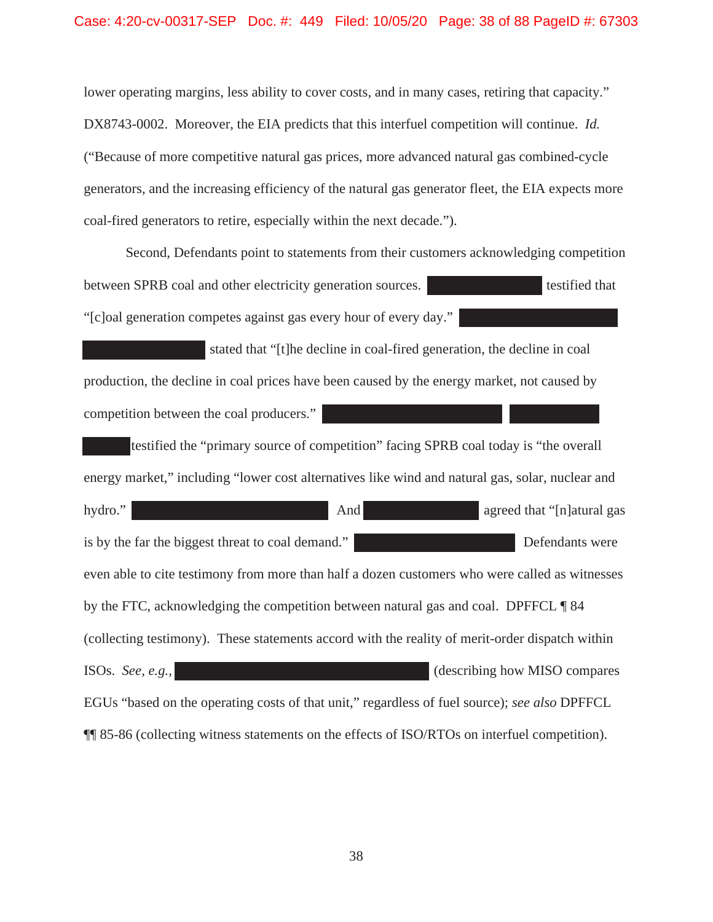lower operating margins, less ability to cover costs, and in many cases, retiring that capacity." DX8743-0002. Moreover, the EIA predicts that this interfuel competition will continue. *Id.* ("Because of more competitive natural gas prices, more advanced natural gas combined-cycle generators, and the increasing efficiency of the natural gas generator fleet, the EIA expects more coal-fired generators to retire, especially within the next decade.").

Second, Defendants point to statements from their customers acknowledging competition between SPRB coal and other electricity generation sources. "[c]oal generation competes against gas every hour of every day."

 stated that "[t]he decline in coal-fired generation, the decline in coal production, the decline in coal prices have been caused by the energy market, not caused by competition between the coal producers."

testified the "primary source of competition" facing SPRB coal today is "the overall energy market," including "lower cost alternatives like wind and natural gas, solar, nuclear and hydro." **And** agreed that "[n]atural gas is by the far the biggest threat to coal demand." Defendants were even able to cite testimony from more than half a dozen customers who were called as witnesses by the FTC, acknowledging the competition between natural gas and coal. DPFFCL ¶ 84 (collecting testimony). These statements accord with the reality of merit-order dispatch within ISOs. *See, e.g.,* (describing how MISO compares EGUs "based on the operating costs of that unit," regardless of fuel source); *see also* DPFFCL ¶¶ 85-86 (collecting witness statements on the effects of ISO/RTOs on interfuel competition).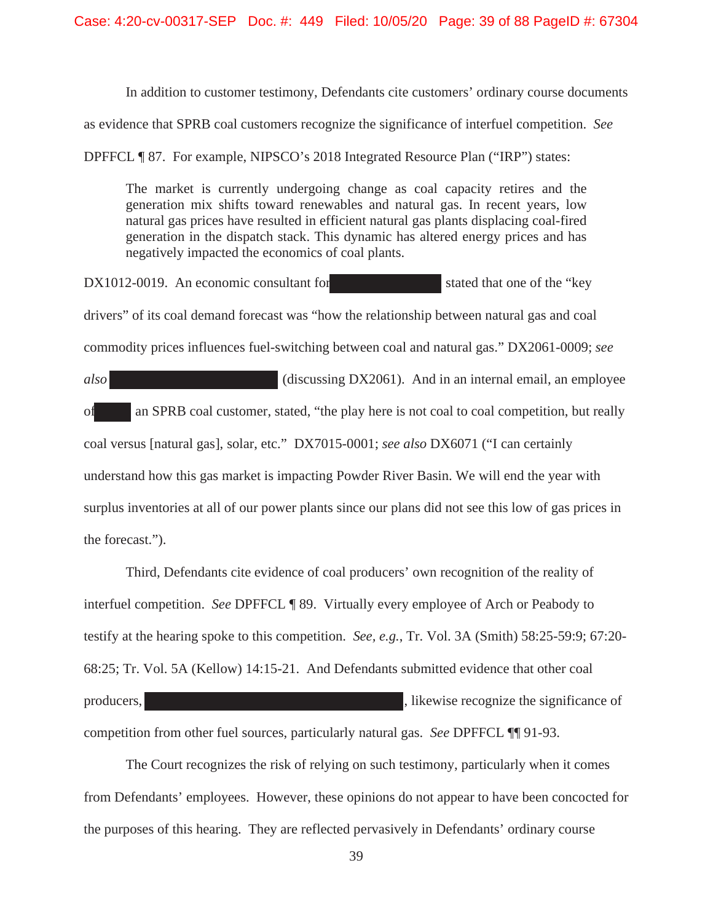In addition to customer testimony, Defendants cite customers' ordinary course documents

as evidence that SPRB coal customers recognize the significance of interfuel competition. *See*

DPFFCL ¶ 87. For example, NIPSCO's 2018 Integrated Resource Plan ("IRP") states:

The market is currently undergoing change as coal capacity retires and the generation mix shifts toward renewables and natural gas. In recent years, low natural gas prices have resulted in efficient natural gas plants displacing coal-fired generation in the dispatch stack. This dynamic has altered energy prices and has negatively impacted the economics of coal plants.

 $DX1012-0019$ . An economic consultant for stated that one of the "key" drivers" of its coal demand forecast was "how the relationship between natural gas and coal commodity prices influences fuel-switching between coal and natural gas." DX2061-0009; *see* 

*also* (discussing DX2061). And in an internal email, an employee of an SPRB coal customer, stated, "the play here is not coal to coal competition, but really coal versus [natural gas], solar, etc." DX7015-0001; *see also* DX6071 ("I can certainly understand how this gas market is impacting Powder River Basin. We will end the year with surplus inventories at all of our power plants since our plans did not see this low of gas prices in the forecast.").

Third, Defendants cite evidence of coal producers' own recognition of the reality of interfuel competition. *See* DPFFCL ¶ 89. Virtually every employee of Arch or Peabody to testify at the hearing spoke to this competition. *See, e.g.*, Tr. Vol. 3A (Smith) 58:25-59:9; 67:20- 68:25; Tr. Vol. 5A (Kellow) 14:15-21. And Defendants submitted evidence that other coal producers,  $\mu$  illustration is the significance of  $\mu$ , likewise recognize the significance of competition from other fuel sources, particularly natural gas. *See* DPFFCL ¶¶ 91-93.

The Court recognizes the risk of relying on such testimony, particularly when it comes from Defendants' employees. However, these opinions do not appear to have been concocted for the purposes of this hearing. They are reflected pervasively in Defendants' ordinary course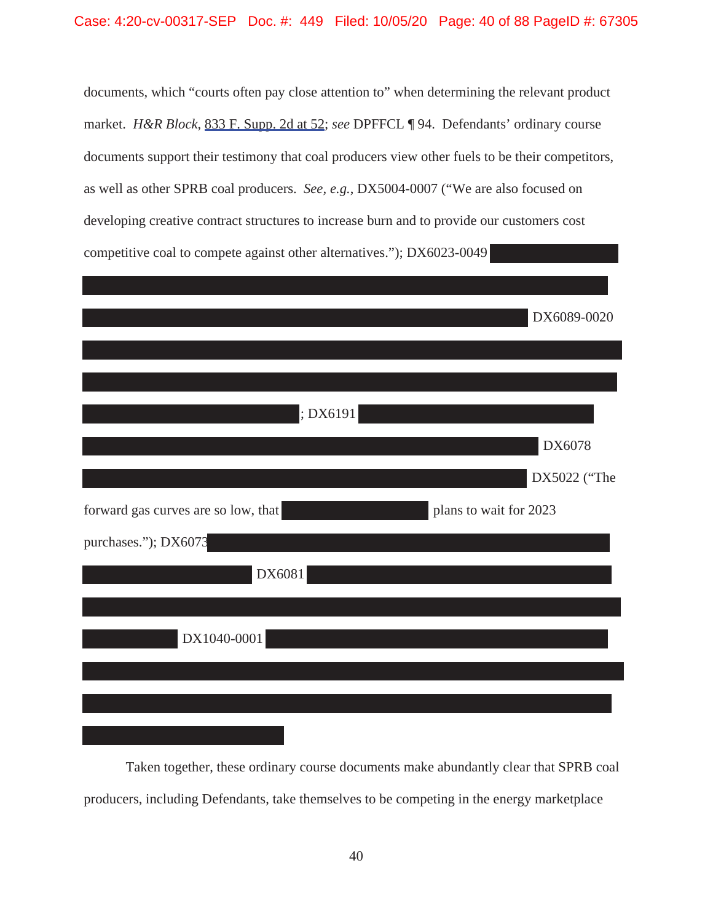documents, which "courts often pay close attention to" when determining the relevant product market. *H&R Block*, 833 F. Supp. 2d at 52; *see* DPFFCL ¶ 94. Defendants' ordinary course documents support their testimony that coal producers view other fuels to be their competitors, as well as other SPRB coal producers. *See, e.g.*, DX5004-0007 ("We are also focused on developing creative contract structures to increase burn and to provide our customers cost competitive coal to compete against other alternatives."); DX6023-0049

|                                     | DX6089-0020            |
|-------------------------------------|------------------------|
|                                     |                        |
|                                     |                        |
| ; DX6191                            |                        |
|                                     | DX6078                 |
|                                     | DX5022 ("The           |
| forward gas curves are so low, that | plans to wait for 2023 |
| purchases."); DX6073                |                        |
| DX6081                              |                        |
|                                     |                        |
| DX1040-0001                         |                        |
|                                     |                        |
|                                     |                        |
|                                     |                        |

Taken together, these ordinary course documents make abundantly clear that SPRB coal producers, including Defendants, take themselves to be competing in the energy marketplace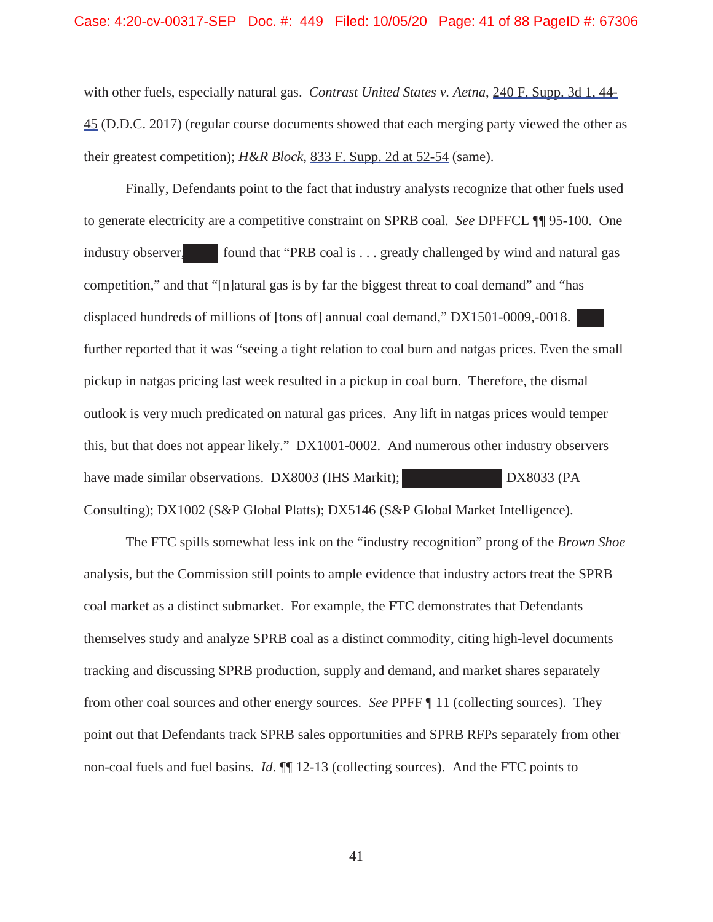with other fuels, especially natural gas. *Contrast United States v. Aetna*, 240 F. Supp. 3d 1, 44- 45 (D.D.C. 2017) (regular course documents showed that each merging party viewed the other as their greatest competition); *H&R Block*, 833 F. Supp. 2d at 52-54 (same).

Finally, Defendants point to the fact that industry analysts recognize that other fuels used to generate electricity are a competitive constraint on SPRB coal. *See* DPFFCL ¶¶ 95-100. One industry observer, found that "PRB coal is  $\ldots$  greatly challenged by wind and natural gas competition," and that "[n]atural gas is by far the biggest threat to coal demand" and "has displaced hundreds of millions of [tons of] annual coal demand," DX1501-0009,-0018. further reported that it was "seeing a tight relation to coal burn and natgas prices. Even the small pickup in natgas pricing last week resulted in a pickup in coal burn. Therefore, the dismal outlook is very much predicated on natural gas prices. Any lift in natgas prices would temper this, but that does not appear likely." DX1001-0002. And numerous other industry observers have made similar observations. DX8003 (IHS Markit); DX8033 (PA Consulting); DX1002 (S&P Global Platts); DX5146 (S&P Global Market Intelligence).

The FTC spills somewhat less ink on the "industry recognition" prong of the *Brown Shoe* analysis, but the Commission still points to ample evidence that industry actors treat the SPRB coal market as a distinct submarket. For example, the FTC demonstrates that Defendants themselves study and analyze SPRB coal as a distinct commodity, citing high-level documents tracking and discussing SPRB production, supply and demand, and market shares separately from other coal sources and other energy sources. *See* PPFF ¶ 11 (collecting sources). They point out that Defendants track SPRB sales opportunities and SPRB RFPs separately from other non-coal fuels and fuel basins. *Id*. ¶¶ 12-13 (collecting sources). And the FTC points to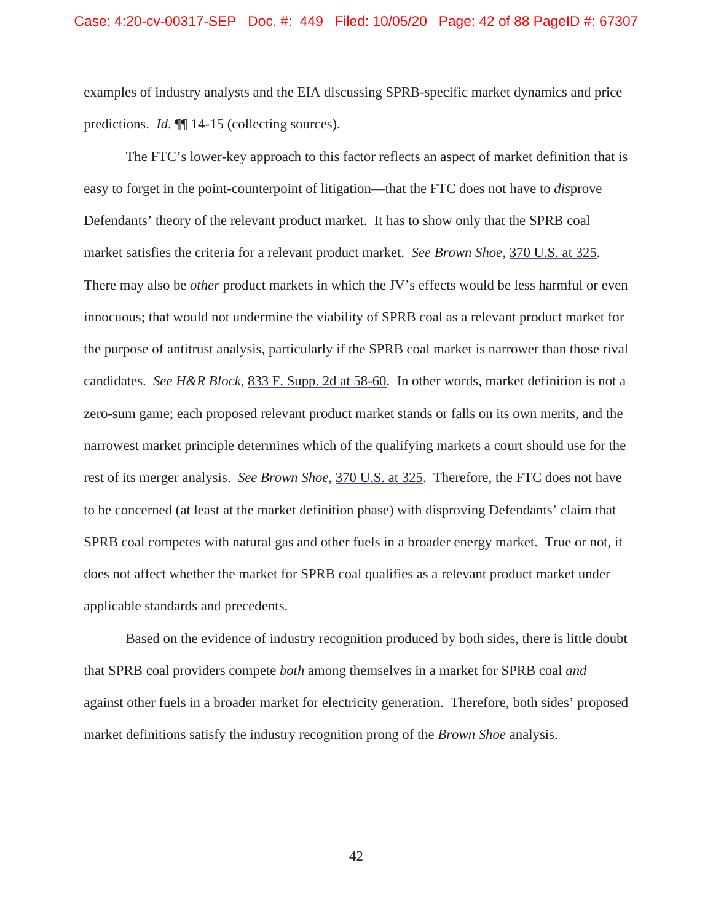examples of industry analysts and the EIA discussing SPRB-specific market dynamics and price predictions. *Id*. ¶¶ 14-15 (collecting sources).

The FTC's lower-key approach to this factor reflects an aspect of market definition that is easy to forget in the point-counterpoint of litigation—that the FTC does not have to *dis*prove Defendants' theory of the relevant product market. It has to show only that the SPRB coal market satisfies the criteria for a relevant product market. *See Brown Shoe*, 370 U.S. at 325. There may also be *other* product markets in which the JV's effects would be less harmful or even innocuous; that would not undermine the viability of SPRB coal as a relevant product market for the purpose of antitrust analysis, particularly if the SPRB coal market is narrower than those rival candidates. *See H&R Block*, 833 F. Supp. 2d at 58-60. In other words, market definition is not a zero-sum game; each proposed relevant product market stands or falls on its own merits, and the narrowest market principle determines which of the qualifying markets a court should use for the rest of its merger analysis. *See Brown Shoe*, 370 U.S. at 325. Therefore, the FTC does not have to be concerned (at least at the market definition phase) with disproving Defendants' claim that SPRB coal competes with natural gas and other fuels in a broader energy market. True or not, it does not affect whether the market for SPRB coal qualifies as a relevant product market under applicable standards and precedents.

Based on the evidence of industry recognition produced by both sides, there is little doubt that SPRB coal providers compete *both* among themselves in a market for SPRB coal *and* against other fuels in a broader market for electricity generation. Therefore, both sides' proposed market definitions satisfy the industry recognition prong of the *Brown Shoe* analysis.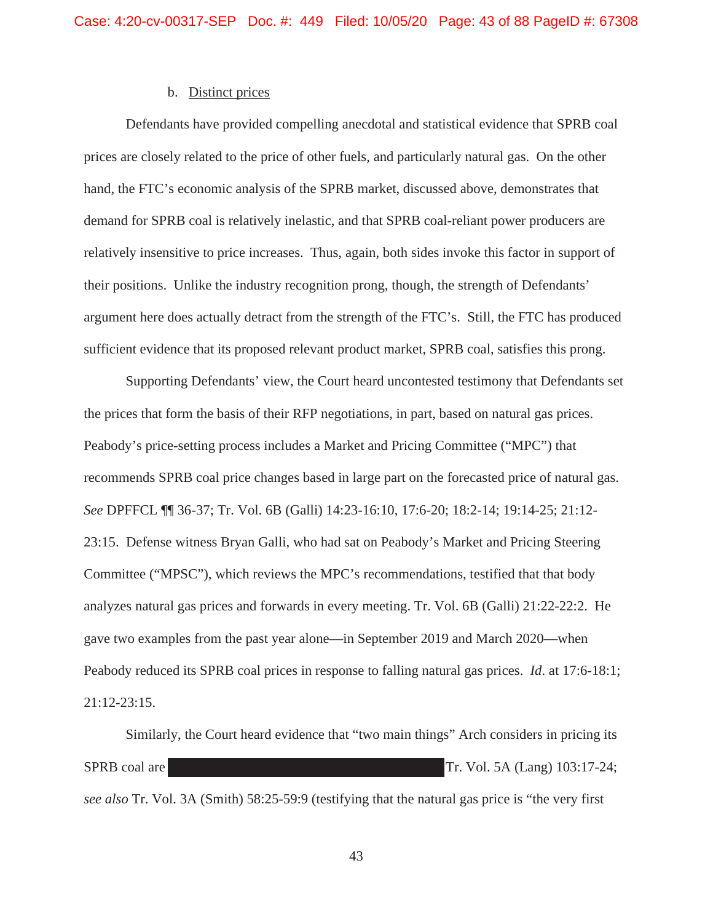## b. Distinct prices

Defendants have provided compelling anecdotal and statistical evidence that SPRB coal prices are closely related to the price of other fuels, and particularly natural gas. On the other hand, the FTC's economic analysis of the SPRB market, discussed above, demonstrates that demand for SPRB coal is relatively inelastic, and that SPRB coal-reliant power producers are relatively insensitive to price increases. Thus, again, both sides invoke this factor in support of their positions. Unlike the industry recognition prong, though, the strength of Defendants' argument here does actually detract from the strength of the FTC's. Still, the FTC has produced sufficient evidence that its proposed relevant product market, SPRB coal, satisfies this prong.

Supporting Defendants' view, the Court heard uncontested testimony that Defendants set the prices that form the basis of their RFP negotiations, in part, based on natural gas prices. Peabody's price-setting process includes a Market and Pricing Committee ("MPC") that recommends SPRB coal price changes based in large part on the forecasted price of natural gas. *See* DPFFCL ¶¶ 36-37; Tr. Vol. 6B (Galli) 14:23-16:10, 17:6-20; 18:2-14; 19:14-25; 21:12- 23:15. Defense witness Bryan Galli, who had sat on Peabody's Market and Pricing Steering Committee ("MPSC"), which reviews the MPC's recommendations, testified that that body analyzes natural gas prices and forwards in every meeting. Tr. Vol. 6B (Galli) 21:22-22:2. He gave two examples from the past year alone—in September 2019 and March 2020—when Peabody reduced its SPRB coal prices in response to falling natural gas prices. *Id*. at 17:6-18:1; 21:12-23:15.

Similarly, the Court heard evidence that "two main things" Arch considers in pricing its SPRB coal are Tr. Vol. 5A (Lang) 103:17-24; *see also* Tr. Vol. 3A (Smith) 58:25-59:9 (testifying that the natural gas price is "the very first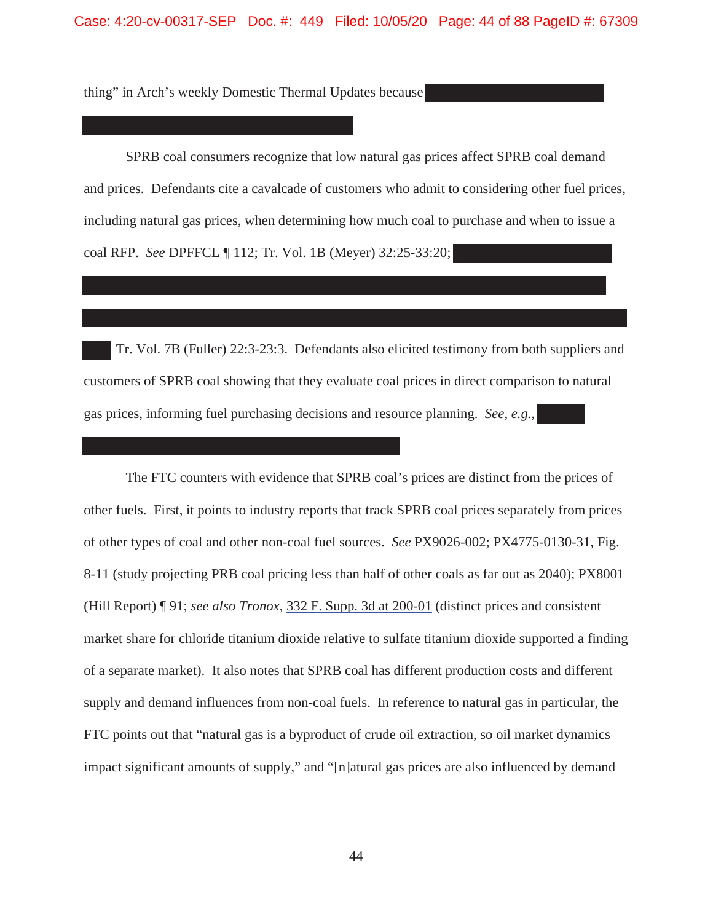Case: 4:20-cv-00317-SEP Doc. #: 449 Filed: 10/05/20 Page: 44 of 88 PageID #: 67309

thing" in Arch's weekly Domestic Thermal Updates because

SPRB coal consumers recognize that low natural gas prices affect SPRB coal demand and prices. Defendants cite a cavalcade of customers who admit to considering other fuel prices, including natural gas prices, when determining how much coal to purchase and when to issue a coal RFP. *See* DPFFCL ¶ 112; Tr. Vol. 1B (Meyer) 32:25-33:20;

 Tr. Vol. 7B (Fuller) 22:3-23:3. Defendants also elicited testimony from both suppliers and customers of SPRB coal showing that they evaluate coal prices in direct comparison to natural gas prices, informing fuel purchasing decisions and resource planning. *See, e.g.*,

The FTC counters with evidence that SPRB coal's prices are distinct from the prices of other fuels. First, it points to industry reports that track SPRB coal prices separately from prices of other types of coal and other non-coal fuel sources. *See* PX9026-002; PX4775-0130-31, Fig. 8-11 (study projecting PRB coal pricing less than half of other coals as far out as 2040); PX8001 (Hill Report) ¶ 91; *see also Tronox*, 332 F. Supp. 3d at 200-01 (distinct prices and consistent market share for chloride titanium dioxide relative to sulfate titanium dioxide supported a finding of a separate market). It also notes that SPRB coal has different production costs and different supply and demand influences from non-coal fuels. In reference to natural gas in particular, the FTC points out that "natural gas is a byproduct of crude oil extraction, so oil market dynamics impact significant amounts of supply," and "[n]atural gas prices are also influenced by demand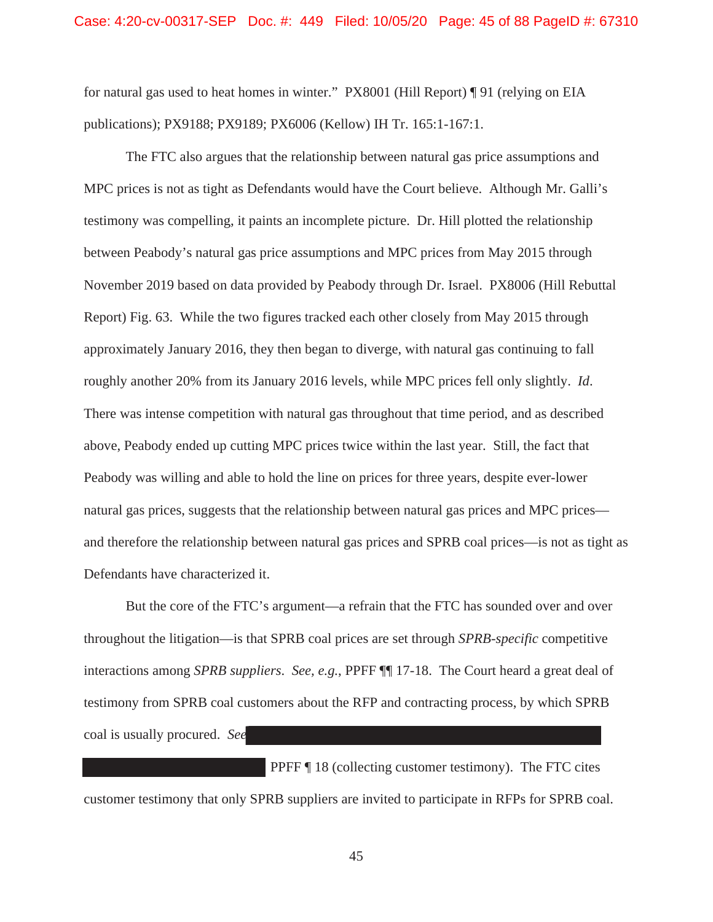for natural gas used to heat homes in winter." PX8001 (Hill Report) ¶ 91 (relying on EIA publications); PX9188; PX9189; PX6006 (Kellow) IH Tr. 165:1-167:1.

The FTC also argues that the relationship between natural gas price assumptions and MPC prices is not as tight as Defendants would have the Court believe. Although Mr. Galli's testimony was compelling, it paints an incomplete picture. Dr. Hill plotted the relationship between Peabody's natural gas price assumptions and MPC prices from May 2015 through November 2019 based on data provided by Peabody through Dr. Israel. PX8006 (Hill Rebuttal Report) Fig. 63. While the two figures tracked each other closely from May 2015 through approximately January 2016, they then began to diverge, with natural gas continuing to fall roughly another 20% from its January 2016 levels, while MPC prices fell only slightly. *Id*. There was intense competition with natural gas throughout that time period, and as described above, Peabody ended up cutting MPC prices twice within the last year. Still, the fact that Peabody was willing and able to hold the line on prices for three years, despite ever-lower natural gas prices, suggests that the relationship between natural gas prices and MPC prices and therefore the relationship between natural gas prices and SPRB coal prices—is not as tight as Defendants have characterized it.

But the core of the FTC's argument—a refrain that the FTC has sounded over and over throughout the litigation—is that SPRB coal prices are set through *SPRB-specific* competitive interactions among *SPRB suppliers*. *See, e.g.*, PPFF ¶¶ 17-18. The Court heard a great deal of testimony from SPRB coal customers about the RFP and contracting process, by which SPRB coal is usually procured. *See*

PPFF ¶ 18 (collecting customer testimony). The FTC cites customer testimony that only SPRB suppliers are invited to participate in RFPs for SPRB coal.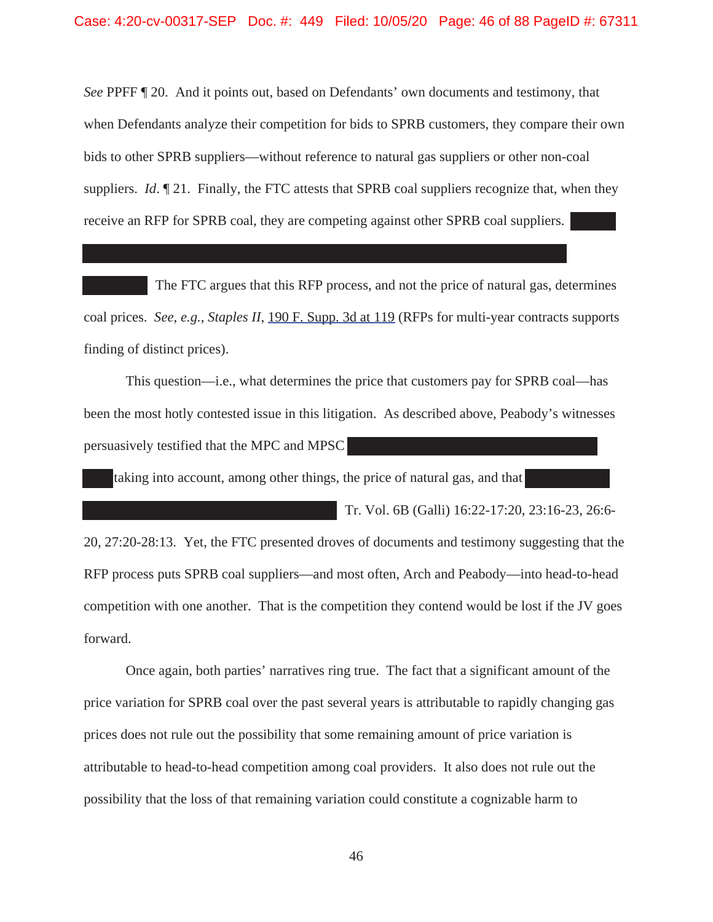*See* PPFF ¶ 20. And it points out, based on Defendants' own documents and testimony, that when Defendants analyze their competition for bids to SPRB customers, they compare their own bids to other SPRB suppliers—without reference to natural gas suppliers or other non-coal suppliers. *Id.* 121. Finally, the FTC attests that SPRB coal suppliers recognize that, when they receive an RFP for SPRB coal, they are competing against other SPRB coal suppliers.

The FTC argues that this RFP process, and not the price of natural gas, determines coal prices. *See, e.g.*, *Staples II*, 190 F. Supp. 3d at 119 (RFPs for multi-year contracts supports finding of distinct prices).

This question—i.e., what determines the price that customers pay for SPRB coal—has been the most hotly contested issue in this litigation. As described above, Peabody's witnesses persuasively testified that the MPC and MPSC

taking into account, among other things, the price of natural gas, and that

Tr. Vol. 6B (Galli) 16:22-17:20, 23:16-23, 26:6-

20, 27:20-28:13. Yet, the FTC presented droves of documents and testimony suggesting that the RFP process puts SPRB coal suppliers—and most often, Arch and Peabody—into head-to-head competition with one another. That is the competition they contend would be lost if the JV goes forward.

Once again, both parties' narratives ring true. The fact that a significant amount of the price variation for SPRB coal over the past several years is attributable to rapidly changing gas prices does not rule out the possibility that some remaining amount of price variation is attributable to head-to-head competition among coal providers. It also does not rule out the possibility that the loss of that remaining variation could constitute a cognizable harm to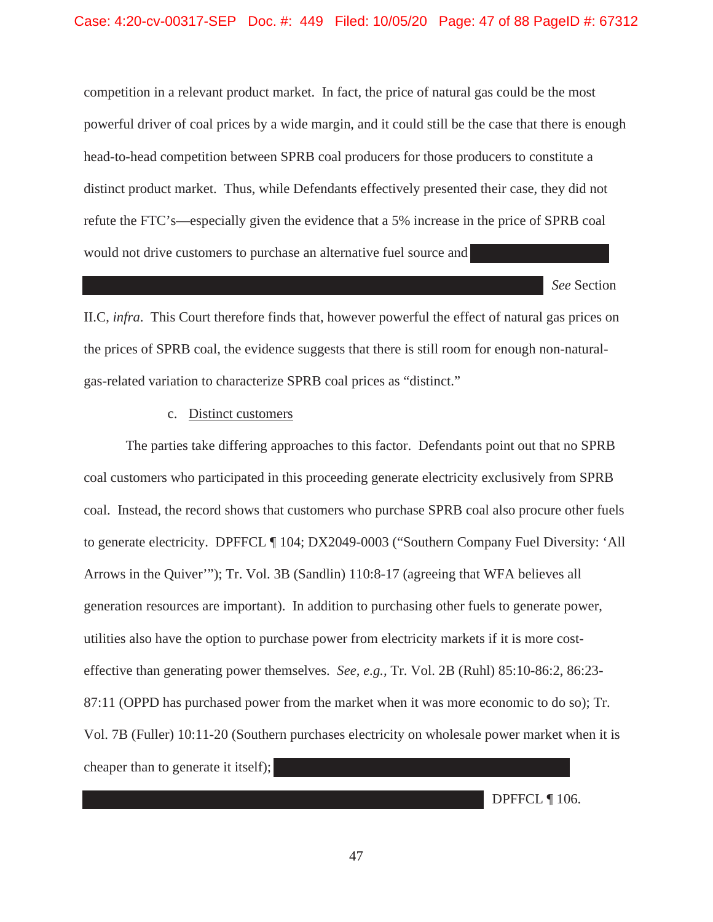competition in a relevant product market. In fact, the price of natural gas could be the most powerful driver of coal prices by a wide margin, and it could still be the case that there is enough head-to-head competition between SPRB coal producers for those producers to constitute a distinct product market. Thus, while Defendants effectively presented their case, they did not refute the FTC's—especially given the evidence that a 5% increase in the price of SPRB coal would not drive customers to purchase an alternative fuel source and

*See* Section II.C, *infra*. This Court therefore finds that, however powerful the effect of natural gas prices on the prices of SPRB coal, the evidence suggests that there is still room for enough non-naturalgas-related variation to characterize SPRB coal prices as "distinct."

## c. Distinct customers

The parties take differing approaches to this factor. Defendants point out that no SPRB coal customers who participated in this proceeding generate electricity exclusively from SPRB coal. Instead, the record shows that customers who purchase SPRB coal also procure other fuels to generate electricity. DPFFCL ¶ 104; DX2049-0003 ("Southern Company Fuel Diversity: 'All Arrows in the Quiver'"); Tr. Vol. 3B (Sandlin) 110:8-17 (agreeing that WFA believes all generation resources are important). In addition to purchasing other fuels to generate power, utilities also have the option to purchase power from electricity markets if it is more costeffective than generating power themselves. *See, e.g.,* Tr. Vol. 2B (Ruhl) 85:10-86:2, 86:23- 87:11 (OPPD has purchased power from the market when it was more economic to do so); Tr. Vol. 7B (Fuller) 10:11-20 (Southern purchases electricity on wholesale power market when it is cheaper than to generate it itself);

DPFFCL ¶ 106.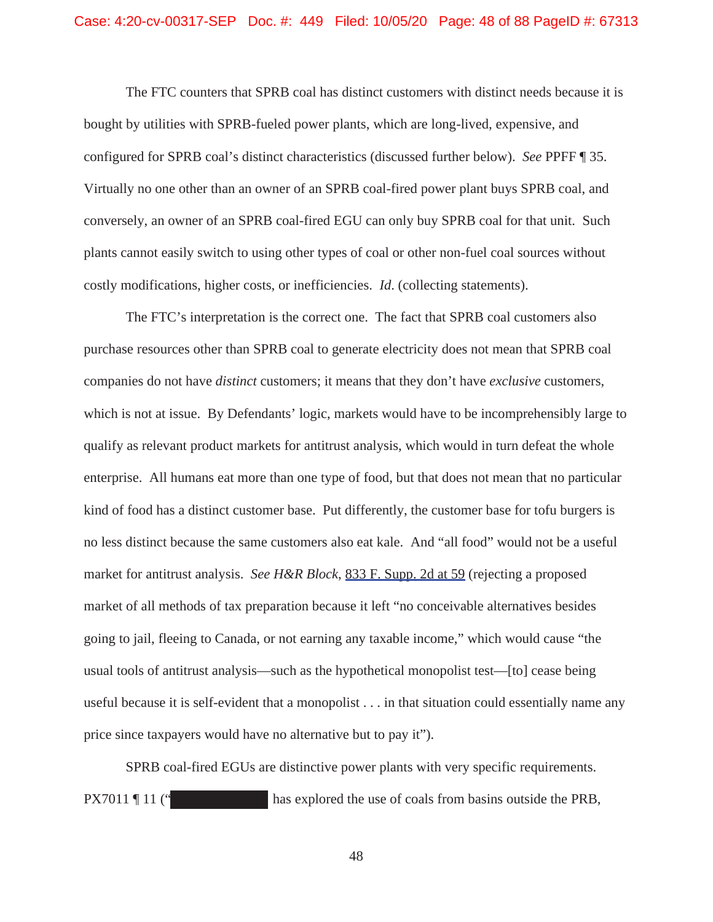The FTC counters that SPRB coal has distinct customers with distinct needs because it is bought by utilities with SPRB-fueled power plants, which are long-lived, expensive, and configured for SPRB coal's distinct characteristics (discussed further below). *See* PPFF ¶ 35. Virtually no one other than an owner of an SPRB coal-fired power plant buys SPRB coal, and conversely, an owner of an SPRB coal-fired EGU can only buy SPRB coal for that unit. Such plants cannot easily switch to using other types of coal or other non-fuel coal sources without costly modifications, higher costs, or inefficiencies. *Id*. (collecting statements).

The FTC's interpretation is the correct one. The fact that SPRB coal customers also purchase resources other than SPRB coal to generate electricity does not mean that SPRB coal companies do not have *distinct* customers; it means that they don't have *exclusive* customers, which is not at issue. By Defendants' logic, markets would have to be incomprehensibly large to qualify as relevant product markets for antitrust analysis, which would in turn defeat the whole enterprise. All humans eat more than one type of food, but that does not mean that no particular kind of food has a distinct customer base. Put differently, the customer base for tofu burgers is no less distinct because the same customers also eat kale. And "all food" would not be a useful market for antitrust analysis. *See H&R Block*, 833 F. Supp. 2d at 59 (rejecting a proposed market of all methods of tax preparation because it left "no conceivable alternatives besides going to jail, fleeing to Canada, or not earning any taxable income," which would cause "the usual tools of antitrust analysis—such as the hypothetical monopolist test—[to] cease being useful because it is self-evident that a monopolist . . . in that situation could essentially name any price since taxpayers would have no alternative but to pay it").

SPRB coal-fired EGUs are distinctive power plants with very specific requirements. PX7011 ¶ 11 (" has explored the use of coals from basins outside the PRB,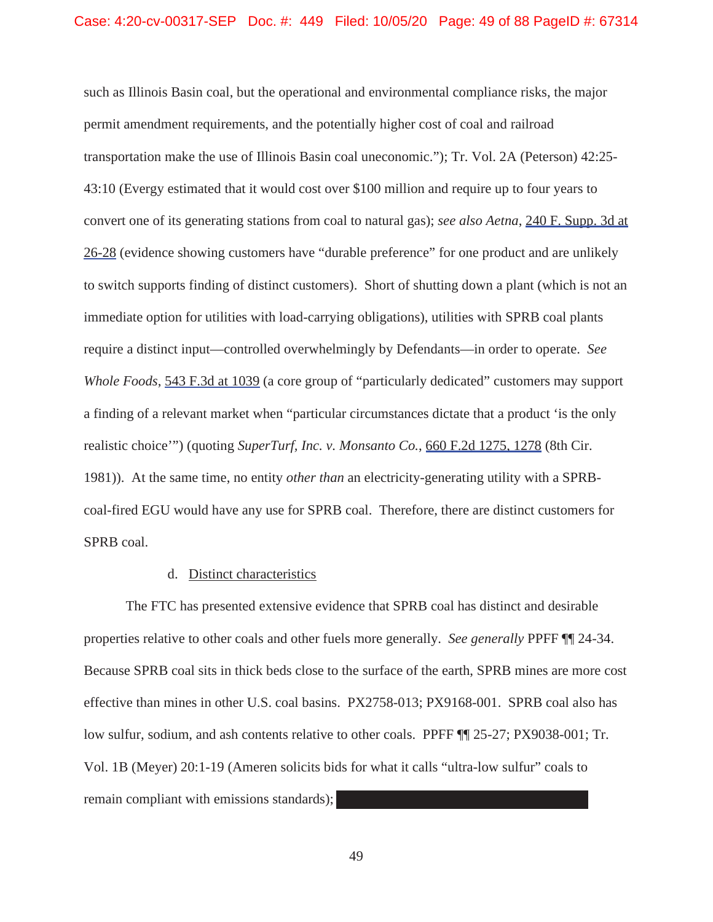such as Illinois Basin coal, but the operational and environmental compliance risks, the major permit amendment requirements, and the potentially higher cost of coal and railroad transportation make the use of Illinois Basin coal uneconomic."); Tr. Vol. 2A (Peterson) 42:25- 43:10 (Evergy estimated that it would cost over \$100 million and require up to four years to convert one of its generating stations from coal to natural gas); *see also Aetna*, 240 F. Supp. 3d at 26-28 (evidence showing customers have "durable preference" for one product and are unlikely to switch supports finding of distinct customers). Short of shutting down a plant (which is not an immediate option for utilities with load-carrying obligations), utilities with SPRB coal plants require a distinct input—controlled overwhelmingly by Defendants—in order to operate. *See Whole Foods*, 543 F.3d at 1039 (a core group of "particularly dedicated" customers may support a finding of a relevant market when "particular circumstances dictate that a product 'is the only realistic choice'") (quoting *SuperTurf, Inc. v. Monsanto Co.*, 660 F.2d 1275, 1278 (8th Cir. 1981)). At the same time, no entity *other than* an electricity-generating utility with a SPRBcoal-fired EGU would have any use for SPRB coal. Therefore, there are distinct customers for SPRB coal.

#### d. Distinct characteristics

The FTC has presented extensive evidence that SPRB coal has distinct and desirable properties relative to other coals and other fuels more generally. *See generally* PPFF ¶¶ 24-34. Because SPRB coal sits in thick beds close to the surface of the earth, SPRB mines are more cost effective than mines in other U.S. coal basins. PX2758-013; PX9168-001. SPRB coal also has low sulfur, sodium, and ash contents relative to other coals. PPFF ¶¶ 25-27; PX9038-001; Tr. Vol. 1B (Meyer) 20:1-19 (Ameren solicits bids for what it calls "ultra-low sulfur" coals to remain compliant with emissions standards);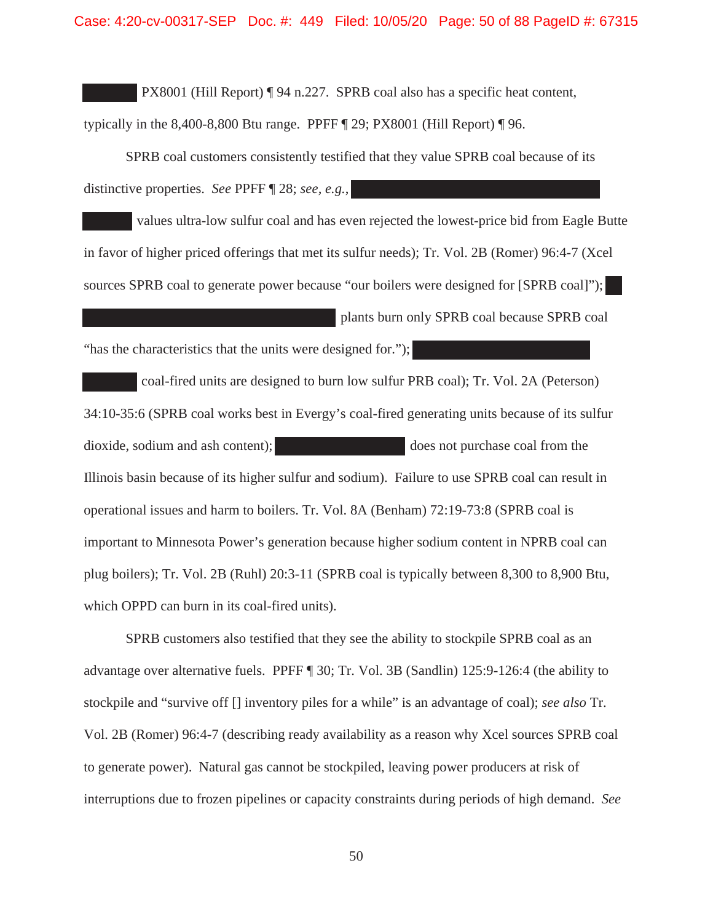PX8001 (Hill Report) ¶ 94 n.227. SPRB coal also has a specific heat content,

typically in the 8,400-8,800 Btu range. PPFF ¶ 29; PX8001 (Hill Report) ¶ 96.

SPRB coal customers consistently testified that they value SPRB coal because of its distinctive properties. *See* PPFF ¶ 28; *see, e.g.*,

 values ultra-low sulfur coal and has even rejected the lowest-price bid from Eagle Butte in favor of higher priced offerings that met its sulfur needs); Tr. Vol. 2B (Romer) 96:4-7 (Xcel sources SPRB coal to generate power because "our boilers were designed for [SPRB coal]"); plants burn only SPRB coal because SPRB coal

"has the characteristics that the units were designed for.");

 coal-fired units are designed to burn low sulfur PRB coal); Tr. Vol. 2A (Peterson) 34:10-35:6 (SPRB coal works best in Evergy's coal-fired generating units because of its sulfur dioxide, sodium and ash content); does not purchase coal from the Illinois basin because of its higher sulfur and sodium). Failure to use SPRB coal can result in operational issues and harm to boilers. Tr. Vol. 8A (Benham) 72:19-73:8 (SPRB coal is important to Minnesota Power's generation because higher sodium content in NPRB coal can plug boilers); Tr. Vol. 2B (Ruhl) 20:3-11 (SPRB coal is typically between 8,300 to 8,900 Btu, which OPPD can burn in its coal-fired units).

SPRB customers also testified that they see the ability to stockpile SPRB coal as an advantage over alternative fuels. PPFF ¶ 30; Tr. Vol. 3B (Sandlin) 125:9-126:4 (the ability to stockpile and "survive off [] inventory piles for a while" is an advantage of coal); *see also* Tr. Vol. 2B (Romer) 96:4-7 (describing ready availability as a reason why Xcel sources SPRB coal to generate power). Natural gas cannot be stockpiled, leaving power producers at risk of interruptions due to frozen pipelines or capacity constraints during periods of high demand. *See*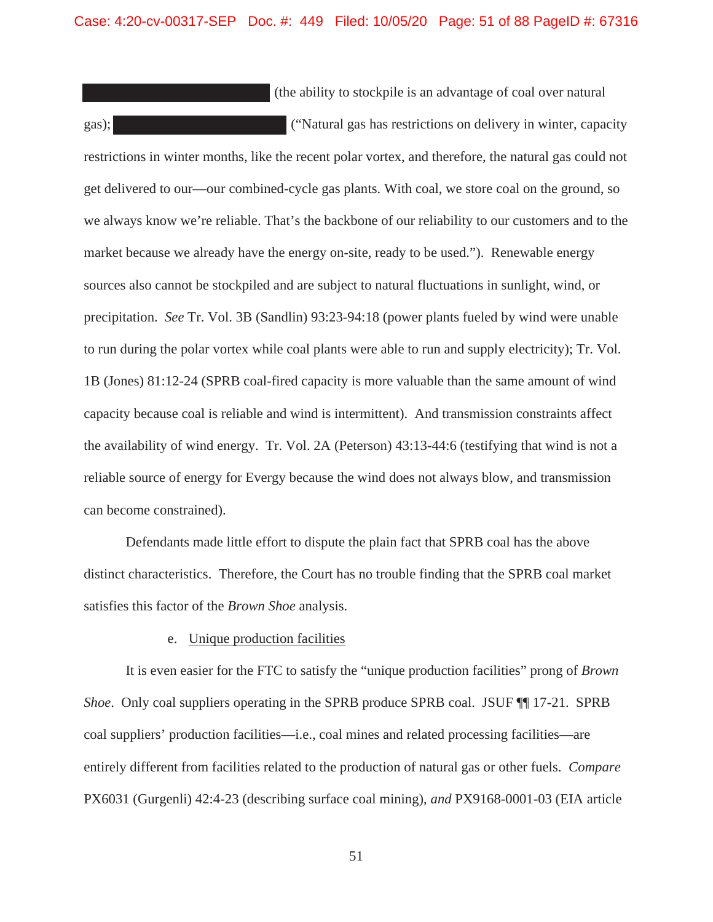(the ability to stockpile is an advantage of coal over natural gas); ("Natural gas has restrictions on delivery in winter, capacity restrictions in winter months, like the recent polar vortex, and therefore, the natural gas could not get delivered to our—our combined-cycle gas plants. With coal, we store coal on the ground, so we always know we're reliable. That's the backbone of our reliability to our customers and to the market because we already have the energy on-site, ready to be used."). Renewable energy sources also cannot be stockpiled and are subject to natural fluctuations in sunlight, wind, or precipitation. *See* Tr. Vol. 3B (Sandlin) 93:23-94:18 (power plants fueled by wind were unable to run during the polar vortex while coal plants were able to run and supply electricity); Tr. Vol. 1B (Jones) 81:12-24 (SPRB coal-fired capacity is more valuable than the same amount of wind capacity because coal is reliable and wind is intermittent). And transmission constraints affect the availability of wind energy. Tr. Vol. 2A (Peterson) 43:13-44:6 (testifying that wind is not a reliable source of energy for Evergy because the wind does not always blow, and transmission can become constrained).

Defendants made little effort to dispute the plain fact that SPRB coal has the above distinct characteristics. Therefore, the Court has no trouble finding that the SPRB coal market satisfies this factor of the *Brown Shoe* analysis.

## e. Unique production facilities

It is even easier for the FTC to satisfy the "unique production facilities" prong of *Brown Shoe.* Only coal suppliers operating in the SPRB produce SPRB coal. JSUF  $\P$  17-21. SPRB coal suppliers' production facilities—i.e., coal mines and related processing facilities—are entirely different from facilities related to the production of natural gas or other fuels. *Compare* PX6031 (Gurgenli) 42:4-23 (describing surface coal mining), *and* PX9168-0001-03 (EIA article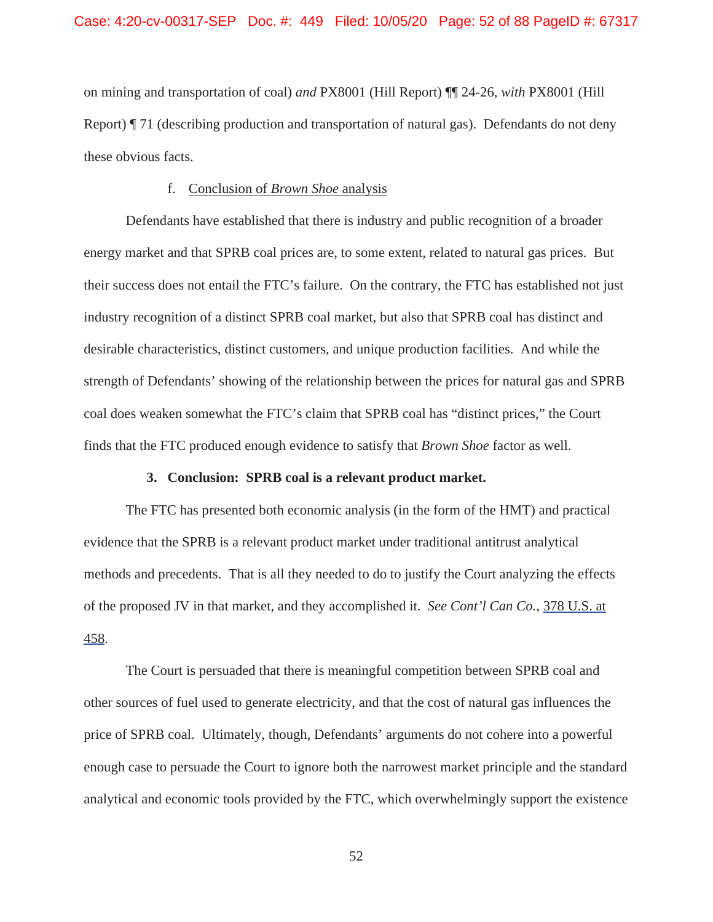on mining and transportation of coal) *and* PX8001 (Hill Report) ¶¶ 24-26, *with* PX8001 (Hill Report) ¶ 71 (describing production and transportation of natural gas). Defendants do not deny these obvious facts.

## f. Conclusion of *Brown Shoe* analysis

Defendants have established that there is industry and public recognition of a broader energy market and that SPRB coal prices are, to some extent, related to natural gas prices. But their success does not entail the FTC's failure. On the contrary, the FTC has established not just industry recognition of a distinct SPRB coal market, but also that SPRB coal has distinct and desirable characteristics, distinct customers, and unique production facilities. And while the strength of Defendants' showing of the relationship between the prices for natural gas and SPRB coal does weaken somewhat the FTC's claim that SPRB coal has "distinct prices," the Court finds that the FTC produced enough evidence to satisfy that *Brown Shoe* factor as well.

### **3. Conclusion: SPRB coal is a relevant product market.**

The FTC has presented both economic analysis (in the form of the HMT) and practical evidence that the SPRB is a relevant product market under traditional antitrust analytical methods and precedents. That is all they needed to do to justify the Court analyzing the effects of the proposed JV in that market, and they accomplished it. *See Cont'l Can Co.*, 378 U.S. at 458.

The Court is persuaded that there is meaningful competition between SPRB coal and other sources of fuel used to generate electricity, and that the cost of natural gas influences the price of SPRB coal. Ultimately, though, Defendants' arguments do not cohere into a powerful enough case to persuade the Court to ignore both the narrowest market principle and the standard analytical and economic tools provided by the FTC, which overwhelmingly support the existence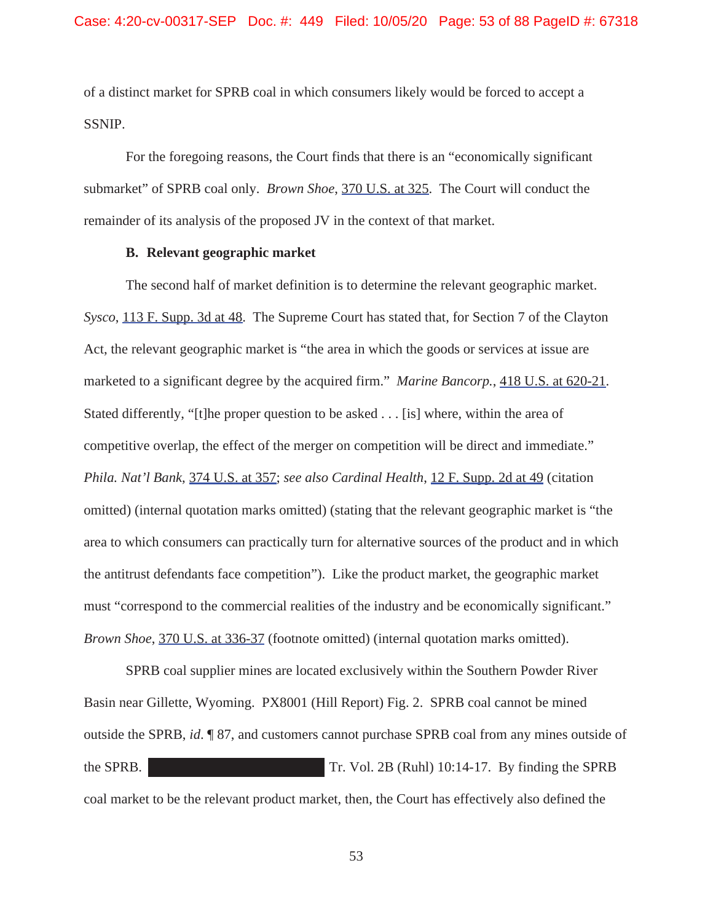of a distinct market for SPRB coal in which consumers likely would be forced to accept a SSNIP.

For the foregoing reasons, the Court finds that there is an "economically significant submarket" of SPRB coal only. *Brown Shoe*, 370 U.S. at 325. The Court will conduct the remainder of its analysis of the proposed JV in the context of that market.

## **B. Relevant geographic market**

The second half of market definition is to determine the relevant geographic market. *Sysco*, 113 F. Supp. 3d at 48. The Supreme Court has stated that, for Section 7 of the Clayton Act, the relevant geographic market is "the area in which the goods or services at issue are marketed to a significant degree by the acquired firm." *Marine Bancorp.*, 418 U.S. at 620-21. Stated differently, "[t]he proper question to be asked . . . [is] where, within the area of competitive overlap, the effect of the merger on competition will be direct and immediate." *Phila. Nat'l Bank*, 374 U.S. at 357; *see also Cardinal Health*, 12 F. Supp. 2d at 49 (citation omitted) (internal quotation marks omitted) (stating that the relevant geographic market is "the area to which consumers can practically turn for alternative sources of the product and in which the antitrust defendants face competition"). Like the product market, the geographic market must "correspond to the commercial realities of the industry and be economically significant." *Brown Shoe*, 370 U.S. at 336-37 (footnote omitted) (internal quotation marks omitted).

SPRB coal supplier mines are located exclusively within the Southern Powder River Basin near Gillette, Wyoming. PX8001 (Hill Report) Fig. 2. SPRB coal cannot be mined outside the SPRB, *id*. ¶ 87, and customers cannot purchase SPRB coal from any mines outside of the SPRB. Tr. Vol. 2B (Ruhl) 10:14-17. By finding the SPRB coal market to be the relevant product market, then, the Court has effectively also defined the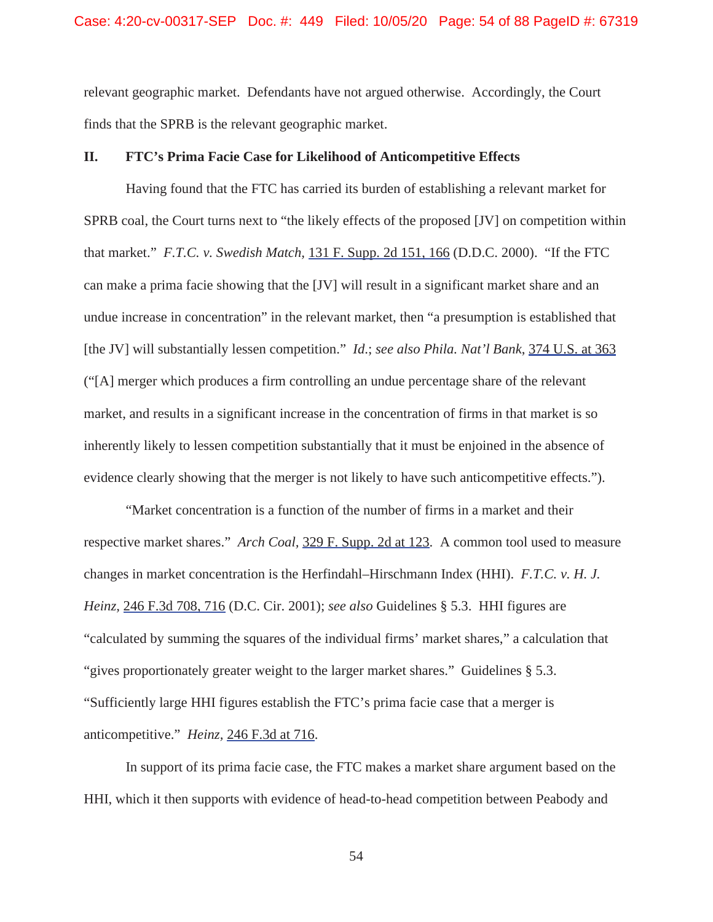relevant geographic market. Defendants have not argued otherwise. Accordingly, the Court finds that the SPRB is the relevant geographic market.

## **II. FTC's Prima Facie Case for Likelihood of Anticompetitive Effects**

Having found that the FTC has carried its burden of establishing a relevant market for SPRB coal, the Court turns next to "the likely effects of the proposed [JV] on competition within that market." *F.T.C. v. Swedish Match,* 131 F. Supp. 2d 151, 166 (D.D.C. 2000). "If the FTC can make a prima facie showing that the [JV] will result in a significant market share and an undue increase in concentration" in the relevant market, then "a presumption is established that [the JV] will substantially lessen competition." *Id*.; *see also Phila. Nat'l Bank*, 374 U.S. at 363 ("[A] merger which produces a firm controlling an undue percentage share of the relevant market, and results in a significant increase in the concentration of firms in that market is so inherently likely to lessen competition substantially that it must be enjoined in the absence of evidence clearly showing that the merger is not likely to have such anticompetitive effects.").

"Market concentration is a function of the number of firms in a market and their respective market shares." *Arch Coal,* 329 F. Supp. 2d at 123. A common tool used to measure changes in market concentration is the Herfindahl–Hirschmann Index (HHI). *F.T.C. v. H. J. Heinz,* 246 F.3d 708, 716 (D.C. Cir. 2001); *see also* Guidelines § 5.3. HHI figures are "calculated by summing the squares of the individual firms' market shares," a calculation that "gives proportionately greater weight to the larger market shares." Guidelines § 5.3. "Sufficiently large HHI figures establish the FTC's prima facie case that a merger is anticompetitive." *Heinz,* 246 F.3d at 716.

In support of its prima facie case, the FTC makes a market share argument based on the HHI, which it then supports with evidence of head-to-head competition between Peabody and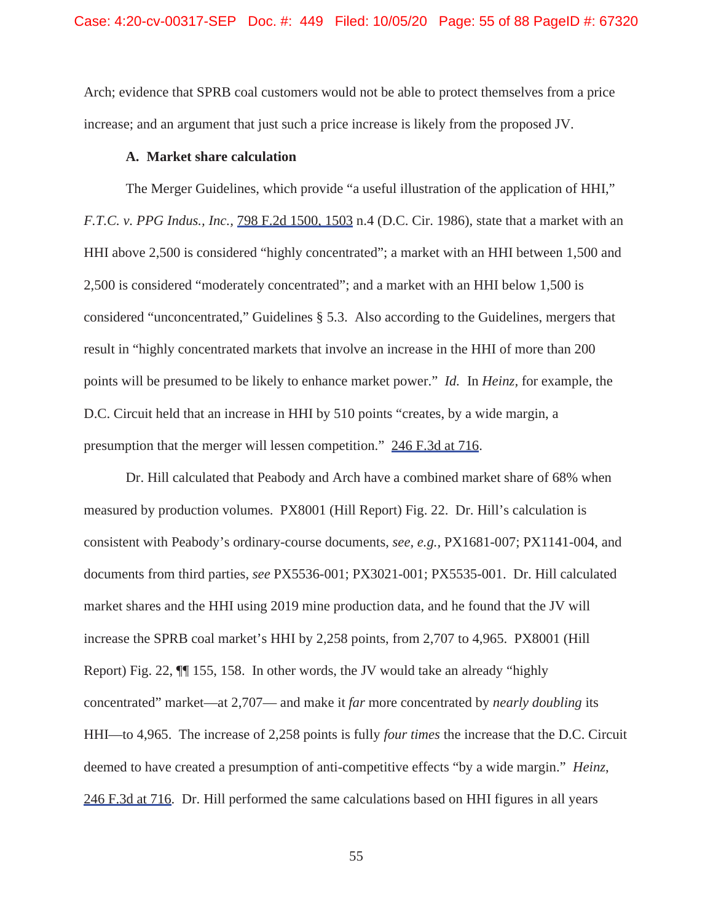Arch; evidence that SPRB coal customers would not be able to protect themselves from a price increase; and an argument that just such a price increase is likely from the proposed JV.

## **A. Market share calculation**

The Merger Guidelines, which provide "a useful illustration of the application of HHI," *F.T.C. v. PPG Indus., Inc.,* 798 F.2d 1500, 1503 n.4 (D.C. Cir. 1986), state that a market with an HHI above 2,500 is considered "highly concentrated"; a market with an HHI between 1,500 and 2,500 is considered "moderately concentrated"; and a market with an HHI below 1,500 is considered "unconcentrated," Guidelines § 5.3. Also according to the Guidelines, mergers that result in "highly concentrated markets that involve an increase in the HHI of more than 200 points will be presumed to be likely to enhance market power." *Id.* In *Heinz,* for example, the D.C. Circuit held that an increase in HHI by 510 points "creates, by a wide margin, a presumption that the merger will lessen competition." 246 F.3d at 716.

Dr. Hill calculated that Peabody and Arch have a combined market share of 68% when measured by production volumes. PX8001 (Hill Report) Fig. 22. Dr. Hill's calculation is consistent with Peabody's ordinary-course documents, *see, e.g.,* PX1681-007; PX1141-004, and documents from third parties, *see* PX5536-001; PX3021-001; PX5535-001. Dr. Hill calculated market shares and the HHI using 2019 mine production data, and he found that the JV will increase the SPRB coal market's HHI by 2,258 points, from 2,707 to 4,965. PX8001 (Hill Report) Fig. 22, ¶¶ 155, 158. In other words, the JV would take an already "highly concentrated" market—at 2,707— and make it *far* more concentrated by *nearly doubling* its HHI—to 4,965. The increase of 2,258 points is fully *four times* the increase that the D.C. Circuit deemed to have created a presumption of anti-competitive effects "by a wide margin." *Heinz*, 246 F.3d at 716. Dr. Hill performed the same calculations based on HHI figures in all years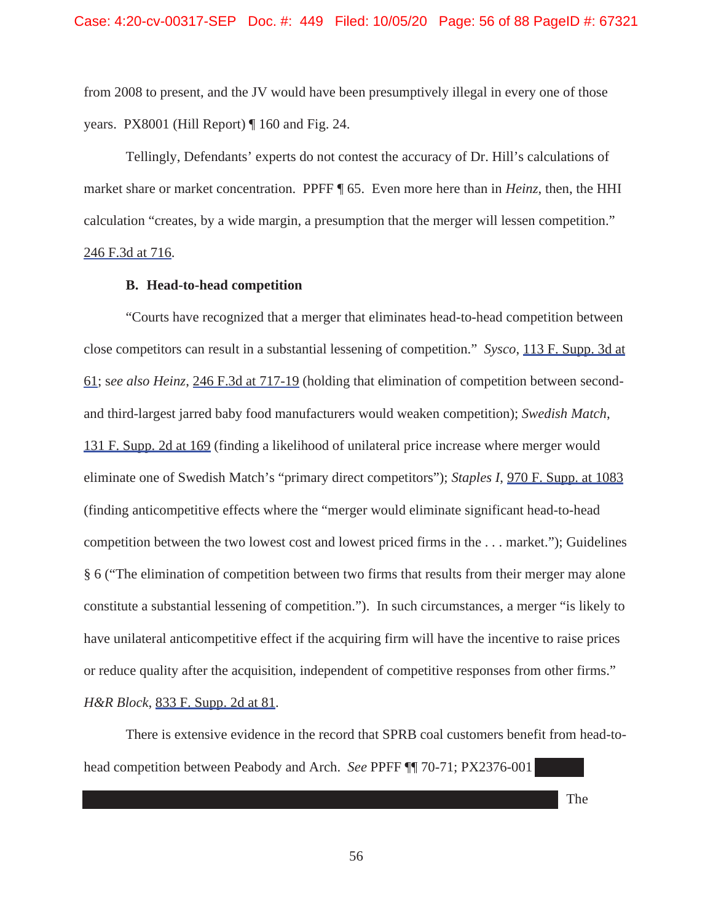from 2008 to present, and the JV would have been presumptively illegal in every one of those years. PX8001 (Hill Report) ¶ 160 and Fig. 24.

Tellingly, Defendants' experts do not contest the accuracy of Dr. Hill's calculations of market share or market concentration. PPFF ¶ 65. Even more here than in *Heinz*, then, the HHI calculation "creates, by a wide margin, a presumption that the merger will lessen competition." 246 F.3d at 716.

### **B. Head-to-head competition**

"Courts have recognized that a merger that eliminates head-to-head competition between close competitors can result in a substantial lessening of competition." *Sysco*, 113 F. Supp. 3d at 61; s*ee also Heinz*, 246 F.3d at 717-19 (holding that elimination of competition between secondand third-largest jarred baby food manufacturers would weaken competition); *Swedish Match*, 131 F. Supp. 2d at 169 (finding a likelihood of unilateral price increase where merger would eliminate one of Swedish Match's "primary direct competitors"); *Staples I*, 970 F. Supp. at 1083 (finding anticompetitive effects where the "merger would eliminate significant head-to-head competition between the two lowest cost and lowest priced firms in the . . . market."); Guidelines § 6 ("The elimination of competition between two firms that results from their merger may alone constitute a substantial lessening of competition."). In such circumstances, a merger "is likely to have unilateral anticompetitive effect if the acquiring firm will have the incentive to raise prices or reduce quality after the acquisition, independent of competitive responses from other firms." *H&R Block*, 833 F. Supp. 2d at 81.

There is extensive evidence in the record that SPRB coal customers benefit from head-tohead competition between Peabody and Arch. *See* PPFF ¶¶ 70-71; PX2376-001

The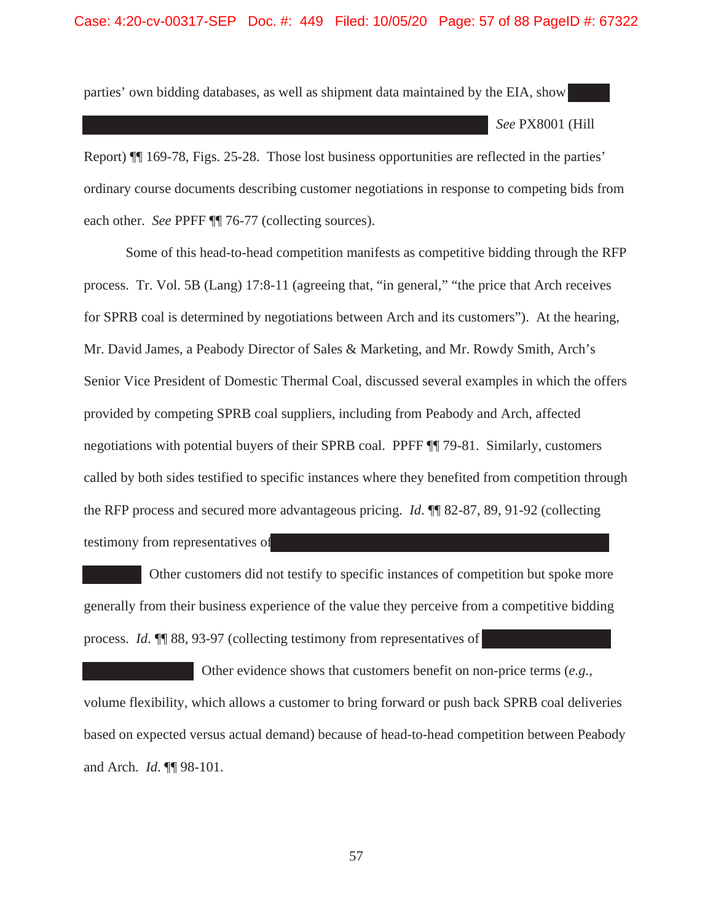#### Case: 4:20-cv-00317-SEP Doc. #: 449 Filed: 10/05/20 Page: 57 of 88 PageID #: 67322

parties' own bidding databases, as well as shipment data maintained by the EIA, show

*See* PX8001 (Hill

Report) ¶¶ 169-78, Figs. 25-28. Those lost business opportunities are reflected in the parties' ordinary course documents describing customer negotiations in response to competing bids from each other. *See PPFF*  $\P$  76-77 (collecting sources).

Some of this head-to-head competition manifests as competitive bidding through the RFP process. Tr. Vol. 5B (Lang) 17:8-11 (agreeing that, "in general," "the price that Arch receives for SPRB coal is determined by negotiations between Arch and its customers"). At the hearing, Mr. David James, a Peabody Director of Sales & Marketing, and Mr. Rowdy Smith, Arch's Senior Vice President of Domestic Thermal Coal, discussed several examples in which the offers provided by competing SPRB coal suppliers, including from Peabody and Arch, affected negotiations with potential buyers of their SPRB coal. PPFF ¶¶ 79-81. Similarly, customers called by both sides testified to specific instances where they benefited from competition through the RFP process and secured more advantageous pricing. *Id*. ¶¶ 82-87, 89, 91-92 (collecting testimony from representatives of

Other customers did not testify to specific instances of competition but spoke more generally from their business experience of the value they perceive from a competitive bidding process. *Id*. ¶¶ 88, 93-97 (collecting testimony from representatives of

Other evidence shows that customers benefit on non-price terms (*e.g.*, volume flexibility, which allows a customer to bring forward or push back SPRB coal deliveries based on expected versus actual demand) because of head-to-head competition between Peabody and Arch. *Id*. ¶¶ 98-101.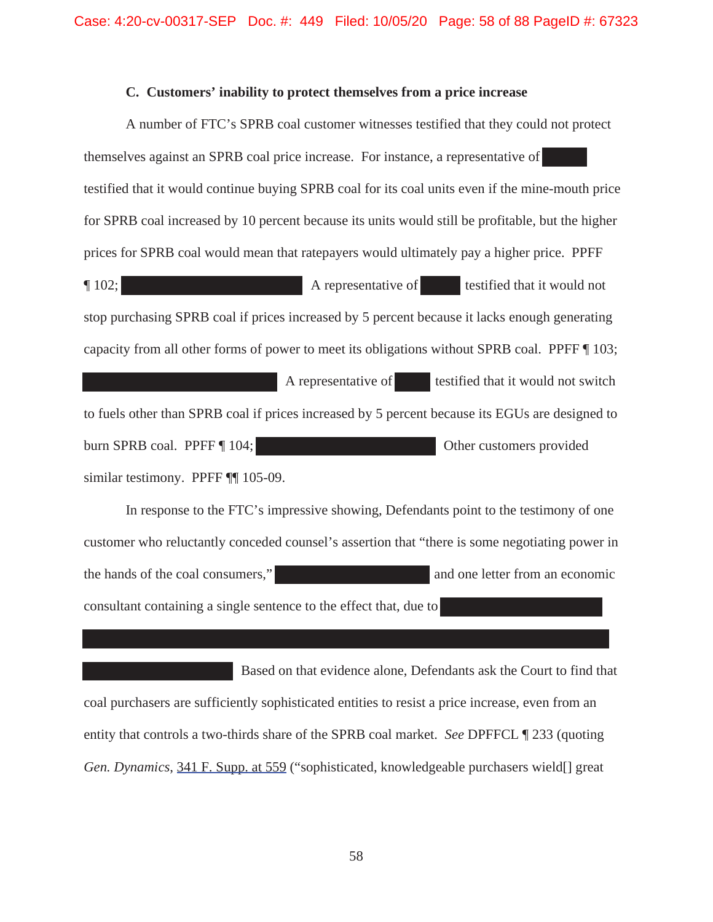### **C. Customers' inability to protect themselves from a price increase**

A number of FTC's SPRB coal customer witnesses testified that they could not protect themselves against an SPRB coal price increase. For instance, a representative of testified that it would continue buying SPRB coal for its coal units even if the mine-mouth price for SPRB coal increased by 10 percent because its units would still be profitable, but the higher prices for SPRB coal would mean that ratepayers would ultimately pay a higher price. PPFF **The 102;** A representative of testified that it would not stop purchasing SPRB coal if prices increased by 5 percent because it lacks enough generating capacity from all other forms of power to meet its obligations without SPRB coal. PPFF ¶ 103; A representative of **the set of the testified that it would not switch** to fuels other than SPRB coal if prices increased by 5 percent because its EGUs are designed to burn SPRB coal. PPFF [ 104; Compared 2014; Other customers provided similar testimony. PPFF ¶¶ 105-09.

In response to the FTC's impressive showing, Defendants point to the testimony of one customer who reluctantly conceded counsel's assertion that "there is some negotiating power in the hands of the coal consumers," and one letter from an economic consultant containing a single sentence to the effect that, due to

Based on that evidence alone, Defendants ask the Court to find that coal purchasers are sufficiently sophisticated entities to resist a price increase, even from an entity that controls a two-thirds share of the SPRB coal market. *See* DPFFCL ¶ 233 (quoting *Gen. Dynamics*, 341 F. Supp. at 559 ("sophisticated, knowledgeable purchasers wield[] great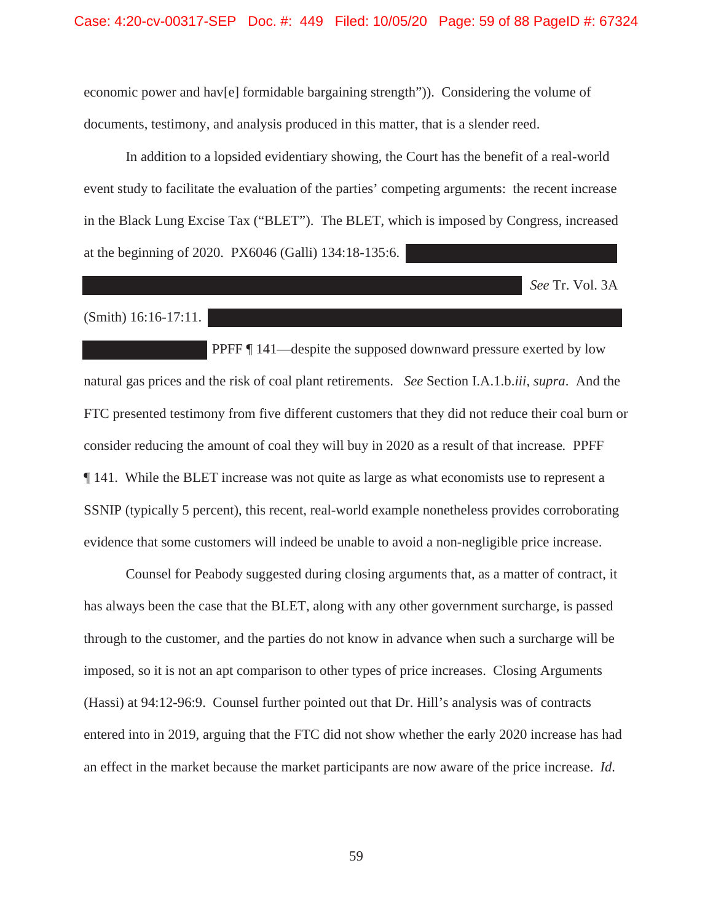economic power and hav[e] formidable bargaining strength")). Considering the volume of documents, testimony, and analysis produced in this matter, that is a slender reed.

In addition to a lopsided evidentiary showing, the Court has the benefit of a real-world event study to facilitate the evaluation of the parties' competing arguments: the recent increase in the Black Lung Excise Tax ("BLET"). The BLET, which is imposed by Congress, increased at the beginning of 2020. PX6046 (Galli) 134:18-135:6.

*See* Tr. Vol. 3A

(Smith) 16:16-17:11.

PPFF ¶ 141—despite the supposed downward pressure exerted by low natural gas prices and the risk of coal plant retirements. *See* Section I.A.1.b.*iii*, *supra*. And the FTC presented testimony from five different customers that they did not reduce their coal burn or consider reducing the amount of coal they will buy in 2020 as a result of that increase*.* PPFF ¶ 141. While the BLET increase was not quite as large as what economists use to represent a SSNIP (typically 5 percent), this recent, real-world example nonetheless provides corroborating evidence that some customers will indeed be unable to avoid a non-negligible price increase.

Counsel for Peabody suggested during closing arguments that, as a matter of contract, it has always been the case that the BLET, along with any other government surcharge, is passed through to the customer, and the parties do not know in advance when such a surcharge will be imposed, so it is not an apt comparison to other types of price increases. Closing Arguments (Hassi) at 94:12-96:9. Counsel further pointed out that Dr. Hill's analysis was of contracts entered into in 2019, arguing that the FTC did not show whether the early 2020 increase has had an effect in the market because the market participants are now aware of the price increase. *Id*.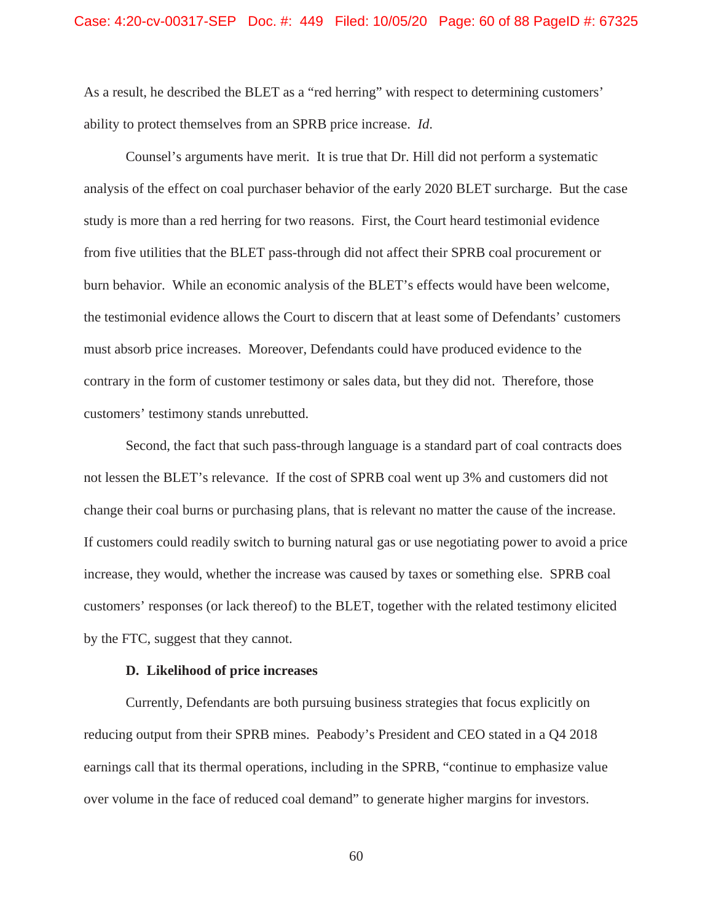As a result, he described the BLET as a "red herring" with respect to determining customers' ability to protect themselves from an SPRB price increase. *Id*.

Counsel's arguments have merit. It is true that Dr. Hill did not perform a systematic analysis of the effect on coal purchaser behavior of the early 2020 BLET surcharge. But the case study is more than a red herring for two reasons. First, the Court heard testimonial evidence from five utilities that the BLET pass-through did not affect their SPRB coal procurement or burn behavior. While an economic analysis of the BLET's effects would have been welcome, the testimonial evidence allows the Court to discern that at least some of Defendants' customers must absorb price increases. Moreover, Defendants could have produced evidence to the contrary in the form of customer testimony or sales data, but they did not. Therefore, those customers' testimony stands unrebutted.

Second, the fact that such pass-through language is a standard part of coal contracts does not lessen the BLET's relevance. If the cost of SPRB coal went up 3% and customers did not change their coal burns or purchasing plans, that is relevant no matter the cause of the increase. If customers could readily switch to burning natural gas or use negotiating power to avoid a price increase, they would, whether the increase was caused by taxes or something else. SPRB coal customers' responses (or lack thereof) to the BLET, together with the related testimony elicited by the FTC, suggest that they cannot.

#### **D. Likelihood of price increases**

Currently, Defendants are both pursuing business strategies that focus explicitly on reducing output from their SPRB mines. Peabody's President and CEO stated in a Q4 2018 earnings call that its thermal operations, including in the SPRB, "continue to emphasize value over volume in the face of reduced coal demand" to generate higher margins for investors.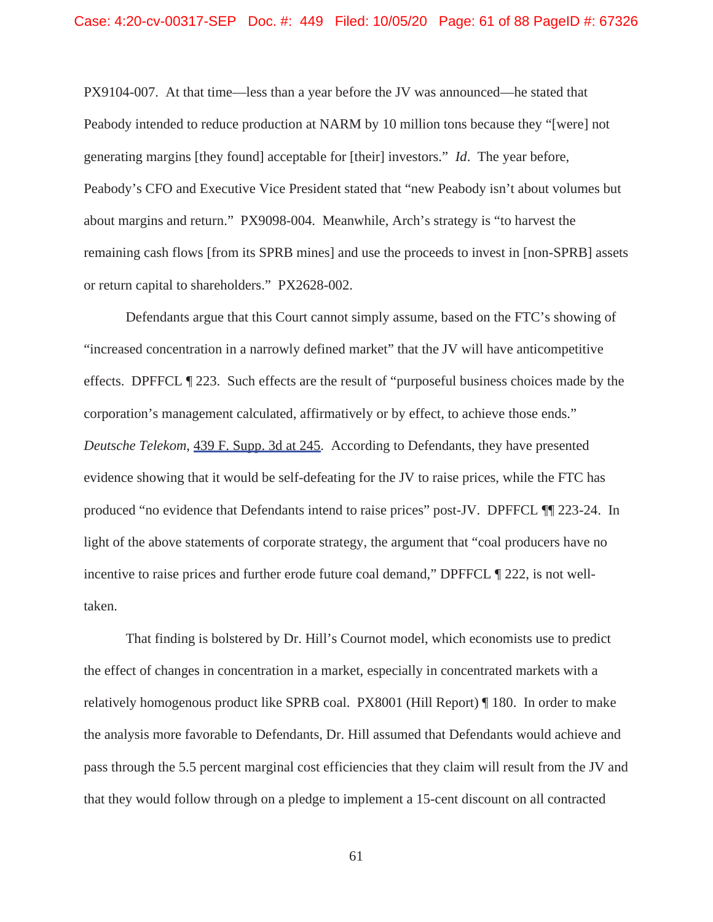PX9104-007. At that time—less than a year before the JV was announced—he stated that Peabody intended to reduce production at NARM by 10 million tons because they "[were] not generating margins [they found] acceptable for [their] investors." *Id*. The year before, Peabody's CFO and Executive Vice President stated that "new Peabody isn't about volumes but about margins and return." PX9098-004. Meanwhile, Arch's strategy is "to harvest the remaining cash flows [from its SPRB mines] and use the proceeds to invest in [non-SPRB] assets or return capital to shareholders." PX2628-002.

Defendants argue that this Court cannot simply assume, based on the FTC's showing of "increased concentration in a narrowly defined market" that the JV will have anticompetitive effects. DPFFCL ¶ 223. Such effects are the result of "purposeful business choices made by the corporation's management calculated, affirmatively or by effect, to achieve those ends." *Deutsche Telekom*, 439 F. Supp. 3d at 245. According to Defendants, they have presented evidence showing that it would be self-defeating for the JV to raise prices, while the FTC has produced "no evidence that Defendants intend to raise prices" post-JV. DPFFCL ¶¶ 223-24. In light of the above statements of corporate strategy, the argument that "coal producers have no incentive to raise prices and further erode future coal demand," DPFFCL ¶ 222, is not welltaken.

That finding is bolstered by Dr. Hill's Cournot model, which economists use to predict the effect of changes in concentration in a market, especially in concentrated markets with a relatively homogenous product like SPRB coal. PX8001 (Hill Report) ¶ 180. In order to make the analysis more favorable to Defendants, Dr. Hill assumed that Defendants would achieve and pass through the 5.5 percent marginal cost efficiencies that they claim will result from the JV and that they would follow through on a pledge to implement a 15-cent discount on all contracted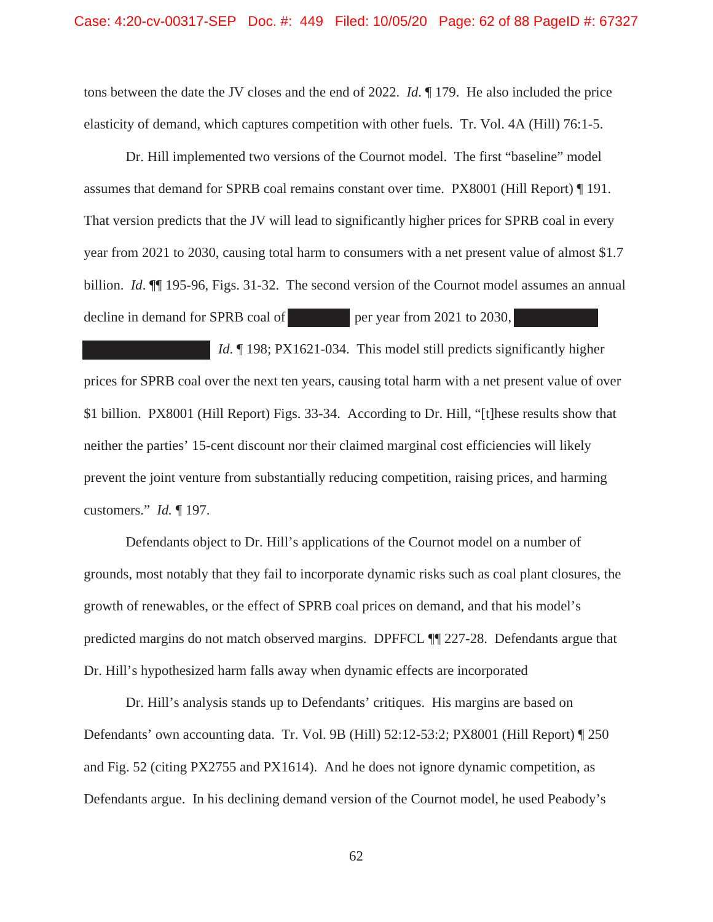tons between the date the JV closes and the end of 2022. *Id*. ¶ 179. He also included the price elasticity of demand, which captures competition with other fuels. Tr. Vol. 4A (Hill) 76:1-5.

Dr. Hill implemented two versions of the Cournot model. The first "baseline" model assumes that demand for SPRB coal remains constant over time. PX8001 (Hill Report) ¶ 191. That version predicts that the JV will lead to significantly higher prices for SPRB coal in every year from 2021 to 2030, causing total harm to consumers with a net present value of almost \$1.7 billion. *Id*. ¶¶ 195-96, Figs. 31-32. The second version of the Cournot model assumes an annual decline in demand for SPRB coal of per year from  $2021$  to  $2030$ ,

*Id*. ¶ 198; PX1621-034. This model still predicts significantly higher prices for SPRB coal over the next ten years, causing total harm with a net present value of over \$1 billion. PX8001 (Hill Report) Figs. 33-34. According to Dr. Hill, "[t]hese results show that neither the parties' 15-cent discount nor their claimed marginal cost efficiencies will likely prevent the joint venture from substantially reducing competition, raising prices, and harming customers." *Id.* ¶ 197.

Defendants object to Dr. Hill's applications of the Cournot model on a number of grounds, most notably that they fail to incorporate dynamic risks such as coal plant closures, the growth of renewables, or the effect of SPRB coal prices on demand, and that his model's predicted margins do not match observed margins. DPFFCL ¶¶ 227-28. Defendants argue that Dr. Hill's hypothesized harm falls away when dynamic effects are incorporated

Dr. Hill's analysis stands up to Defendants' critiques. His margins are based on Defendants' own accounting data. Tr. Vol. 9B (Hill) 52:12-53:2; PX8001 (Hill Report) ¶ 250 and Fig. 52 (citing PX2755 and PX1614). And he does not ignore dynamic competition, as Defendants argue. In his declining demand version of the Cournot model, he used Peabody's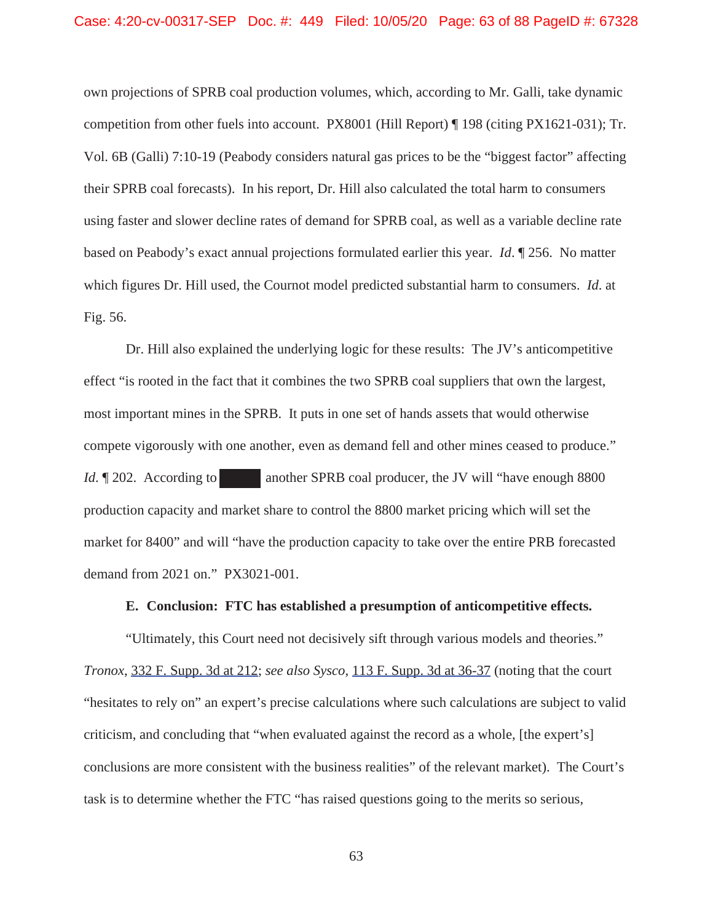#### Case: 4:20-cv-00317-SEP Doc. #: 449 Filed: 10/05/20 Page: 63 of 88 PageID #: 67328

own projections of SPRB coal production volumes, which, according to Mr. Galli, take dynamic competition from other fuels into account. PX8001 (Hill Report) ¶ 198 (citing PX1621-031); Tr. Vol. 6B (Galli) 7:10-19 (Peabody considers natural gas prices to be the "biggest factor" affecting their SPRB coal forecasts). In his report, Dr. Hill also calculated the total harm to consumers using faster and slower decline rates of demand for SPRB coal, as well as a variable decline rate based on Peabody's exact annual projections formulated earlier this year. *Id*. ¶ 256. No matter which figures Dr. Hill used, the Cournot model predicted substantial harm to consumers. *Id*. at Fig. 56.

Dr. Hill also explained the underlying logic for these results: The JV's anticompetitive effect "is rooted in the fact that it combines the two SPRB coal suppliers that own the largest, most important mines in the SPRB. It puts in one set of hands assets that would otherwise compete vigorously with one another, even as demand fell and other mines ceased to produce." *Id*. ¶ 202. According to another SPRB coal producer, the JV will "have enough 8800" production capacity and market share to control the 8800 market pricing which will set the market for 8400" and will "have the production capacity to take over the entire PRB forecasted demand from 2021 on." PX3021-001.

#### **E. Conclusion: FTC has established a presumption of anticompetitive effects.**

"Ultimately, this Court need not decisively sift through various models and theories." *Tronox*, 332 F. Supp. 3d at 212; *see also Sysco*, 113 F. Supp. 3d at 36-37 (noting that the court "hesitates to rely on" an expert's precise calculations where such calculations are subject to valid criticism, and concluding that "when evaluated against the record as a whole, [the expert's] conclusions are more consistent with the business realities" of the relevant market). The Court's task is to determine whether the FTC "has raised questions going to the merits so serious,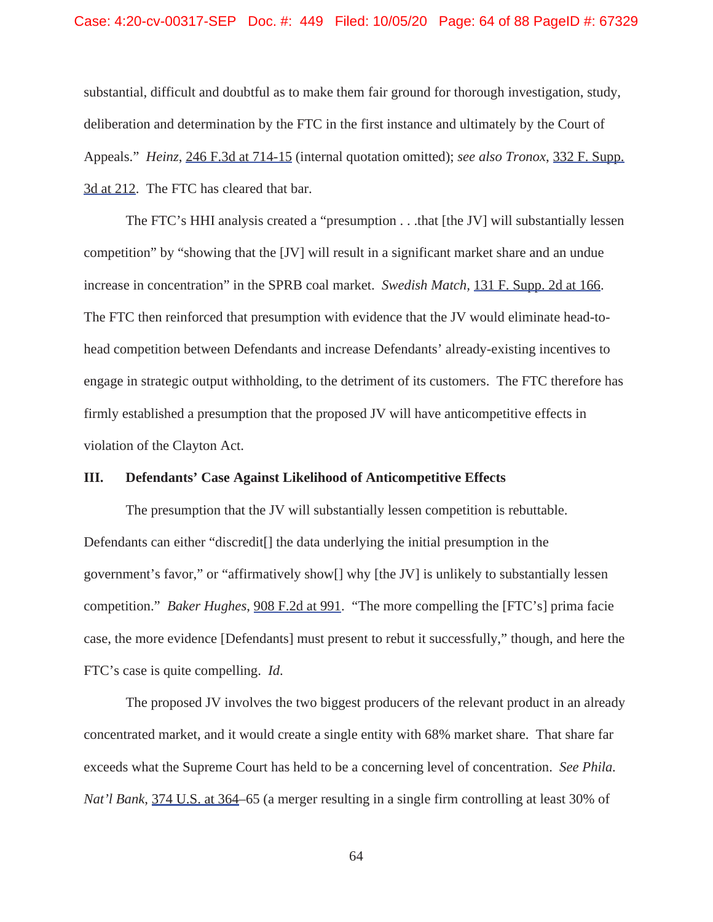#### Case: 4:20-cv-00317-SEP Doc. #: 449 Filed: 10/05/20 Page: 64 of 88 PageID #: 67329

substantial, difficult and doubtful as to make them fair ground for thorough investigation, study, deliberation and determination by the FTC in the first instance and ultimately by the Court of Appeals." *Heinz*, 246 F.3d at 714-15 (internal quotation omitted); *see also Tronox*, 332 F. Supp. 3d at 212. The FTC has cleared that bar.

The FTC's HHI analysis created a "presumption . . .that [the JV] will substantially lessen competition" by "showing that the [JV] will result in a significant market share and an undue increase in concentration" in the SPRB coal market. *Swedish Match,* 131 F. Supp. 2d at 166. The FTC then reinforced that presumption with evidence that the JV would eliminate head-tohead competition between Defendants and increase Defendants' already-existing incentives to engage in strategic output withholding, to the detriment of its customers. The FTC therefore has firmly established a presumption that the proposed JV will have anticompetitive effects in violation of the Clayton Act.

## **III. Defendants' Case Against Likelihood of Anticompetitive Effects**

The presumption that the JV will substantially lessen competition is rebuttable. Defendants can either "discredit[] the data underlying the initial presumption in the government's favor," or "affirmatively show[] why [the JV] is unlikely to substantially lessen competition." *Baker Hughes*, 908 F.2d at 991. "The more compelling the [FTC's] prima facie case, the more evidence [Defendants] must present to rebut it successfully," though, and here the FTC's case is quite compelling. *Id*.

The proposed JV involves the two biggest producers of the relevant product in an already concentrated market, and it would create a single entity with 68% market share. That share far exceeds what the Supreme Court has held to be a concerning level of concentration. *See Phila. Nat'l Bank*, 374 U.S. at 364–65 (a merger resulting in a single firm controlling at least 30% of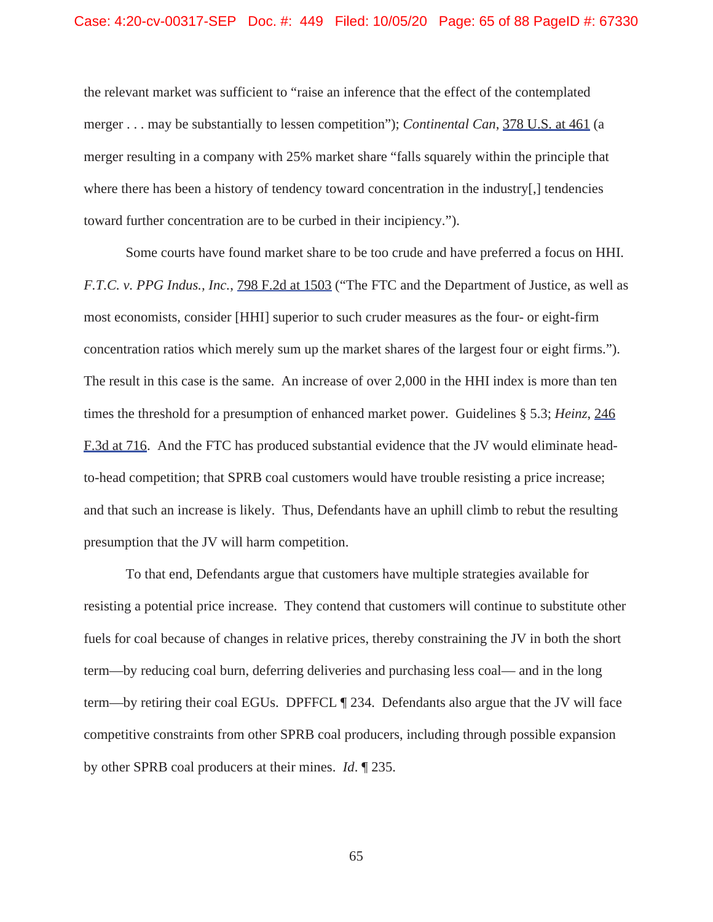the relevant market was sufficient to "raise an inference that the effect of the contemplated merger . . . may be substantially to lessen competition"); *Continental Can*, 378 U.S. at 461 (a merger resulting in a company with 25% market share "falls squarely within the principle that where there has been a history of tendency toward concentration in the industry[,] tendencies toward further concentration are to be curbed in their incipiency.").

Some courts have found market share to be too crude and have preferred a focus on HHI. *F.T.C. v. PPG Indus., Inc.*, 798 F.2d at 1503 ("The FTC and the Department of Justice, as well as most economists, consider [HHI] superior to such cruder measures as the four- or eight-firm concentration ratios which merely sum up the market shares of the largest four or eight firms."). The result in this case is the same. An increase of over 2,000 in the HHI index is more than ten times the threshold for a presumption of enhanced market power. Guidelines § 5.3; *Heinz*, 246 F.3d at 716. And the FTC has produced substantial evidence that the JV would eliminate headto-head competition; that SPRB coal customers would have trouble resisting a price increase; and that such an increase is likely. Thus, Defendants have an uphill climb to rebut the resulting presumption that the JV will harm competition.

To that end, Defendants argue that customers have multiple strategies available for resisting a potential price increase. They contend that customers will continue to substitute other fuels for coal because of changes in relative prices, thereby constraining the JV in both the short term—by reducing coal burn, deferring deliveries and purchasing less coal— and in the long term—by retiring their coal EGUs. DPFFCL ¶ 234. Defendants also argue that the JV will face competitive constraints from other SPRB coal producers, including through possible expansion by other SPRB coal producers at their mines. *Id*. ¶ 235.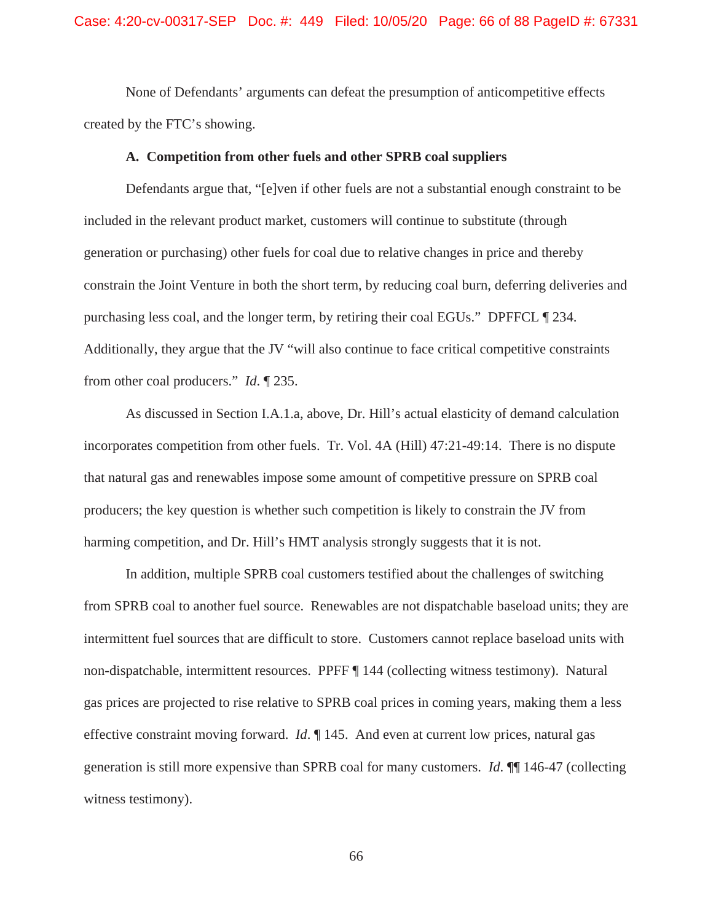None of Defendants' arguments can defeat the presumption of anticompetitive effects created by the FTC's showing.

### **A. Competition from other fuels and other SPRB coal suppliers**

Defendants argue that, "[e]ven if other fuels are not a substantial enough constraint to be included in the relevant product market, customers will continue to substitute (through generation or purchasing) other fuels for coal due to relative changes in price and thereby constrain the Joint Venture in both the short term, by reducing coal burn, deferring deliveries and purchasing less coal, and the longer term, by retiring their coal EGUs." DPFFCL ¶ 234. Additionally, they argue that the JV "will also continue to face critical competitive constraints from other coal producers." *Id*. ¶ 235.

As discussed in Section I.A.1.a, above, Dr. Hill's actual elasticity of demand calculation incorporates competition from other fuels. Tr. Vol. 4A (Hill) 47:21-49:14. There is no dispute that natural gas and renewables impose some amount of competitive pressure on SPRB coal producers; the key question is whether such competition is likely to constrain the JV from harming competition, and Dr. Hill's HMT analysis strongly suggests that it is not.

In addition, multiple SPRB coal customers testified about the challenges of switching from SPRB coal to another fuel source. Renewables are not dispatchable baseload units; they are intermittent fuel sources that are difficult to store. Customers cannot replace baseload units with non-dispatchable, intermittent resources. PPFF ¶ 144 (collecting witness testimony). Natural gas prices are projected to rise relative to SPRB coal prices in coming years, making them a less effective constraint moving forward. *Id*. ¶ 145. And even at current low prices, natural gas generation is still more expensive than SPRB coal for many customers. *Id*. ¶¶ 146-47 (collecting witness testimony).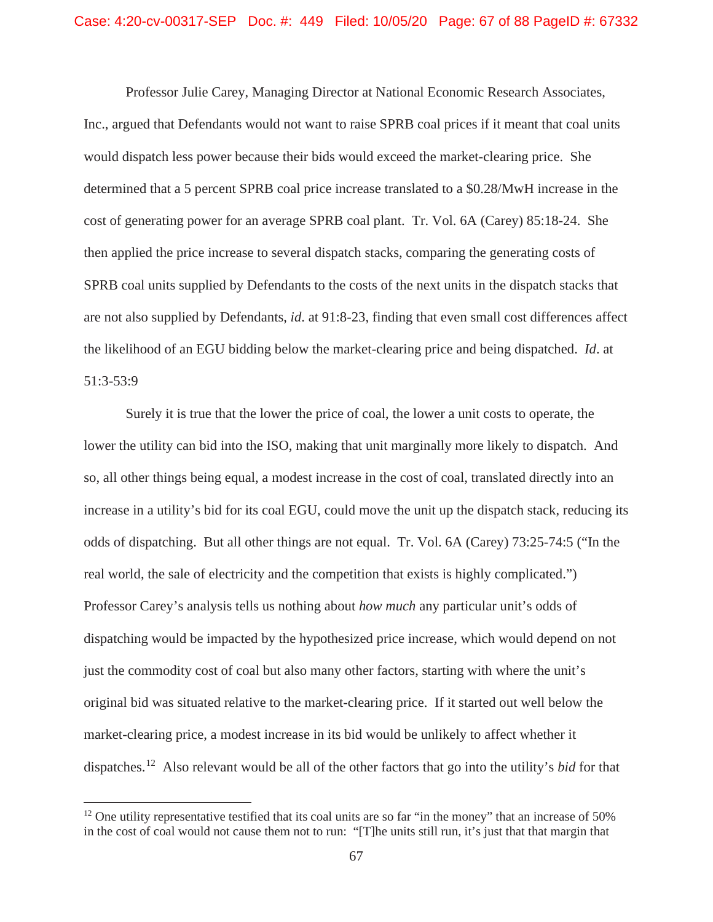Professor Julie Carey, Managing Director at National Economic Research Associates, Inc., argued that Defendants would not want to raise SPRB coal prices if it meant that coal units would dispatch less power because their bids would exceed the market-clearing price. She determined that a 5 percent SPRB coal price increase translated to a \$0.28/MwH increase in the cost of generating power for an average SPRB coal plant. Tr. Vol. 6A (Carey) 85:18-24. She then applied the price increase to several dispatch stacks, comparing the generating costs of SPRB coal units supplied by Defendants to the costs of the next units in the dispatch stacks that are not also supplied by Defendants, *id*. at 91:8-23, finding that even small cost differences affect the likelihood of an EGU bidding below the market-clearing price and being dispatched. *Id*. at 51:3-53:9

Surely it is true that the lower the price of coal, the lower a unit costs to operate, the lower the utility can bid into the ISO, making that unit marginally more likely to dispatch. And so, all other things being equal, a modest increase in the cost of coal, translated directly into an increase in a utility's bid for its coal EGU, could move the unit up the dispatch stack, reducing its odds of dispatching. But all other things are not equal. Tr. Vol. 6A (Carey) 73:25-74:5 ("In the real world, the sale of electricity and the competition that exists is highly complicated.") Professor Carey's analysis tells us nothing about *how much* any particular unit's odds of dispatching would be impacted by the hypothesized price increase, which would depend on not just the commodity cost of coal but also many other factors, starting with where the unit's original bid was situated relative to the market-clearing price. If it started out well below the market-clearing price, a modest increase in its bid would be unlikely to affect whether it dispatches.<sup>12</sup> Also relevant would be all of the other factors that go into the utility's *bid* for that

<sup>&</sup>lt;sup>12</sup> One utility representative testified that its coal units are so far "in the money" that an increase of 50% in the cost of coal would not cause them not to run: "[T]he units still run, it's just that that margin that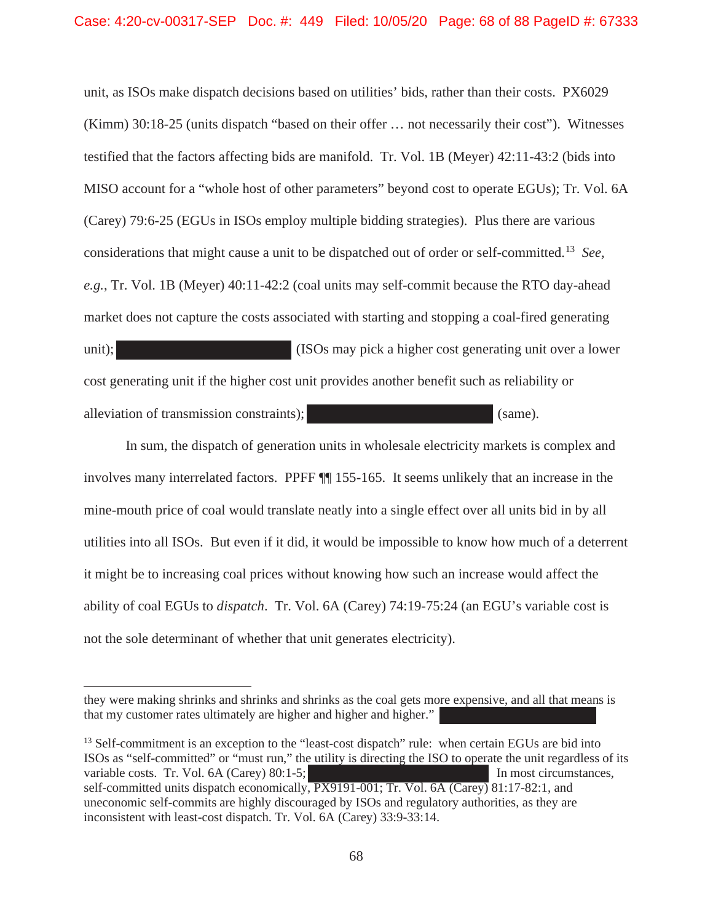unit, as ISOs make dispatch decisions based on utilities' bids, rather than their costs. PX6029 (Kimm) 30:18-25 (units dispatch "based on their offer … not necessarily their cost"). Witnesses testified that the factors affecting bids are manifold. Tr. Vol. 1B (Meyer) 42:11-43:2 (bids into MISO account for a "whole host of other parameters" beyond cost to operate EGUs); Tr. Vol. 6A (Carey) 79:6-25 (EGUs in ISOs employ multiple bidding strategies). Plus there are various considerations that might cause a unit to be dispatched out of order or self-committed.<sup>13</sup> *See, e.g.*, Tr. Vol. 1B (Meyer) 40:11-42:2 (coal units may self-commit because the RTO day-ahead market does not capture the costs associated with starting and stopping a coal-fired generating unit); (ISOs may pick a higher cost generating unit over a lower cost generating unit if the higher cost unit provides another benefit such as reliability or alleviation of transmission constraints); (same).

In sum, the dispatch of generation units in wholesale electricity markets is complex and involves many interrelated factors. PPFF ¶¶ 155-165. It seems unlikely that an increase in the mine-mouth price of coal would translate neatly into a single effect over all units bid in by all utilities into all ISOs. But even if it did, it would be impossible to know how much of a deterrent it might be to increasing coal prices without knowing how such an increase would affect the ability of coal EGUs to *dispatch*. Tr. Vol. 6A (Carey) 74:19-75:24 (an EGU's variable cost is not the sole determinant of whether that unit generates electricity).

<sup>13</sup> Self-commitment is an exception to the "least-cost dispatch" rule: when certain EGUs are bid into ISOs as "self-committed" or "must run," the utility is directing the ISO to operate the unit regardless of its variable costs. Tr. Vol. 6A (Carey) 80:1-5; In most circumstances, In most circumstances, self-committed units dispatch economically, PX9191-001; Tr. Vol. 6A (Carey) 81:17-82:1, and uneconomic self-commits are highly discouraged by ISOs and regulatory authorities, as they are inconsistent with least-cost dispatch. Tr. Vol. 6A (Carey) 33:9-33:14.

they were making shrinks and shrinks and shrinks as the coal gets more expensive, and all that means is that my customer rates ultimately are higher and higher and higher."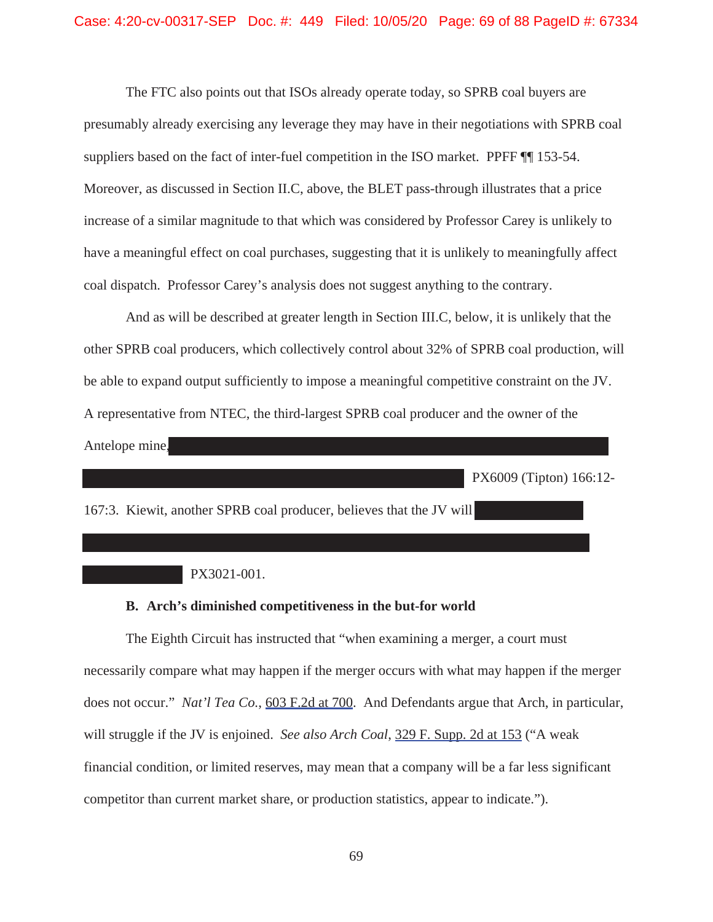The FTC also points out that ISOs already operate today, so SPRB coal buyers are presumably already exercising any leverage they may have in their negotiations with SPRB coal suppliers based on the fact of inter-fuel competition in the ISO market. PPFF ¶¶ 153-54. Moreover, as discussed in Section II.C, above, the BLET pass-through illustrates that a price increase of a similar magnitude to that which was considered by Professor Carey is unlikely to have a meaningful effect on coal purchases, suggesting that it is unlikely to meaningfully affect coal dispatch. Professor Carey's analysis does not suggest anything to the contrary.

And as will be described at greater length in Section III.C, below, it is unlikely that the other SPRB coal producers, which collectively control about 32% of SPRB coal production, will be able to expand output sufficiently to impose a meaningful competitive constraint on the JV. A representative from NTEC, the third-largest SPRB coal producer and the owner of the Antelope mine,

PX6009 (Tipton) 166:12-

167:3. Kiewit, another SPRB coal producer, believes that the JV will

# PX3021-001.

### **B. Arch's diminished competitiveness in the but-for world**

The Eighth Circuit has instructed that "when examining a merger, a court must necessarily compare what may happen if the merger occurs with what may happen if the merger does not occur." *Nat'l Tea Co.*, 603 F.2d at 700. And Defendants argue that Arch, in particular, will struggle if the JV is enjoined. *See also Arch Coal*, 329 F. Supp. 2d at 153 ("A weak financial condition, or limited reserves, may mean that a company will be a far less significant competitor than current market share, or production statistics, appear to indicate.").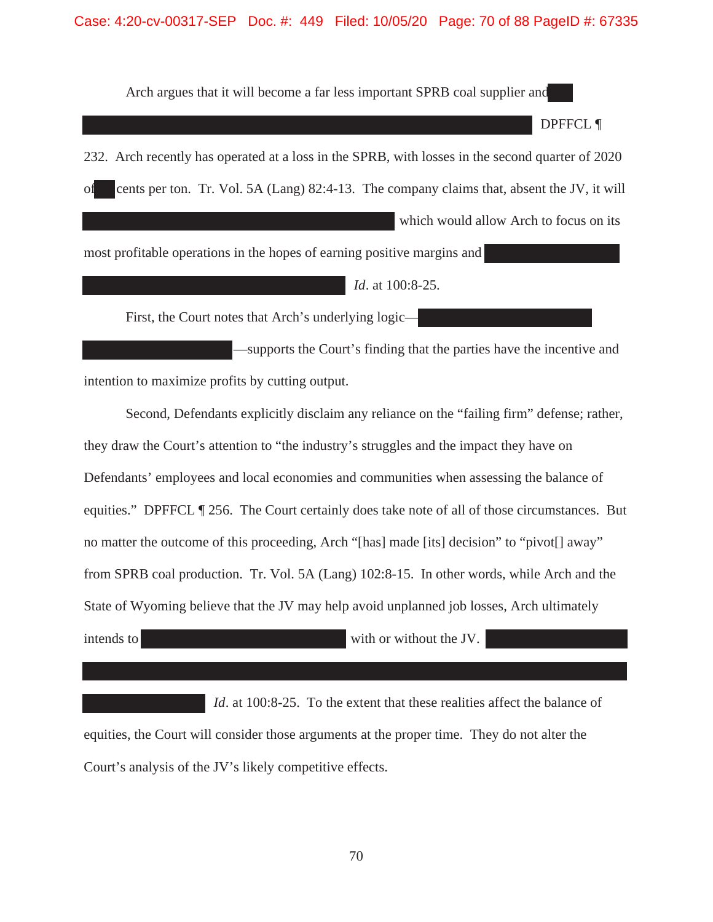#### Case: 4:20-cv-00317-SEP Doc. #: 449 Filed: 10/05/20 Page: 70 of 88 PageID #: 67335

Arch argues that it will become a far less important SPRB coal supplier and DPFFCL ¶ 232. Arch recently has operated at a loss in the SPRB, with losses in the second quarter of 2020 of cents per ton. Tr. Vol. 5A (Lang) 82:4-13. The company claims that, absent the JV, it will which would allow Arch to focus on its most profitable operations in the hopes of earning positive margins and

*Id*. at 100:8-25.

First, the Court notes that Arch's underlying logic—

—supports the Court's finding that the parties have the incentive and intention to maximize profits by cutting output.

Second, Defendants explicitly disclaim any reliance on the "failing firm" defense; rather, they draw the Court's attention to "the industry's struggles and the impact they have on Defendants' employees and local economies and communities when assessing the balance of equities." DPFFCL ¶ 256. The Court certainly does take note of all of those circumstances. But no matter the outcome of this proceeding, Arch "[has] made [its] decision" to "pivot[] away" from SPRB coal production. Tr. Vol. 5A (Lang) 102:8-15. In other words, while Arch and the State of Wyoming believe that the JV may help avoid unplanned job losses, Arch ultimately intends to without the JV.

*Id.* at 100:8-25. To the extent that these realities affect the balance of equities, the Court will consider those arguments at the proper time. They do not alter the Court's analysis of the JV's likely competitive effects.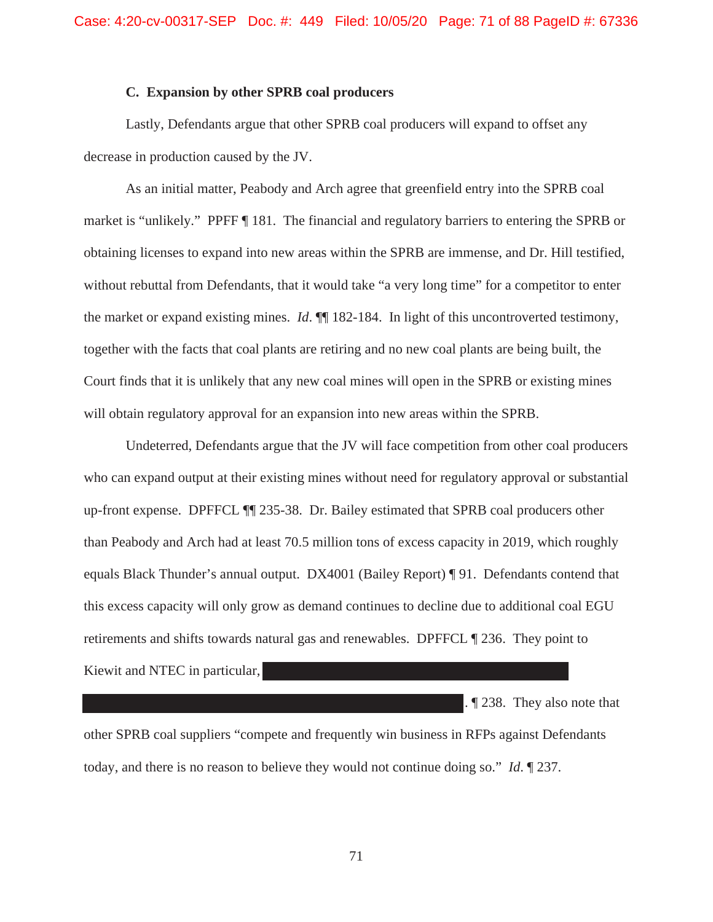### **C. Expansion by other SPRB coal producers**

Lastly, Defendants argue that other SPRB coal producers will expand to offset any decrease in production caused by the JV.

As an initial matter, Peabody and Arch agree that greenfield entry into the SPRB coal market is "unlikely." PPFF ¶ 181. The financial and regulatory barriers to entering the SPRB or obtaining licenses to expand into new areas within the SPRB are immense, and Dr. Hill testified, without rebuttal from Defendants, that it would take "a very long time" for a competitor to enter the market or expand existing mines. *Id*. ¶¶ 182-184. In light of this uncontroverted testimony, together with the facts that coal plants are retiring and no new coal plants are being built, the Court finds that it is unlikely that any new coal mines will open in the SPRB or existing mines will obtain regulatory approval for an expansion into new areas within the SPRB.

 Undeterred, Defendants argue that the JV will face competition from other coal producers who can expand output at their existing mines without need for regulatory approval or substantial up-front expense. DPFFCL ¶¶ 235-38. Dr. Bailey estimated that SPRB coal producers other than Peabody and Arch had at least 70.5 million tons of excess capacity in 2019, which roughly equals Black Thunder's annual output. DX4001 (Bailey Report) ¶ 91. Defendants contend that this excess capacity will only grow as demand continues to decline due to additional coal EGU retirements and shifts towards natural gas and renewables. DPFFCL ¶ 236. They point to Kiewit and NTEC in particular,

. ¶ 238. They also note that other SPRB coal suppliers "compete and frequently win business in RFPs against Defendants today, and there is no reason to believe they would not continue doing so." *Id*. ¶ 237.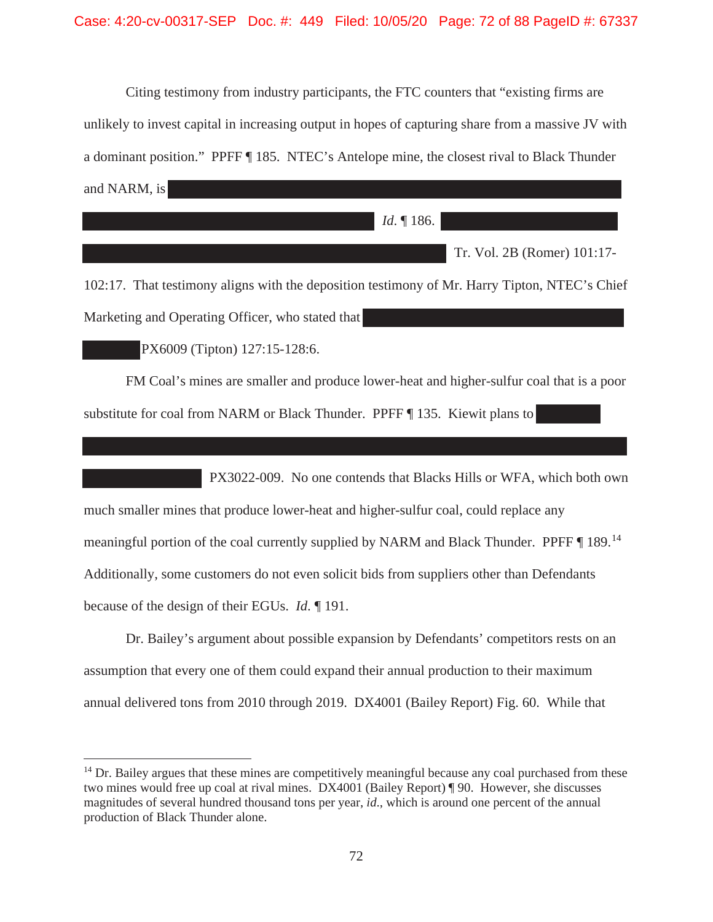Citing testimony from industry participants, the FTC counters that "existing firms are unlikely to invest capital in increasing output in hopes of capturing share from a massive JV with a dominant position." PPFF ¶ 185. NTEC's Antelope mine, the closest rival to Black Thunder and NARM, is

*Id*. ¶ 186.

Tr. Vol. 2B (Romer) 101:17-

102:17. That testimony aligns with the deposition testimony of Mr. Harry Tipton, NTEC's Chief Marketing and Operating Officer, who stated that

PX6009 (Tipton) 127:15-128:6.

FM Coal's mines are smaller and produce lower-heat and higher-sulfur coal that is a poor substitute for coal from NARM or Black Thunder. PPFF ¶ 135. Kiewit plans to

PX3022-009. No one contends that Blacks Hills or WFA, which both own much smaller mines that produce lower-heat and higher-sulfur coal, could replace any meaningful portion of the coal currently supplied by NARM and Black Thunder. PPFF ¶ 189.<sup>14</sup> Additionally, some customers do not even solicit bids from suppliers other than Defendants because of the design of their EGUs. *Id*. ¶ 191.

Dr. Bailey's argument about possible expansion by Defendants' competitors rests on an assumption that every one of them could expand their annual production to their maximum annual delivered tons from 2010 through 2019. DX4001 (Bailey Report) Fig. 60. While that

<sup>&</sup>lt;sup>14</sup> Dr. Bailey argues that these mines are competitively meaningful because any coal purchased from these two mines would free up coal at rival mines. DX4001 (Bailey Report) ¶ 90. However, she discusses magnitudes of several hundred thousand tons per year, *id*., which is around one percent of the annual production of Black Thunder alone.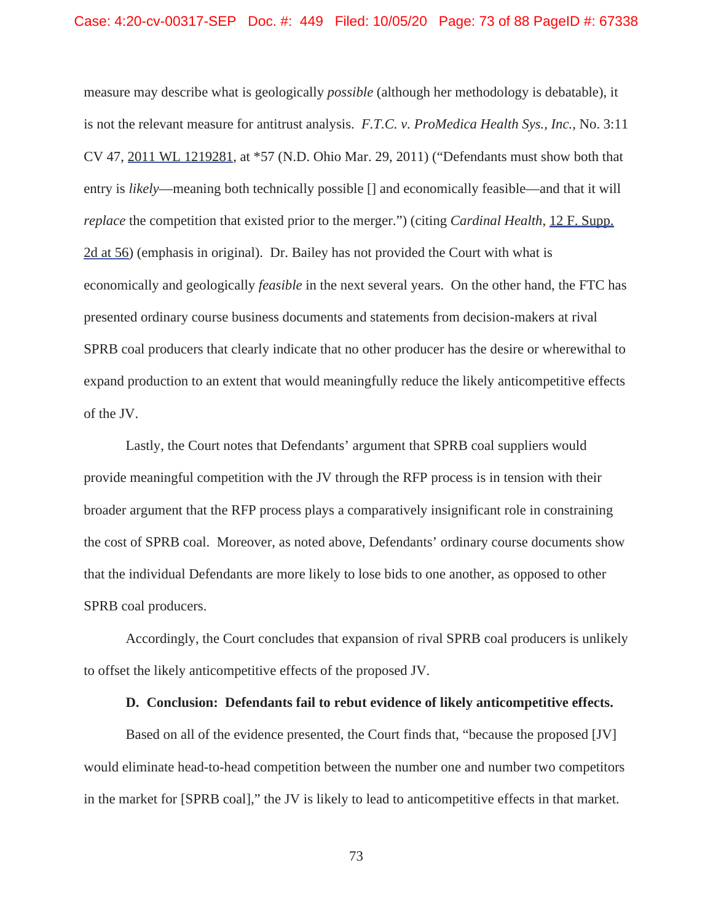measure may describe what is geologically *possible* (although her methodology is debatable), it is not the relevant measure for antitrust analysis. *F.T.C. v. ProMedica Health Sys., Inc.*, No. 3:11 CV 47, 2011 WL 1219281, at \*57 (N.D. Ohio Mar. 29, 2011) ("Defendants must show both that entry is *likely*—meaning both technically possible [] and economically feasible—and that it will *replace* the competition that existed prior to the merger.") (citing *Cardinal Health*, 12 F. Supp. 2d at 56) (emphasis in original). Dr. Bailey has not provided the Court with what is economically and geologically *feasible* in the next several years. On the other hand, the FTC has presented ordinary course business documents and statements from decision-makers at rival SPRB coal producers that clearly indicate that no other producer has the desire or wherewithal to expand production to an extent that would meaningfully reduce the likely anticompetitive effects of the JV.

Lastly, the Court notes that Defendants' argument that SPRB coal suppliers would provide meaningful competition with the JV through the RFP process is in tension with their broader argument that the RFP process plays a comparatively insignificant role in constraining the cost of SPRB coal. Moreover, as noted above, Defendants' ordinary course documents show that the individual Defendants are more likely to lose bids to one another, as opposed to other SPRB coal producers.

Accordingly, the Court concludes that expansion of rival SPRB coal producers is unlikely to offset the likely anticompetitive effects of the proposed JV.

# **D. Conclusion: Defendants fail to rebut evidence of likely anticompetitive effects.**

Based on all of the evidence presented, the Court finds that, "because the proposed [JV] would eliminate head-to-head competition between the number one and number two competitors in the market for [SPRB coal]," the JV is likely to lead to anticompetitive effects in that market.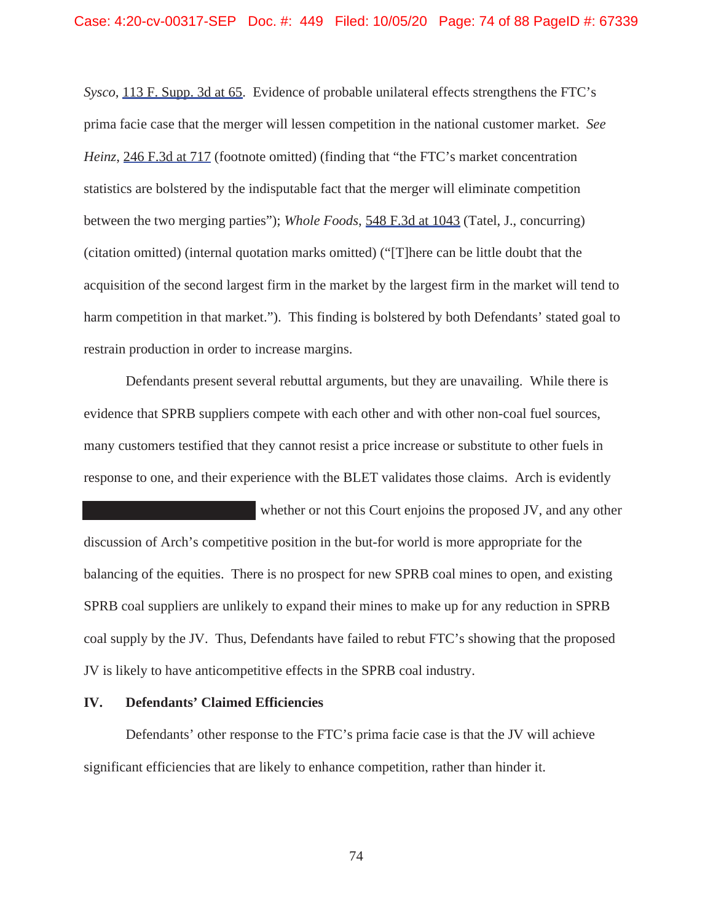*Sysco*, 113 F. Supp. 3d at 65. Evidence of probable unilateral effects strengthens the FTC's prima facie case that the merger will lessen competition in the national customer market. *See Heinz*, 246 F.3d at 717 (footnote omitted) (finding that "the FTC's market concentration statistics are bolstered by the indisputable fact that the merger will eliminate competition between the two merging parties"); *Whole Foods*, 548 F.3d at 1043 (Tatel, J., concurring) (citation omitted) (internal quotation marks omitted) ("[T]here can be little doubt that the acquisition of the second largest firm in the market by the largest firm in the market will tend to harm competition in that market."). This finding is bolstered by both Defendants' stated goal to restrain production in order to increase margins.

Defendants present several rebuttal arguments, but they are unavailing. While there is evidence that SPRB suppliers compete with each other and with other non-coal fuel sources, many customers testified that they cannot resist a price increase or substitute to other fuels in response to one, and their experience with the BLET validates those claims. Arch is evidently

 whether or not this Court enjoins the proposed JV, and any other discussion of Arch's competitive position in the but-for world is more appropriate for the balancing of the equities. There is no prospect for new SPRB coal mines to open, and existing SPRB coal suppliers are unlikely to expand their mines to make up for any reduction in SPRB coal supply by the JV. Thus, Defendants have failed to rebut FTC's showing that the proposed JV is likely to have anticompetitive effects in the SPRB coal industry.

### **IV. Defendants' Claimed Efficiencies**

Defendants' other response to the FTC's prima facie case is that the JV will achieve significant efficiencies that are likely to enhance competition, rather than hinder it.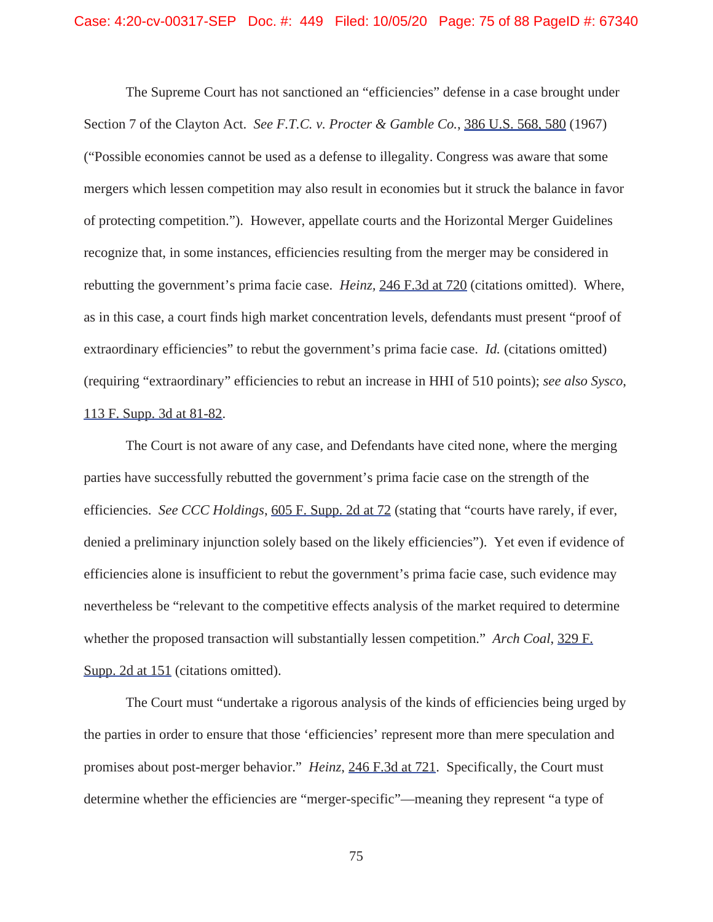The Supreme Court has not sanctioned an "efficiencies" defense in a case brought under Section 7 of the Clayton Act. *See F.T.C. v. Procter & Gamble Co.*, 386 U.S. 568, 580 (1967) ("Possible economies cannot be used as a defense to illegality. Congress was aware that some mergers which lessen competition may also result in economies but it struck the balance in favor of protecting competition."). However, appellate courts and the Horizontal Merger Guidelines recognize that, in some instances, efficiencies resulting from the merger may be considered in rebutting the government's prima facie case. *Heinz,* 246 F.3d at 720 (citations omitted). Where, as in this case, a court finds high market concentration levels, defendants must present "proof of extraordinary efficiencies" to rebut the government's prima facie case. *Id.* (citations omitted) (requiring "extraordinary" efficiencies to rebut an increase in HHI of 510 points); *see also Sysco*, 113 F. Supp. 3d at 81-82.

The Court is not aware of any case, and Defendants have cited none, where the merging parties have successfully rebutted the government's prima facie case on the strength of the efficiencies. *See CCC Holdings*, 605 F. Supp. 2d at 72 (stating that "courts have rarely, if ever, denied a preliminary injunction solely based on the likely efficiencies"). Yet even if evidence of efficiencies alone is insufficient to rebut the government's prima facie case, such evidence may nevertheless be "relevant to the competitive effects analysis of the market required to determine whether the proposed transaction will substantially lessen competition." *Arch Coal*, 329 F. Supp. 2d at 151 (citations omitted).

The Court must "undertake a rigorous analysis of the kinds of efficiencies being urged by the parties in order to ensure that those 'efficiencies' represent more than mere speculation and promises about post-merger behavior." *Heinz*, 246 F.3d at 721. Specifically, the Court must determine whether the efficiencies are "merger-specific"—meaning they represent "a type of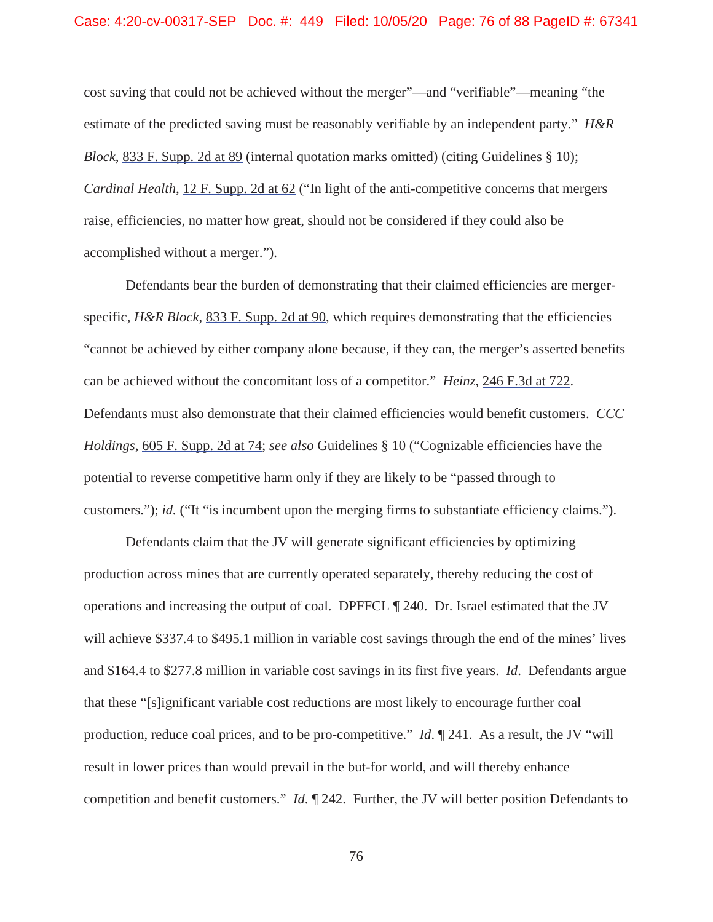cost saving that could not be achieved without the merger"—and "verifiable"—meaning "the estimate of the predicted saving must be reasonably verifiable by an independent party." *H&R Block*, 833 F. Supp. 2d at 89 (internal quotation marks omitted) (citing Guidelines § 10); *Cardinal Health*, 12 F. Supp. 2d at 62 ("In light of the anti-competitive concerns that mergers raise, efficiencies, no matter how great, should not be considered if they could also be accomplished without a merger.").

Defendants bear the burden of demonstrating that their claimed efficiencies are mergerspecific, *H&R Block*, 833 F. Supp. 2d at 90, which requires demonstrating that the efficiencies "cannot be achieved by either company alone because, if they can, the merger's asserted benefits can be achieved without the concomitant loss of a competitor." *Heinz*, 246 F.3d at 722. Defendants must also demonstrate that their claimed efficiencies would benefit customers. *CCC Holdings*, 605 F. Supp. 2d at 74; *see also* Guidelines § 10 ("Cognizable efficiencies have the potential to reverse competitive harm only if they are likely to be "passed through to customers."); *id.* ("It "is incumbent upon the merging firms to substantiate efficiency claims.").

Defendants claim that the JV will generate significant efficiencies by optimizing production across mines that are currently operated separately, thereby reducing the cost of operations and increasing the output of coal. DPFFCL ¶ 240. Dr. Israel estimated that the JV will achieve \$337.4 to \$495.1 million in variable cost savings through the end of the mines' lives and \$164.4 to \$277.8 million in variable cost savings in its first five years. *Id*. Defendants argue that these "[s]ignificant variable cost reductions are most likely to encourage further coal production, reduce coal prices, and to be pro-competitive." *Id*. ¶ 241. As a result, the JV "will result in lower prices than would prevail in the but-for world, and will thereby enhance competition and benefit customers." *Id*. ¶ 242. Further, the JV will better position Defendants to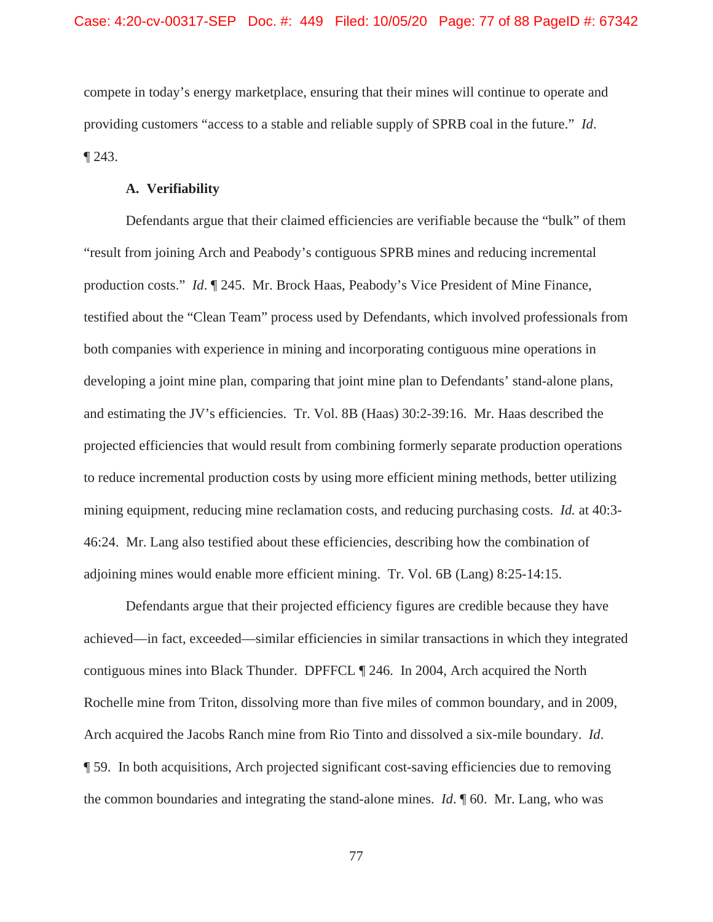compete in today's energy marketplace, ensuring that their mines will continue to operate and providing customers "access to a stable and reliable supply of SPRB coal in the future." *Id*. ¶ 243.

### **A. Verifiability**

Defendants argue that their claimed efficiencies are verifiable because the "bulk" of them "result from joining Arch and Peabody's contiguous SPRB mines and reducing incremental production costs." *Id*. ¶ 245. Mr. Brock Haas, Peabody's Vice President of Mine Finance, testified about the "Clean Team" process used by Defendants, which involved professionals from both companies with experience in mining and incorporating contiguous mine operations in developing a joint mine plan, comparing that joint mine plan to Defendants' stand-alone plans, and estimating the JV's efficiencies. Tr. Vol. 8B (Haas) 30:2-39:16. Mr. Haas described the projected efficiencies that would result from combining formerly separate production operations to reduce incremental production costs by using more efficient mining methods, better utilizing mining equipment, reducing mine reclamation costs, and reducing purchasing costs. *Id.* at 40:3- 46:24. Mr. Lang also testified about these efficiencies, describing how the combination of adjoining mines would enable more efficient mining. Tr. Vol. 6B (Lang) 8:25-14:15.

Defendants argue that their projected efficiency figures are credible because they have achieved—in fact, exceeded—similar efficiencies in similar transactions in which they integrated contiguous mines into Black Thunder. DPFFCL ¶ 246. In 2004, Arch acquired the North Rochelle mine from Triton, dissolving more than five miles of common boundary, and in 2009, Arch acquired the Jacobs Ranch mine from Rio Tinto and dissolved a six-mile boundary. *Id*. ¶ 59. In both acquisitions, Arch projected significant cost-saving efficiencies due to removing the common boundaries and integrating the stand-alone mines. *Id*. ¶ 60. Mr. Lang, who was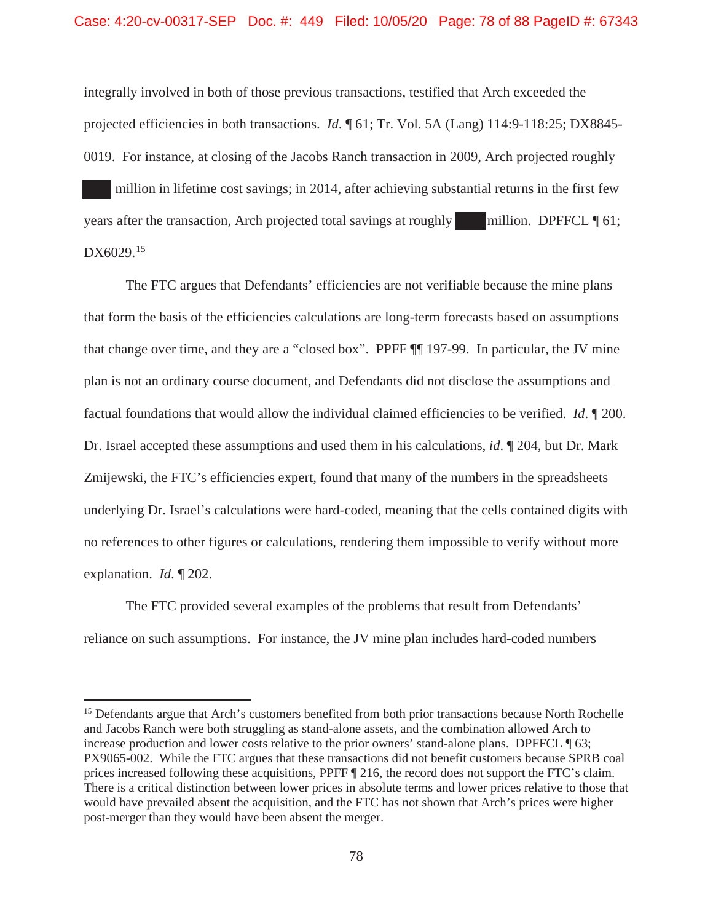integrally involved in both of those previous transactions, testified that Arch exceeded the projected efficiencies in both transactions. *Id*. ¶ 61; Tr. Vol. 5A (Lang) 114:9-118:25; DX8845- 0019. For instance, at closing of the Jacobs Ranch transaction in 2009, Arch projected roughly million in lifetime cost savings; in 2014, after achieving substantial returns in the first few years after the transaction, Arch projected total savings at roughly million. DPFFCL  $\P$  61;

DX6029.<sup>15</sup>

The FTC argues that Defendants' efficiencies are not verifiable because the mine plans that form the basis of the efficiencies calculations are long-term forecasts based on assumptions that change over time, and they are a "closed box". PPFF ¶¶ 197-99. In particular, the JV mine plan is not an ordinary course document, and Defendants did not disclose the assumptions and factual foundations that would allow the individual claimed efficiencies to be verified. *Id*. ¶ 200. Dr. Israel accepted these assumptions and used them in his calculations, *id*. ¶ 204, but Dr. Mark Zmijewski, the FTC's efficiencies expert, found that many of the numbers in the spreadsheets underlying Dr. Israel's calculations were hard-coded, meaning that the cells contained digits with no references to other figures or calculations, rendering them impossible to verify without more explanation. *Id*. ¶ 202.

The FTC provided several examples of the problems that result from Defendants' reliance on such assumptions. For instance, the JV mine plan includes hard-coded numbers

<sup>&</sup>lt;sup>15</sup> Defendants argue that Arch's customers benefited from both prior transactions because North Rochelle and Jacobs Ranch were both struggling as stand-alone assets, and the combination allowed Arch to increase production and lower costs relative to the prior owners' stand-alone plans. DPFFCL ¶ 63; PX9065-002. While the FTC argues that these transactions did not benefit customers because SPRB coal prices increased following these acquisitions, PPFF ¶ 216, the record does not support the FTC's claim. There is a critical distinction between lower prices in absolute terms and lower prices relative to those that would have prevailed absent the acquisition, and the FTC has not shown that Arch's prices were higher post-merger than they would have been absent the merger.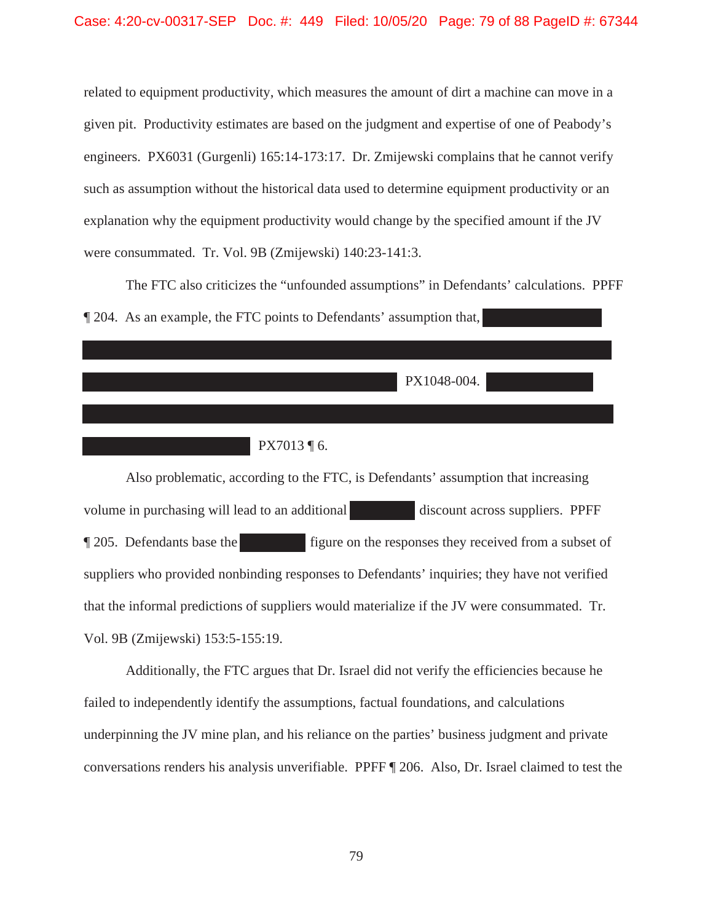related to equipment productivity, which measures the amount of dirt a machine can move in a given pit. Productivity estimates are based on the judgment and expertise of one of Peabody's engineers. PX6031 (Gurgenli) 165:14-173:17. Dr. Zmijewski complains that he cannot verify such as assumption without the historical data used to determine equipment productivity or an explanation why the equipment productivity would change by the specified amount if the JV were consummated. Tr. Vol. 9B (Zmijewski) 140:23-141:3.

The FTC also criticizes the "unfounded assumptions" in Defendants' calculations. PPFF ¶ 204. As an example, the FTC points to Defendants' assumption that,

PX1048-004.

PX7013 ¶ 6.

Also problematic, according to the FTC, is Defendants' assumption that increasing volume in purchasing will lead to an additional discount across suppliers. PPFF ¶ 205. Defendants base the figure on the responses they received from a subset of suppliers who provided nonbinding responses to Defendants' inquiries; they have not verified that the informal predictions of suppliers would materialize if the JV were consummated. Tr. Vol. 9B (Zmijewski) 153:5-155:19.

Additionally, the FTC argues that Dr. Israel did not verify the efficiencies because he failed to independently identify the assumptions, factual foundations, and calculations underpinning the JV mine plan, and his reliance on the parties' business judgment and private conversations renders his analysis unverifiable. PPFF ¶ 206. Also, Dr. Israel claimed to test the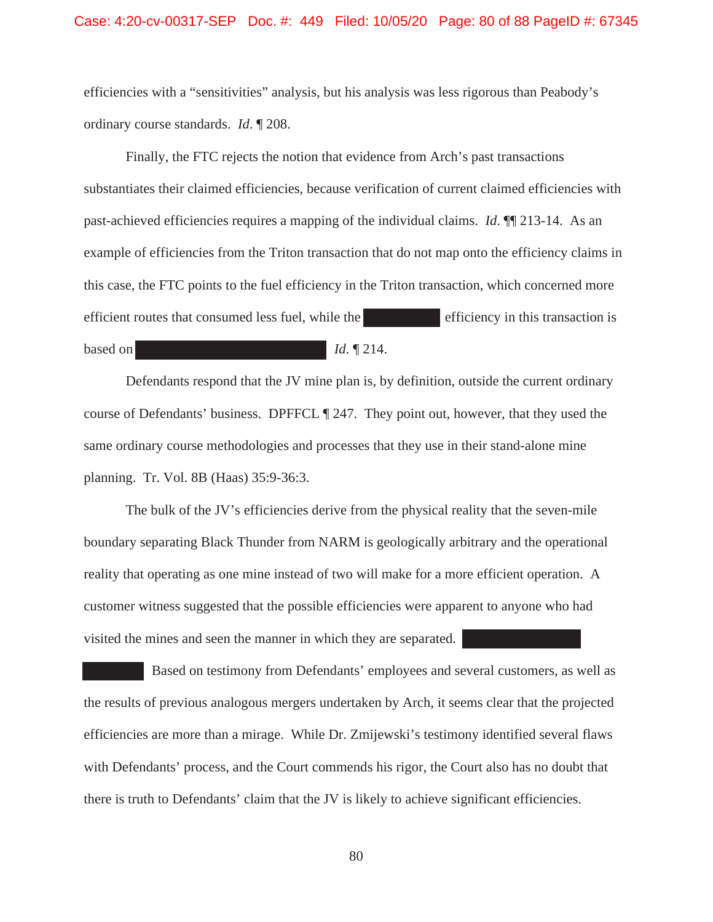efficiencies with a "sensitivities" analysis, but his analysis was less rigorous than Peabody's ordinary course standards. *Id*. ¶ 208.

Finally, the FTC rejects the notion that evidence from Arch's past transactions substantiates their claimed efficiencies, because verification of current claimed efficiencies with past-achieved efficiencies requires a mapping of the individual claims. *Id*. ¶¶ 213-14. As an example of efficiencies from the Triton transaction that do not map onto the efficiency claims in this case, the FTC points to the fuel efficiency in the Triton transaction, which concerned more efficient routes that consumed less fuel, while the efficiency in this transaction is based on *Id.* **If** 214.

Defendants respond that the JV mine plan is, by definition, outside the current ordinary course of Defendants' business. DPFFCL ¶ 247. They point out, however, that they used the same ordinary course methodologies and processes that they use in their stand-alone mine planning. Tr. Vol. 8B (Haas) 35:9-36:3.

The bulk of the JV's efficiencies derive from the physical reality that the seven-mile boundary separating Black Thunder from NARM is geologically arbitrary and the operational reality that operating as one mine instead of two will make for a more efficient operation. A customer witness suggested that the possible efficiencies were apparent to anyone who had visited the mines and seen the manner in which they are separated.

 Based on testimony from Defendants' employees and several customers, as well as the results of previous analogous mergers undertaken by Arch, it seems clear that the projected efficiencies are more than a mirage. While Dr. Zmijewski's testimony identified several flaws with Defendants' process, and the Court commends his rigor, the Court also has no doubt that there is truth to Defendants' claim that the JV is likely to achieve significant efficiencies.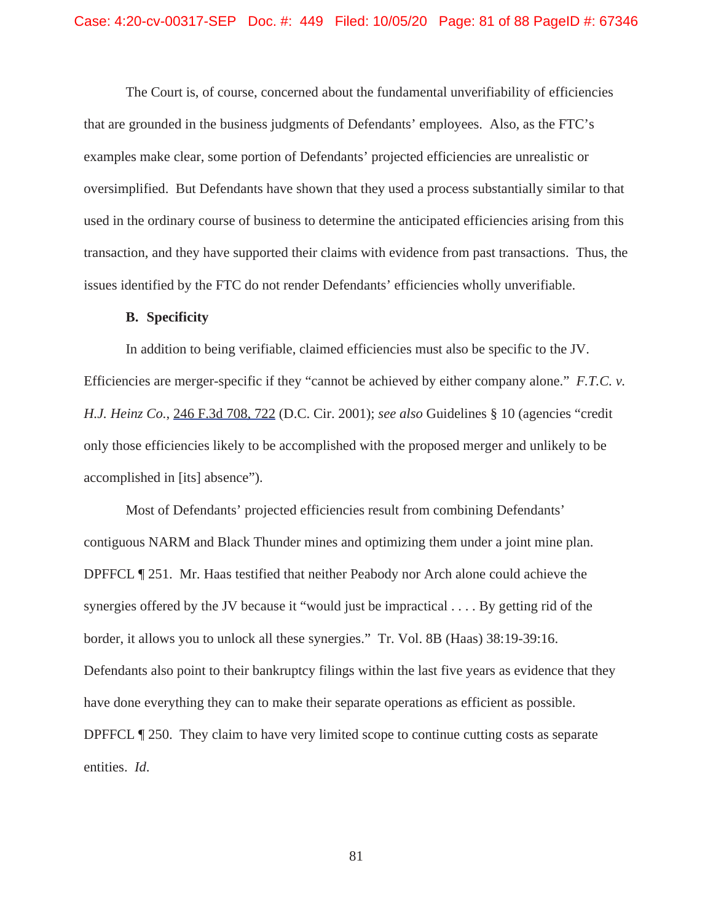The Court is, of course, concerned about the fundamental unverifiability of efficiencies that are grounded in the business judgments of Defendants' employees. Also, as the FTC's examples make clear, some portion of Defendants' projected efficiencies are unrealistic or oversimplified. But Defendants have shown that they used a process substantially similar to that used in the ordinary course of business to determine the anticipated efficiencies arising from this transaction, and they have supported their claims with evidence from past transactions. Thus, the issues identified by the FTC do not render Defendants' efficiencies wholly unverifiable.

#### **B. Specificity**

In addition to being verifiable, claimed efficiencies must also be specific to the JV. Efficiencies are merger-specific if they "cannot be achieved by either company alone." *F.T.C. v. H.J. Heinz Co.*, 246 F.3d 708, 722 (D.C. Cir. 2001); *see also* Guidelines § 10 (agencies "credit only those efficiencies likely to be accomplished with the proposed merger and unlikely to be accomplished in [its] absence").

Most of Defendants' projected efficiencies result from combining Defendants' contiguous NARM and Black Thunder mines and optimizing them under a joint mine plan. DPFFCL ¶ 251. Mr. Haas testified that neither Peabody nor Arch alone could achieve the synergies offered by the JV because it "would just be impractical . . . . By getting rid of the border, it allows you to unlock all these synergies." Tr. Vol. 8B (Haas) 38:19-39:16. Defendants also point to their bankruptcy filings within the last five years as evidence that they have done everything they can to make their separate operations as efficient as possible. DPFFCL ¶ 250. They claim to have very limited scope to continue cutting costs as separate entities. *Id*.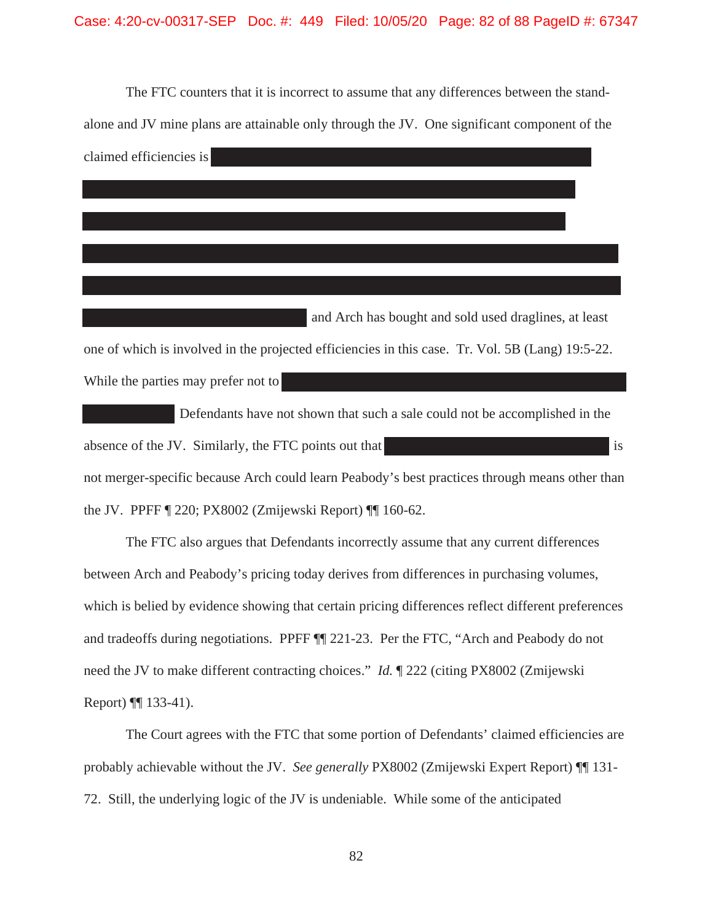The FTC counters that it is incorrect to assume that any differences between the standalone and JV mine plans are attainable only through the JV. One significant component of the claimed efficiencies is

 and Arch has bought and sold used draglines, at least one of which is involved in the projected efficiencies in this case. Tr. Vol. 5B (Lang) 19:5-22. While the parties may prefer not to

 Defendants have not shown that such a sale could not be accomplished in the absence of the JV. Similarly, the FTC points out that is is not merger-specific because Arch could learn Peabody's best practices through means other than the JV. PPFF ¶ 220; PX8002 (Zmijewski Report) ¶¶ 160-62.

The FTC also argues that Defendants incorrectly assume that any current differences between Arch and Peabody's pricing today derives from differences in purchasing volumes, which is belied by evidence showing that certain pricing differences reflect different preferences and tradeoffs during negotiations. PPFF ¶¶ 221-23. Per the FTC, "Arch and Peabody do not need the JV to make different contracting choices." *Id.* ¶ 222 (citing PX8002 (Zmijewski Report) ¶¶ 133-41).

The Court agrees with the FTC that some portion of Defendants' claimed efficiencies are probably achievable without the JV. *See generally* PX8002 (Zmijewski Expert Report) ¶¶ 131- 72. Still, the underlying logic of the JV is undeniable. While some of the anticipated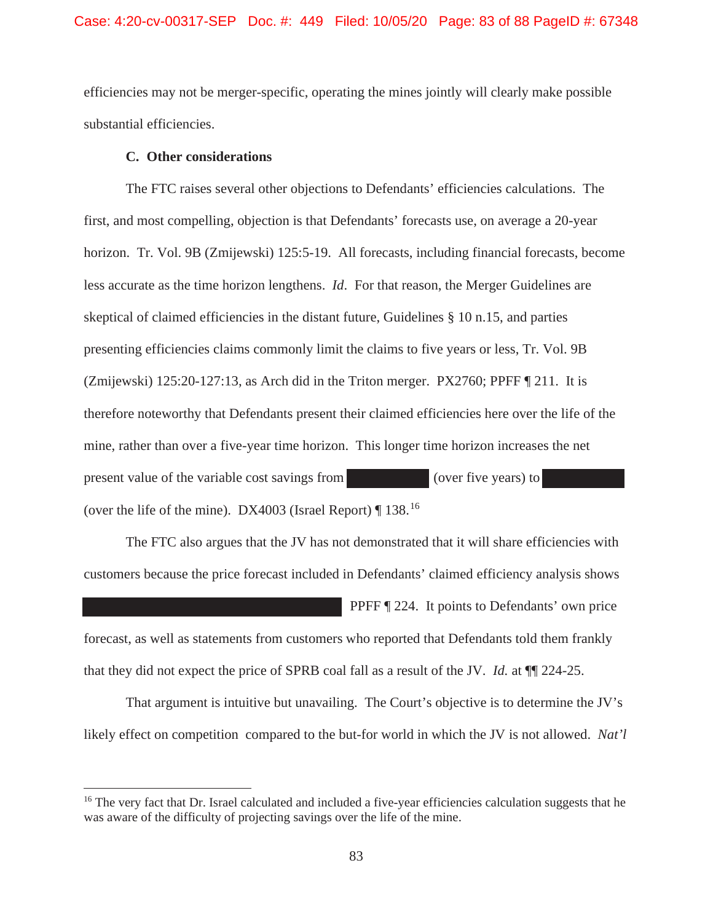efficiencies may not be merger-specific, operating the mines jointly will clearly make possible substantial efficiencies.

## **C. Other considerations**

The FTC raises several other objections to Defendants' efficiencies calculations. The first, and most compelling, objection is that Defendants' forecasts use, on average a 20-year horizon. Tr. Vol. 9B (Zmijewski) 125:5-19. All forecasts, including financial forecasts, become less accurate as the time horizon lengthens. *Id*. For that reason, the Merger Guidelines are skeptical of claimed efficiencies in the distant future, Guidelines § 10 n.15, and parties presenting efficiencies claims commonly limit the claims to five years or less, Tr. Vol. 9B (Zmijewski) 125:20-127:13, as Arch did in the Triton merger. PX2760; PPFF ¶ 211. It is therefore noteworthy that Defendants present their claimed efficiencies here over the life of the mine, rather than over a five-year time horizon. This longer time horizon increases the net present value of the variable cost savings from (over five years) to (over the life of the mine). DX4003 (Israel Report)  $\P$  138.<sup>16</sup>

The FTC also argues that the JV has not demonstrated that it will share efficiencies with customers because the price forecast included in Defendants' claimed efficiency analysis shows

PPFF ¶ 224. It points to Defendants' own price forecast, as well as statements from customers who reported that Defendants told them frankly that they did not expect the price of SPRB coal fall as a result of the JV. *Id.* at ¶¶ 224-25.

That argument is intuitive but unavailing. The Court's objective is to determine the JV's likely effect on competition compared to the but-for world in which the JV is not allowed. *Nat'l* 

<sup>&</sup>lt;sup>16</sup> The very fact that Dr. Israel calculated and included a five-year efficiencies calculation suggests that he was aware of the difficulty of projecting savings over the life of the mine.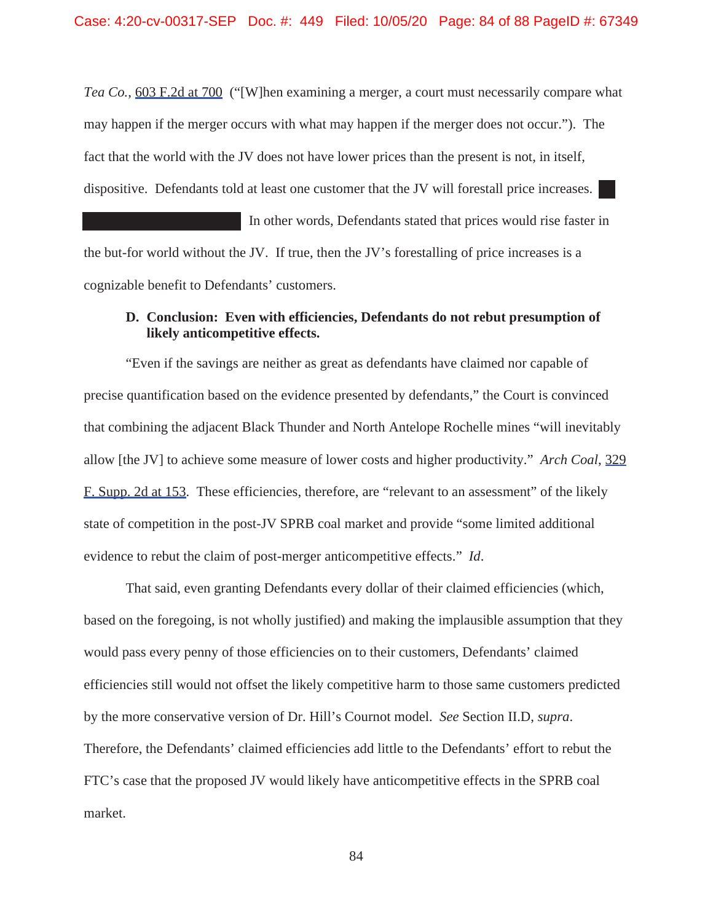*Tea Co.*, 603 F.2d at 700 ("[W]hen examining a merger, a court must necessarily compare what may happen if the merger occurs with what may happen if the merger does not occur."). The fact that the world with the JV does not have lower prices than the present is not, in itself, dispositive. Defendants told at least one customer that the JV will forestall price increases.

In other words, Defendants stated that prices would rise faster in the but-for world without the JV. If true, then the JV's forestalling of price increases is a cognizable benefit to Defendants' customers.

# **D. Conclusion: Even with efficiencies, Defendants do not rebut presumption of likely anticompetitive effects.**

"Even if the savings are neither as great as defendants have claimed nor capable of precise quantification based on the evidence presented by defendants," the Court is convinced that combining the adjacent Black Thunder and North Antelope Rochelle mines "will inevitably allow [the JV] to achieve some measure of lower costs and higher productivity." *Arch Coal*, 329 F. Supp. 2d at 153. These efficiencies, therefore, are "relevant to an assessment" of the likely state of competition in the post-JV SPRB coal market and provide "some limited additional evidence to rebut the claim of post-merger anticompetitive effects." *Id*.

That said, even granting Defendants every dollar of their claimed efficiencies (which, based on the foregoing, is not wholly justified) and making the implausible assumption that they would pass every penny of those efficiencies on to their customers, Defendants' claimed efficiencies still would not offset the likely competitive harm to those same customers predicted by the more conservative version of Dr. Hill's Cournot model. *See* Section II.D, *supra*. Therefore, the Defendants' claimed efficiencies add little to the Defendants' effort to rebut the FTC's case that the proposed JV would likely have anticompetitive effects in the SPRB coal market.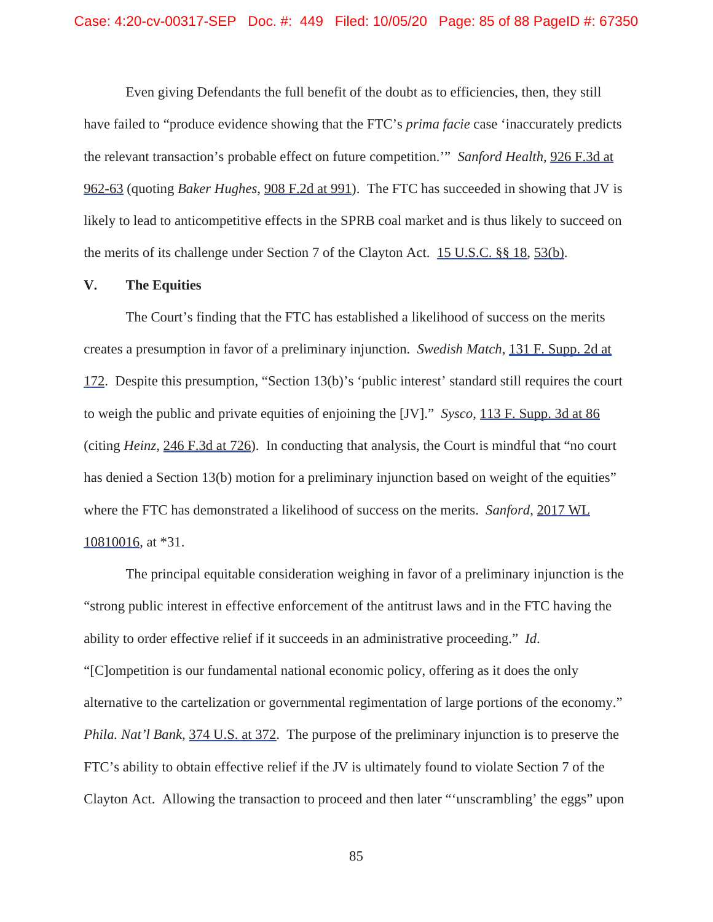Even giving Defendants the full benefit of the doubt as to efficiencies, then, they still have failed to "produce evidence showing that the FTC's *prima facie* case 'inaccurately predicts the relevant transaction's probable effect on future competition.'" *Sanford Health*, 926 F.3d at 962-63 (quoting *Baker Hughes*, 908 F.2d at 991). The FTC has succeeded in showing that JV is likely to lead to anticompetitive effects in the SPRB coal market and is thus likely to succeed on the merits of its challenge under Section 7 of the Clayton Act. 15 U.S.C. §§ 18, 53(b).

# **V. The Equities**

The Court's finding that the FTC has established a likelihood of success on the merits creates a presumption in favor of a preliminary injunction. *Swedish Match*, 131 F. Supp. 2d at 172. Despite this presumption, "Section 13(b)'s 'public interest' standard still requires the court to weigh the public and private equities of enjoining the [JV]." *Sysco*, 113 F. Supp. 3d at 86 (citing *Heinz*, 246 F.3d at 726). In conducting that analysis, the Court is mindful that "no court has denied a Section 13(b) motion for a preliminary injunction based on weight of the equities" where the FTC has demonstrated a likelihood of success on the merits. *Sanford*, 2017 WL 10810016, at \*31.

The principal equitable consideration weighing in favor of a preliminary injunction is the "strong public interest in effective enforcement of the antitrust laws and in the FTC having the ability to order effective relief if it succeeds in an administrative proceeding." *Id*. "[C]ompetition is our fundamental national economic policy, offering as it does the only alternative to the cartelization or governmental regimentation of large portions of the economy." *Phila. Nat'l Bank*, 374 U.S. at 372. The purpose of the preliminary injunction is to preserve the FTC's ability to obtain effective relief if the JV is ultimately found to violate Section 7 of the Clayton Act. Allowing the transaction to proceed and then later "'unscrambling' the eggs" upon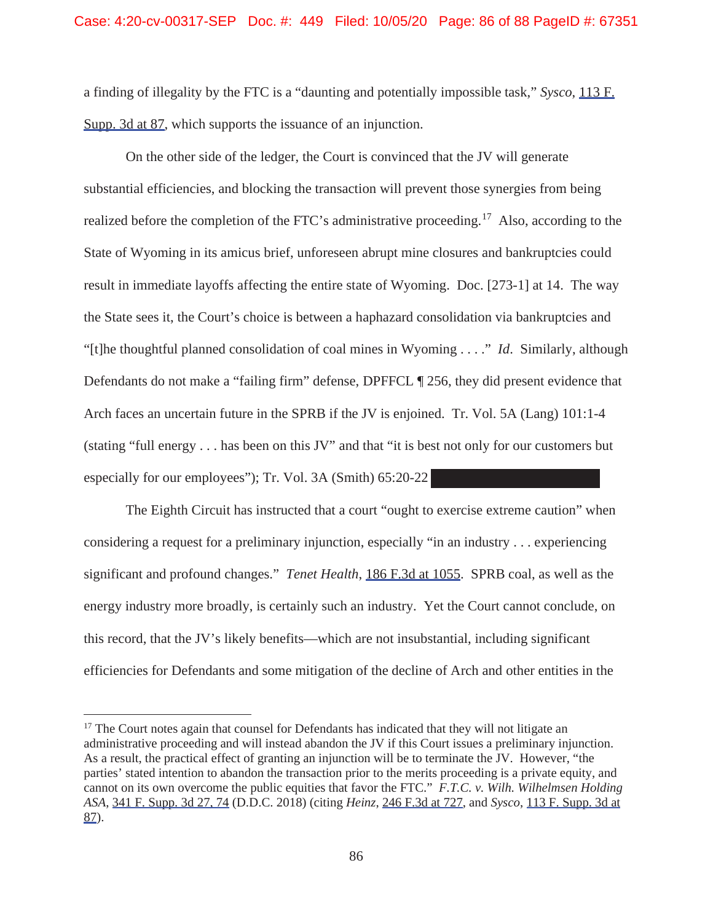a finding of illegality by the FTC is a "daunting and potentially impossible task," *Sysco*, 113 F. Supp. 3d at 87, which supports the issuance of an injunction.

On the other side of the ledger, the Court is convinced that the JV will generate substantial efficiencies, and blocking the transaction will prevent those synergies from being realized before the completion of the FTC's administrative proceeding.<sup>17</sup> Also, according to the State of Wyoming in its amicus brief, unforeseen abrupt mine closures and bankruptcies could result in immediate layoffs affecting the entire state of Wyoming. Doc. [273-1] at 14. The way the State sees it, the Court's choice is between a haphazard consolidation via bankruptcies and "[t]he thoughtful planned consolidation of coal mines in Wyoming . . . ." *Id*. Similarly, although Defendants do not make a "failing firm" defense, DPFFCL ¶ 256, they did present evidence that Arch faces an uncertain future in the SPRB if the JV is enjoined. Tr. Vol. 5A (Lang) 101:1-4 (stating "full energy . . . has been on this JV" and that "it is best not only for our customers but especially for our employees"); Tr. Vol. 3A (Smith) 65:20-22

The Eighth Circuit has instructed that a court "ought to exercise extreme caution" when considering a request for a preliminary injunction, especially "in an industry . . . experiencing significant and profound changes." *Tenet Health*, 186 F.3d at 1055. SPRB coal, as well as the energy industry more broadly, is certainly such an industry. Yet the Court cannot conclude, on this record, that the JV's likely benefits—which are not insubstantial, including significant efficiencies for Defendants and some mitigation of the decline of Arch and other entities in the

 $17$  The Court notes again that counsel for Defendants has indicated that they will not litigate an administrative proceeding and will instead abandon the JV if this Court issues a preliminary injunction. As a result, the practical effect of granting an injunction will be to terminate the JV. However, "the parties' stated intention to abandon the transaction prior to the merits proceeding is a private equity, and cannot on its own overcome the public equities that favor the FTC." *F.T.C. v. Wilh. Wilhelmsen Holding ASA*, 341 F. Supp. 3d 27, 74 (D.D.C. 2018) (citing *Heinz*, 246 F.3d at 727, and *Sysco*, 113 F. Supp. 3d at 87).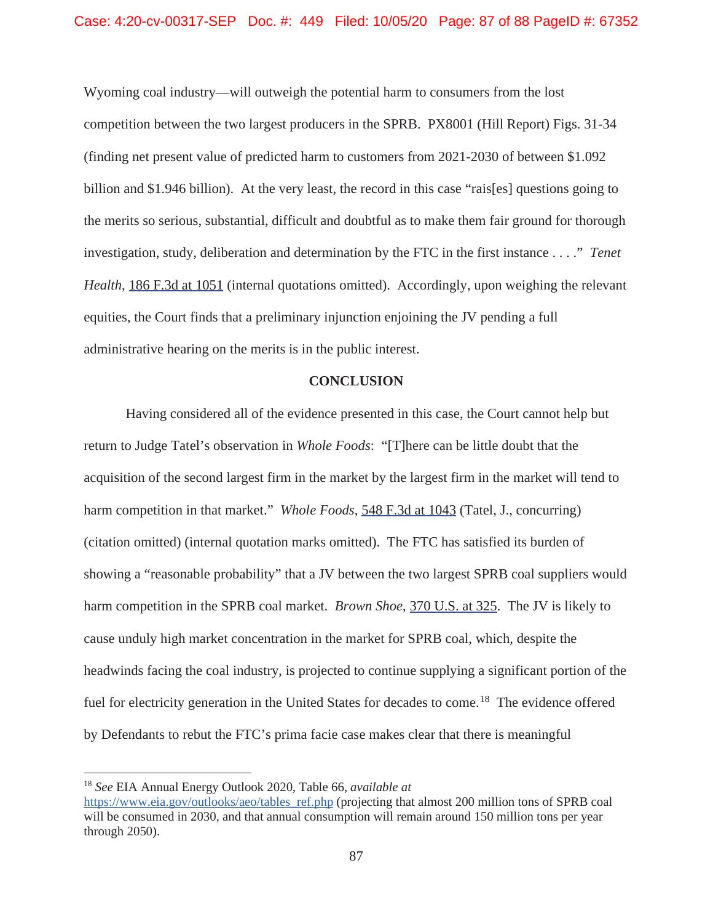Wyoming coal industry—will outweigh the potential harm to consumers from the lost competition between the two largest producers in the SPRB. PX8001 (Hill Report) Figs. 31-34 (finding net present value of predicted harm to customers from 2021-2030 of between \$1.092 billion and \$1.946 billion). At the very least, the record in this case "rais[es] questions going to the merits so serious, substantial, difficult and doubtful as to make them fair ground for thorough investigation, study, deliberation and determination by the FTC in the first instance . . . ." *Tenet Health*, 186 F.3d at 1051 (internal quotations omitted). Accordingly, upon weighing the relevant equities, the Court finds that a preliminary injunction enjoining the JV pending a full administrative hearing on the merits is in the public interest.

#### **CONCLUSION**

Having considered all of the evidence presented in this case, the Court cannot help but return to Judge Tatel's observation in *Whole Foods*: "[T]here can be little doubt that the acquisition of the second largest firm in the market by the largest firm in the market will tend to harm competition in that market." *Whole Foods*, 548 F.3d at 1043 (Tatel, J., concurring) (citation omitted) (internal quotation marks omitted). The FTC has satisfied its burden of showing a "reasonable probability" that a JV between the two largest SPRB coal suppliers would harm competition in the SPRB coal market. *Brown Shoe*, 370 U.S. at 325. The JV is likely to cause unduly high market concentration in the market for SPRB coal, which, despite the headwinds facing the coal industry, is projected to continue supplying a significant portion of the fuel for electricity generation in the United States for decades to come.<sup>18</sup> The evidence offered by Defendants to rebut the FTC's prima facie case makes clear that there is meaningful

<sup>18</sup> *See* EIA Annual Energy Outlook 2020, Table 66, *available at*

https://www.eia.gov/outlooks/aeo/tables\_ref.php (projecting that almost 200 million tons of SPRB coal will be consumed in 2030, and that annual consumption will remain around 150 million tons per year through 2050).